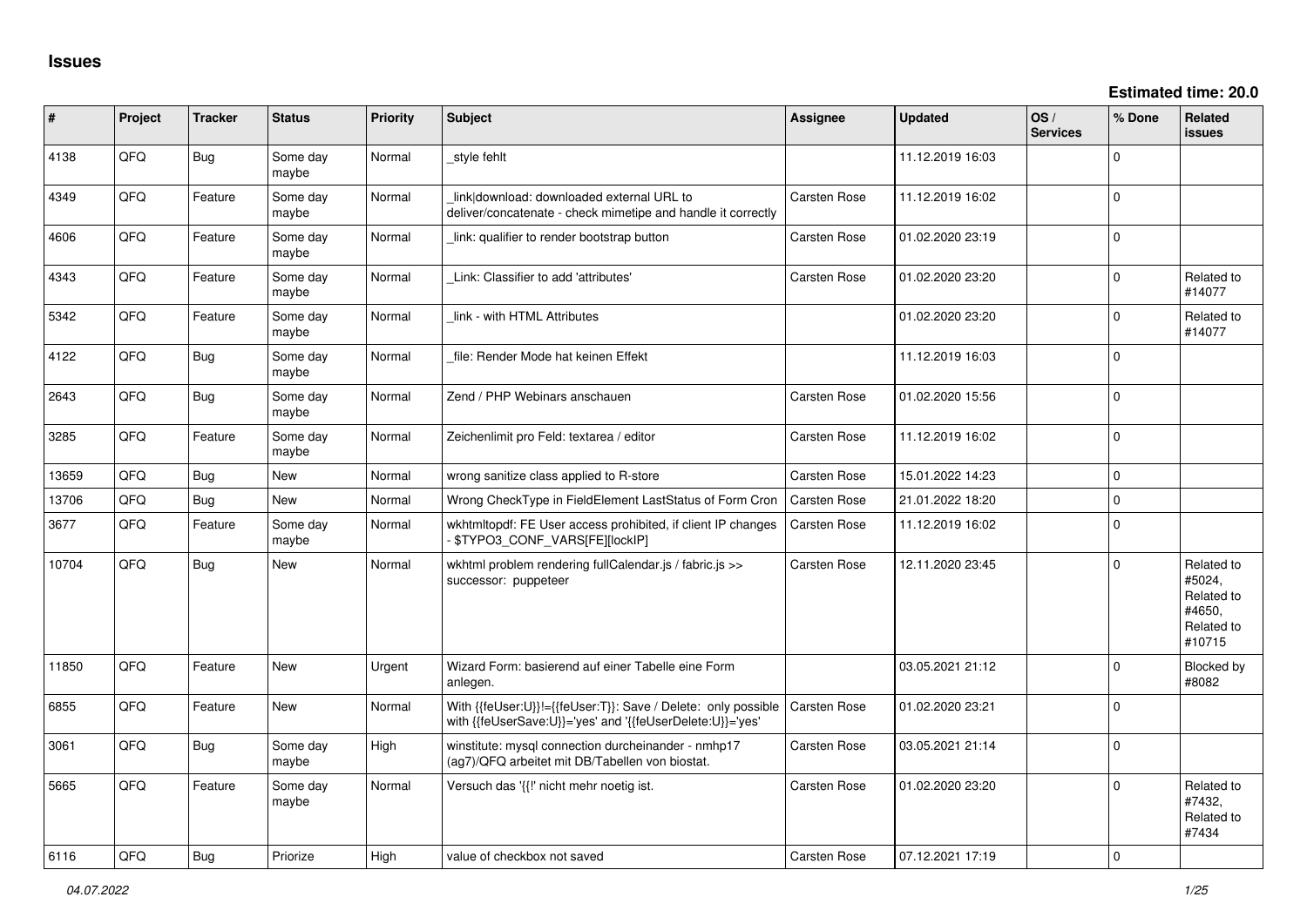| #     | Project | <b>Tracker</b> | <b>Status</b>     | <b>Priority</b> | <b>Subject</b>                                                                                                             | Assignee            | <b>Updated</b>   | OS/<br><b>Services</b> | % Done       | Related<br><b>issues</b>                                             |
|-------|---------|----------------|-------------------|-----------------|----------------------------------------------------------------------------------------------------------------------------|---------------------|------------------|------------------------|--------------|----------------------------------------------------------------------|
| 4138  | QFQ     | <b>Bug</b>     | Some day<br>maybe | Normal          | style fehlt                                                                                                                |                     | 11.12.2019 16:03 |                        | <sup>0</sup> |                                                                      |
| 4349  | QFQ     | Feature        | Some day<br>maybe | Normal          | link download: downloaded external URL to<br>deliver/concatenate - check mimetipe and handle it correctly                  | Carsten Rose        | 11.12.2019 16:02 |                        | $\Omega$     |                                                                      |
| 4606  | QFQ     | Feature        | Some day<br>maybe | Normal          | link: qualifier to render bootstrap button                                                                                 | Carsten Rose        | 01.02.2020 23:19 |                        | $\Omega$     |                                                                      |
| 4343  | QFQ     | Feature        | Some day<br>maybe | Normal          | Link: Classifier to add 'attributes'                                                                                       | Carsten Rose        | 01.02.2020 23:20 |                        | $\Omega$     | Related to<br>#14077                                                 |
| 5342  | QFQ     | Feature        | Some day<br>maybe | Normal          | link - with HTML Attributes                                                                                                |                     | 01.02.2020 23:20 |                        | $\Omega$     | Related to<br>#14077                                                 |
| 4122  | QFQ     | Bug            | Some day<br>maybe | Normal          | file: Render Mode hat keinen Effekt                                                                                        |                     | 11.12.2019 16:03 |                        | $\Omega$     |                                                                      |
| 2643  | QFQ     | <b>Bug</b>     | Some day<br>maybe | Normal          | Zend / PHP Webinars anschauen                                                                                              | Carsten Rose        | 01.02.2020 15:56 |                        | $\Omega$     |                                                                      |
| 3285  | QFQ     | Feature        | Some day<br>maybe | Normal          | Zeichenlimit pro Feld: textarea / editor                                                                                   | Carsten Rose        | 11.12.2019 16:02 |                        | $\Omega$     |                                                                      |
| 13659 | QFQ     | Bug            | <b>New</b>        | Normal          | wrong sanitize class applied to R-store                                                                                    | Carsten Rose        | 15.01.2022 14:23 |                        | $\Omega$     |                                                                      |
| 13706 | QFQ     | Bug            | <b>New</b>        | Normal          | Wrong CheckType in FieldElement LastStatus of Form Cron                                                                    | <b>Carsten Rose</b> | 21.01.2022 18:20 |                        | $\Omega$     |                                                                      |
| 3677  | QFQ     | Feature        | Some day<br>maybe | Normal          | wkhtmltopdf: FE User access prohibited, if client IP changes<br>\$TYPO3_CONF_VARS[FE][lockIP]                              | Carsten Rose        | 11.12.2019 16:02 |                        | $\Omega$     |                                                                      |
| 10704 | QFQ     | Bug            | <b>New</b>        | Normal          | wkhtml problem rendering fullCalendar.js / fabric.js >><br>successor: puppeteer                                            | Carsten Rose        | 12.11.2020 23:45 |                        | $\Omega$     | Related to<br>#5024,<br>Related to<br>#4650,<br>Related to<br>#10715 |
| 11850 | QFQ     | Feature        | <b>New</b>        | Urgent          | Wizard Form: basierend auf einer Tabelle eine Form<br>anlegen.                                                             |                     | 03.05.2021 21:12 |                        | $\Omega$     | Blocked by<br>#8082                                                  |
| 6855  | QFQ     | Feature        | New               | Normal          | With {{feUser:U}}!={{feUser:T}}: Save / Delete: only possible<br>with {{feUserSave:U}}='yes' and '{{feUserDelete:U}}='yes' | Carsten Rose        | 01.02.2020 23:21 |                        | $\Omega$     |                                                                      |
| 3061  | QFQ     | Bug            | Some day<br>maybe | High            | winstitute: mysql connection durcheinander - nmhp17<br>(ag7)/QFQ arbeitet mit DB/Tabellen von biostat.                     | Carsten Rose        | 03.05.2021 21:14 |                        | $\Omega$     |                                                                      |
| 5665  | QFQ     | Feature        | Some day<br>maybe | Normal          | Versuch das '{{!' nicht mehr noetig ist.                                                                                   | Carsten Rose        | 01.02.2020 23:20 |                        | $\Omega$     | Related to<br>#7432.<br>Related to<br>#7434                          |
| 6116  | OFO     | <b>Bug</b>     | Priorize          | <b>High</b>     | value of checkbox not saved                                                                                                | <b>Carsten Rose</b> | 07.12.2021 17:19 |                        | $\Omega$     |                                                                      |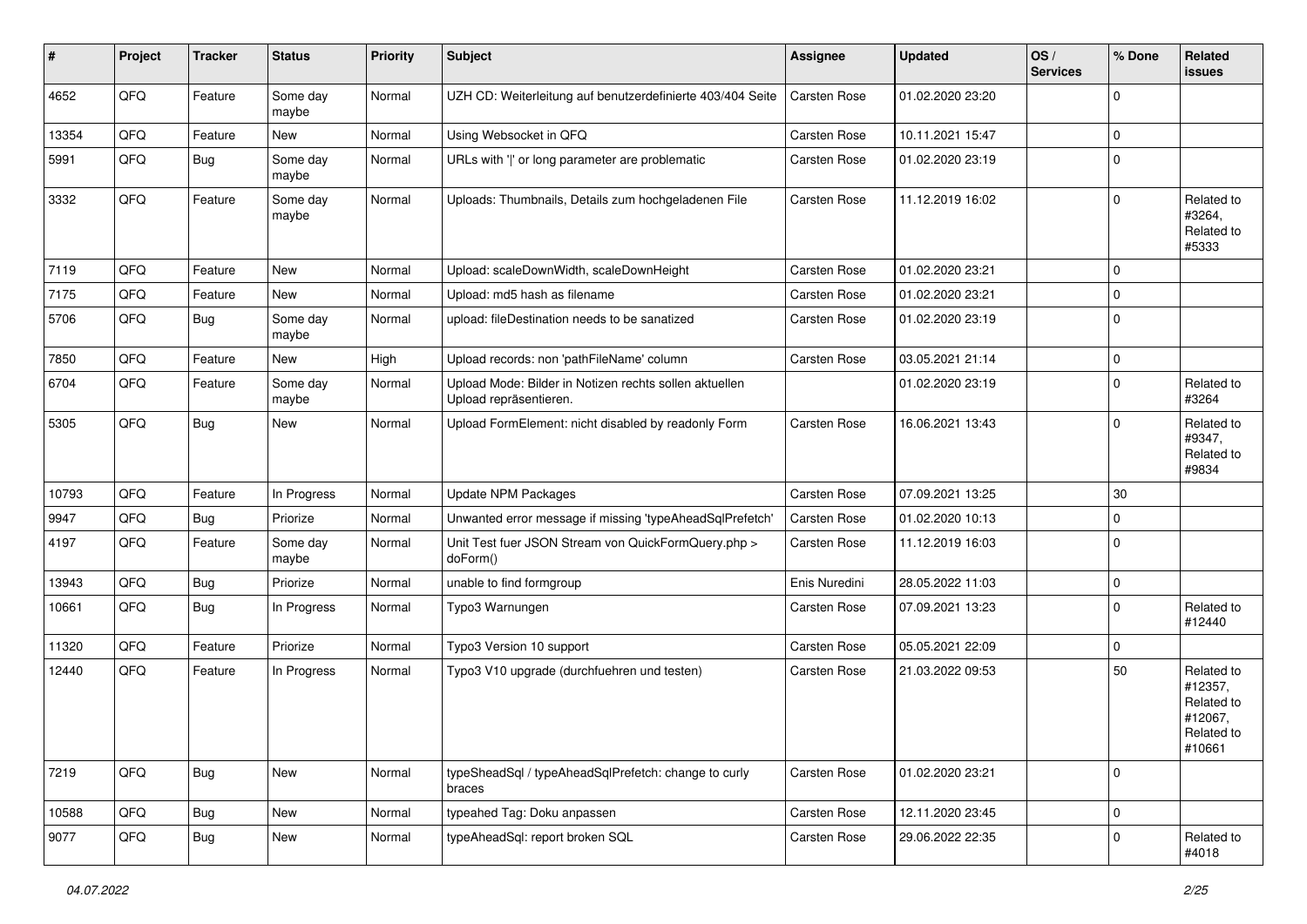| $\vert$ # | Project | <b>Tracker</b> | <b>Status</b>     | <b>Priority</b> | <b>Subject</b>                                                                   | <b>Assignee</b> | <b>Updated</b>   | OS/<br><b>Services</b> | % Done      | Related<br><b>issues</b>                                               |
|-----------|---------|----------------|-------------------|-----------------|----------------------------------------------------------------------------------|-----------------|------------------|------------------------|-------------|------------------------------------------------------------------------|
| 4652      | QFQ     | Feature        | Some day<br>maybe | Normal          | UZH CD: Weiterleitung auf benutzerdefinierte 403/404 Seite                       | Carsten Rose    | 01.02.2020 23:20 |                        | $\Omega$    |                                                                        |
| 13354     | QFQ     | Feature        | New               | Normal          | Using Websocket in QFQ                                                           | Carsten Rose    | 10.11.2021 15:47 |                        | $\mathbf 0$ |                                                                        |
| 5991      | QFQ     | Bug            | Some day<br>maybe | Normal          | URLs with ' ' or long parameter are problematic                                  | Carsten Rose    | 01.02.2020 23:19 |                        | 0           |                                                                        |
| 3332      | QFQ     | Feature        | Some day<br>maybe | Normal          | Uploads: Thumbnails, Details zum hochgeladenen File                              | Carsten Rose    | 11.12.2019 16:02 |                        | $\Omega$    | Related to<br>#3264,<br>Related to<br>#5333                            |
| 7119      | QFQ     | Feature        | New               | Normal          | Upload: scaleDownWidth, scaleDownHeight                                          | Carsten Rose    | 01.02.2020 23:21 |                        | 0           |                                                                        |
| 7175      | QFQ     | Feature        | New               | Normal          | Upload: md5 hash as filename                                                     | Carsten Rose    | 01.02.2020 23:21 |                        | $\mathbf 0$ |                                                                        |
| 5706      | QFQ     | <b>Bug</b>     | Some day<br>maybe | Normal          | upload: fileDestination needs to be sanatized                                    | Carsten Rose    | 01.02.2020 23:19 |                        | $\mathbf 0$ |                                                                        |
| 7850      | QFQ     | Feature        | New               | High            | Upload records: non 'pathFileName' column                                        | Carsten Rose    | 03.05.2021 21:14 |                        | 0           |                                                                        |
| 6704      | QFQ     | Feature        | Some day<br>maybe | Normal          | Upload Mode: Bilder in Notizen rechts sollen aktuellen<br>Upload repräsentieren. |                 | 01.02.2020 23:19 |                        | $\Omega$    | Related to<br>#3264                                                    |
| 5305      | QFQ     | Bug            | <b>New</b>        | Normal          | Upload FormElement: nicht disabled by readonly Form                              | Carsten Rose    | 16.06.2021 13:43 |                        | $\Omega$    | Related to<br>#9347,<br>Related to<br>#9834                            |
| 10793     | QFQ     | Feature        | In Progress       | Normal          | <b>Update NPM Packages</b>                                                       | Carsten Rose    | 07.09.2021 13:25 |                        | 30          |                                                                        |
| 9947      | QFQ     | Bug            | Priorize          | Normal          | Unwanted error message if missing 'typeAheadSqlPrefetch'                         | Carsten Rose    | 01.02.2020 10:13 |                        | $\Omega$    |                                                                        |
| 4197      | QFQ     | Feature        | Some day<br>maybe | Normal          | Unit Test fuer JSON Stream von QuickFormQuery.php ><br>doForm()                  | Carsten Rose    | 11.12.2019 16:03 |                        | $\mathbf 0$ |                                                                        |
| 13943     | QFQ     | <b>Bug</b>     | Priorize          | Normal          | unable to find formgroup                                                         | Enis Nuredini   | 28.05.2022 11:03 |                        | $\mathbf 0$ |                                                                        |
| 10661     | QFQ     | <b>Bug</b>     | In Progress       | Normal          | Typo3 Warnungen                                                                  | Carsten Rose    | 07.09.2021 13:23 |                        | $\Omega$    | Related to<br>#12440                                                   |
| 11320     | QFQ     | Feature        | Priorize          | Normal          | Typo3 Version 10 support                                                         | Carsten Rose    | 05.05.2021 22:09 |                        | $\mathbf 0$ |                                                                        |
| 12440     | QFQ     | Feature        | In Progress       | Normal          | Typo3 V10 upgrade (durchfuehren und testen)                                      | Carsten Rose    | 21.03.2022 09:53 |                        | 50          | Related to<br>#12357,<br>Related to<br>#12067,<br>Related to<br>#10661 |
| 7219      | QFG     | <b>Bug</b>     | New               | Normal          | typeSheadSql / typeAheadSqlPrefetch: change to curly<br>braces                   | Carsten Rose    | 01.02.2020 23:21 |                        | $\mathbf 0$ |                                                                        |
| 10588     | QFQ     | <b>Bug</b>     | New               | Normal          | typeahed Tag: Doku anpassen                                                      | Carsten Rose    | 12.11.2020 23:45 |                        | $\mathbf 0$ |                                                                        |
| 9077      | QFQ     | <b>Bug</b>     | New               | Normal          | typeAheadSql: report broken SQL                                                  | Carsten Rose    | 29.06.2022 22:35 |                        | 0           | Related to<br>#4018                                                    |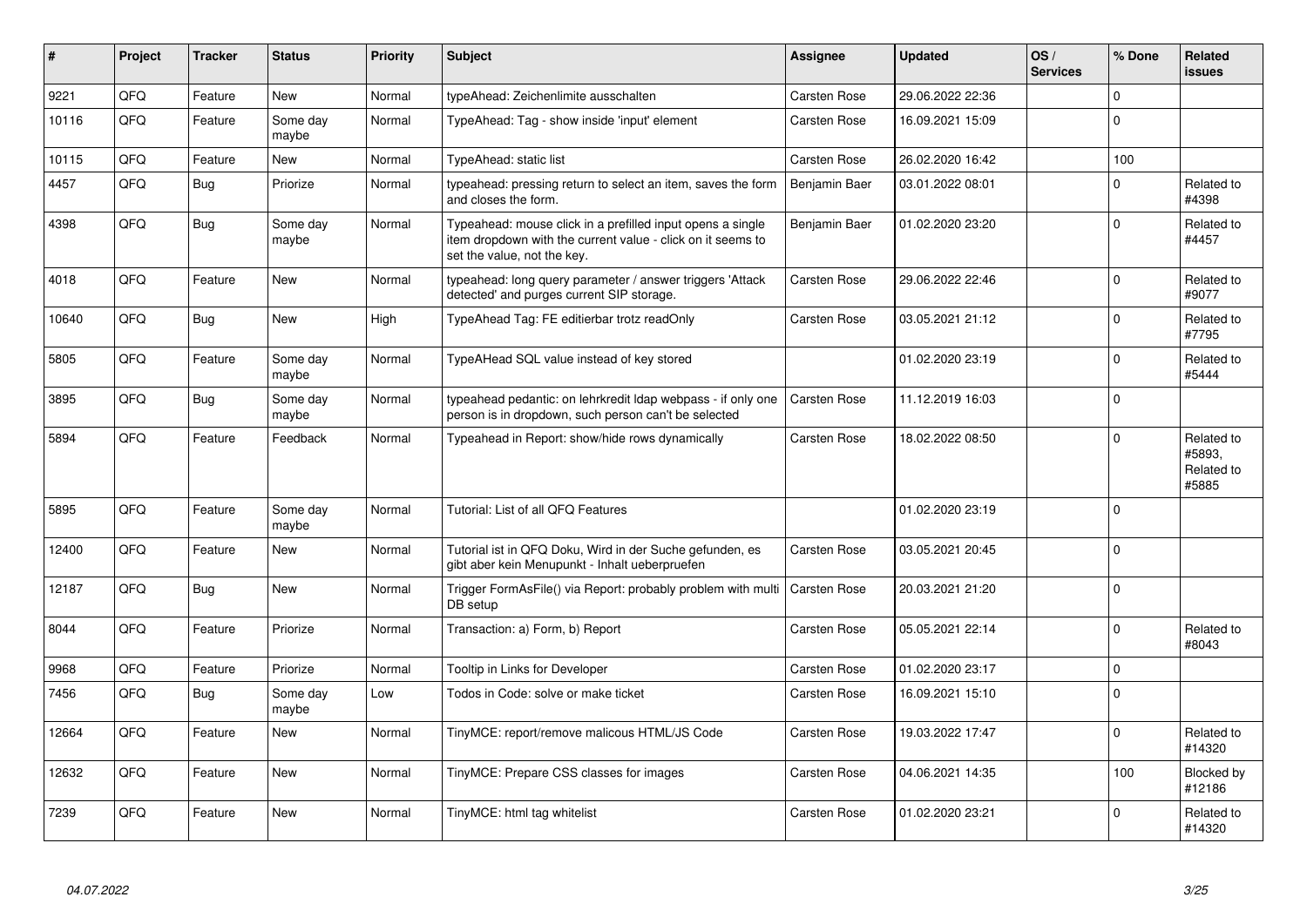| #     | Project    | <b>Tracker</b> | <b>Status</b>     | <b>Priority</b> | <b>Subject</b>                                                                                                                                           | <b>Assignee</b>     | <b>Updated</b>   | OS/<br><b>Services</b> | % Done       | Related<br><b>issues</b>                    |
|-------|------------|----------------|-------------------|-----------------|----------------------------------------------------------------------------------------------------------------------------------------------------------|---------------------|------------------|------------------------|--------------|---------------------------------------------|
| 9221  | QFQ        | Feature        | <b>New</b>        | Normal          | typeAhead: Zeichenlimite ausschalten                                                                                                                     | <b>Carsten Rose</b> | 29.06.2022 22:36 |                        | $\mathbf 0$  |                                             |
| 10116 | QFQ        | Feature        | Some day<br>maybe | Normal          | TypeAhead: Tag - show inside 'input' element                                                                                                             | Carsten Rose        | 16.09.2021 15:09 |                        | $\Omega$     |                                             |
| 10115 | QFQ        | Feature        | New               | Normal          | TypeAhead: static list                                                                                                                                   | Carsten Rose        | 26.02.2020 16:42 |                        | 100          |                                             |
| 4457  | QFQ        | <b>Bug</b>     | Priorize          | Normal          | typeahead: pressing return to select an item, saves the form<br>and closes the form.                                                                     | Benjamin Baer       | 03.01.2022 08:01 |                        | $\Omega$     | Related to<br>#4398                         |
| 4398  | QFQ        | Bug            | Some day<br>maybe | Normal          | Typeahead: mouse click in a prefilled input opens a single<br>item dropdown with the current value - click on it seems to<br>set the value, not the key. | Benjamin Baer       | 01.02.2020 23:20 |                        | $\Omega$     | Related to<br>#4457                         |
| 4018  | QFQ        | Feature        | New               | Normal          | typeahead: long query parameter / answer triggers 'Attack<br>detected' and purges current SIP storage.                                                   | <b>Carsten Rose</b> | 29.06.2022 22:46 |                        | $\Omega$     | Related to<br>#9077                         |
| 10640 | QFQ        | Bug            | New               | High            | TypeAhead Tag: FE editierbar trotz readOnly                                                                                                              | <b>Carsten Rose</b> | 03.05.2021 21:12 |                        | $\Omega$     | Related to<br>#7795                         |
| 5805  | <b>OFO</b> | Feature        | Some day<br>maybe | Normal          | TypeAHead SQL value instead of key stored                                                                                                                |                     | 01.02.2020 23:19 |                        | $\Omega$     | Related to<br>#5444                         |
| 3895  | QFQ        | <b>Bug</b>     | Some day<br>maybe | Normal          | typeahead pedantic: on lehrkredit Idap webpass - if only one<br>person is in dropdown, such person can't be selected                                     | <b>Carsten Rose</b> | 11.12.2019 16:03 |                        | $\Omega$     |                                             |
| 5894  | QFQ        | Feature        | Feedback          | Normal          | Typeahead in Report: show/hide rows dynamically                                                                                                          | <b>Carsten Rose</b> | 18.02.2022 08:50 |                        | $\mathbf{0}$ | Related to<br>#5893.<br>Related to<br>#5885 |
| 5895  | QFQ        | Feature        | Some day<br>maybe | Normal          | Tutorial: List of all QFQ Features                                                                                                                       |                     | 01.02.2020 23:19 |                        | $\Omega$     |                                             |
| 12400 | QFQ        | Feature        | New               | Normal          | Tutorial ist in QFQ Doku, Wird in der Suche gefunden, es<br>gibt aber kein Menupunkt - Inhalt ueberpruefen                                               | <b>Carsten Rose</b> | 03.05.2021 20:45 |                        | $\mathbf 0$  |                                             |
| 12187 | QFQ        | Bug            | New               | Normal          | Trigger FormAsFile() via Report: probably problem with multi<br>DB setup                                                                                 | Carsten Rose        | 20.03.2021 21:20 |                        | $\Omega$     |                                             |
| 8044  | QFQ        | Feature        | Priorize          | Normal          | Transaction: a) Form, b) Report                                                                                                                          | <b>Carsten Rose</b> | 05.05.2021 22:14 |                        | $\Omega$     | Related to<br>#8043                         |
| 9968  | QFQ        | Feature        | Priorize          | Normal          | Tooltip in Links for Developer                                                                                                                           | <b>Carsten Rose</b> | 01.02.2020 23:17 |                        | $\Omega$     |                                             |
| 7456  | QFQ        | <b>Bug</b>     | Some day<br>maybe | Low             | Todos in Code: solve or make ticket                                                                                                                      | <b>Carsten Rose</b> | 16.09.2021 15:10 |                        | $\Omega$     |                                             |
| 12664 | QFQ        | Feature        | New               | Normal          | TinyMCE: report/remove malicous HTML/JS Code                                                                                                             | <b>Carsten Rose</b> | 19.03.2022 17:47 |                        | $\Omega$     | Related to<br>#14320                        |
| 12632 | QFQ        | Feature        | New               | Normal          | TinyMCE: Prepare CSS classes for images                                                                                                                  | Carsten Rose        | 04.06.2021 14:35 |                        | 100          | Blocked by<br>#12186                        |
| 7239  | QFQ        | Feature        | New               | Normal          | TinyMCE: html tag whitelist                                                                                                                              | Carsten Rose        | 01.02.2020 23:21 |                        | $\Omega$     | Related to<br>#14320                        |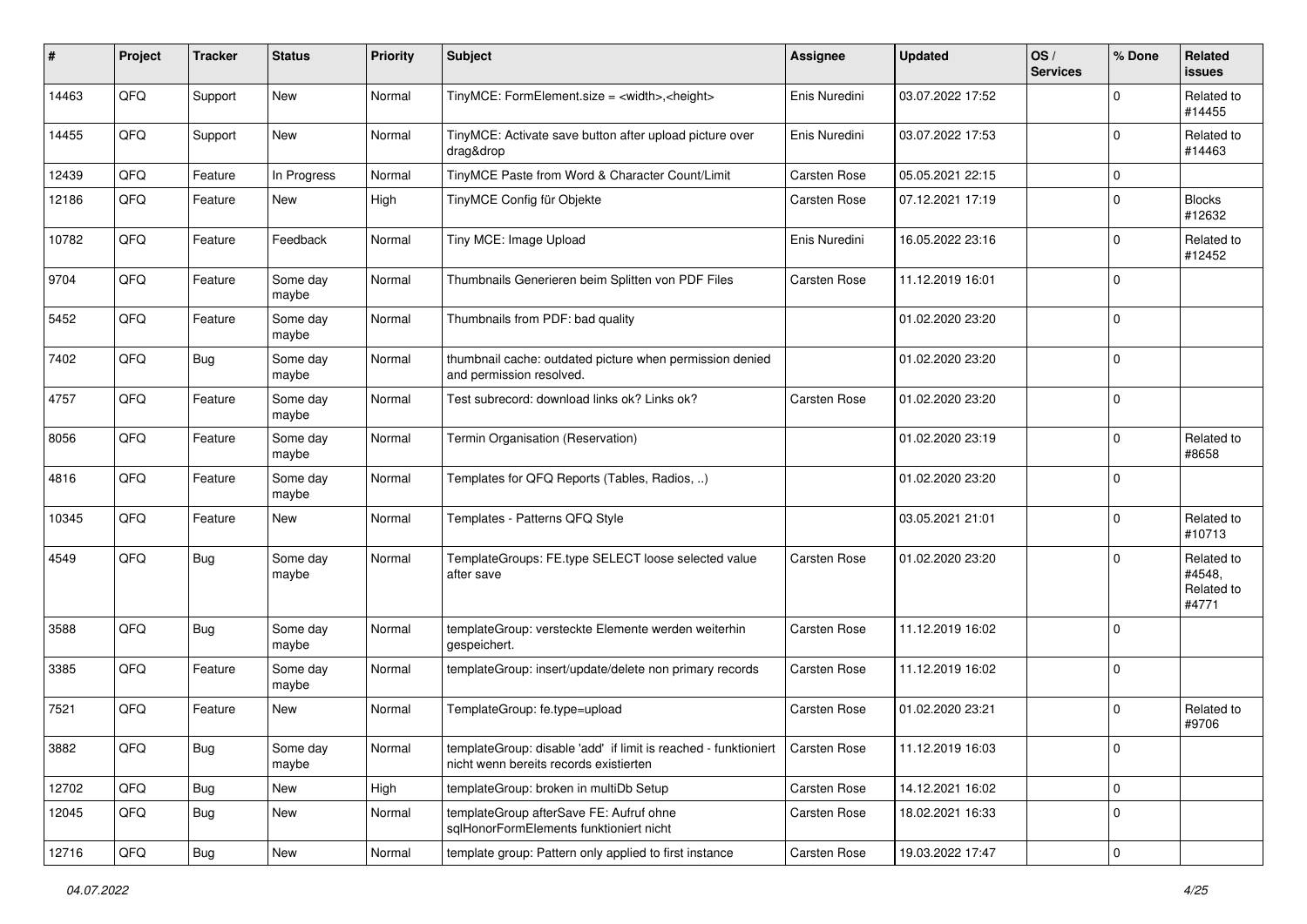| #     | Project | <b>Tracker</b> | <b>Status</b>     | <b>Priority</b> | Subject                                                                                                   | <b>Assignee</b>     | <b>Updated</b>   | OS/<br><b>Services</b> | % Done              | Related<br><b>issues</b>                    |
|-------|---------|----------------|-------------------|-----------------|-----------------------------------------------------------------------------------------------------------|---------------------|------------------|------------------------|---------------------|---------------------------------------------|
| 14463 | QFQ     | Support        | New               | Normal          | TinyMCE: FormElement.size = <width>,<height></height></width>                                             | Enis Nuredini       | 03.07.2022 17:52 |                        | $\mathbf 0$         | Related to<br>#14455                        |
| 14455 | QFQ     | Support        | New               | Normal          | TinyMCE: Activate save button after upload picture over<br>drag&drop                                      | Enis Nuredini       | 03.07.2022 17:53 |                        | $\mathbf 0$         | Related to<br>#14463                        |
| 12439 | QFQ     | Feature        | In Progress       | Normal          | TinyMCE Paste from Word & Character Count/Limit                                                           | Carsten Rose        | 05.05.2021 22:15 |                        | $\mathbf 0$         |                                             |
| 12186 | QFQ     | Feature        | New               | High            | TinyMCE Config für Objekte                                                                                | Carsten Rose        | 07.12.2021 17:19 |                        | $\mathbf 0$         | <b>Blocks</b><br>#12632                     |
| 10782 | QFQ     | Feature        | Feedback          | Normal          | Tiny MCE: Image Upload                                                                                    | Enis Nuredini       | 16.05.2022 23:16 |                        | $\mathbf 0$         | Related to<br>#12452                        |
| 9704  | QFQ     | Feature        | Some day<br>maybe | Normal          | Thumbnails Generieren beim Splitten von PDF Files                                                         | Carsten Rose        | 11.12.2019 16:01 |                        | $\mathbf 0$         |                                             |
| 5452  | QFQ     | Feature        | Some day<br>maybe | Normal          | Thumbnails from PDF: bad quality                                                                          |                     | 01.02.2020 23:20 |                        | $\mathbf 0$         |                                             |
| 7402  | QFQ     | <b>Bug</b>     | Some day<br>maybe | Normal          | thumbnail cache: outdated picture when permission denied<br>and permission resolved.                      |                     | 01.02.2020 23:20 |                        | $\mathbf 0$         |                                             |
| 4757  | QFQ     | Feature        | Some day<br>maybe | Normal          | Test subrecord: download links ok? Links ok?                                                              | Carsten Rose        | 01.02.2020 23:20 |                        | $\mathbf 0$         |                                             |
| 8056  | QFQ     | Feature        | Some day<br>maybe | Normal          | Termin Organisation (Reservation)                                                                         |                     | 01.02.2020 23:19 |                        | $\mathbf 0$         | Related to<br>#8658                         |
| 4816  | QFQ     | Feature        | Some day<br>maybe | Normal          | Templates for QFQ Reports (Tables, Radios, )                                                              |                     | 01.02.2020 23:20 |                        | $\mathbf 0$         |                                             |
| 10345 | QFQ     | Feature        | New               | Normal          | Templates - Patterns QFQ Style                                                                            |                     | 03.05.2021 21:01 |                        | $\Omega$            | Related to<br>#10713                        |
| 4549  | QFQ     | Bug            | Some day<br>maybe | Normal          | TemplateGroups: FE.type SELECT loose selected value<br>after save                                         | Carsten Rose        | 01.02.2020 23:20 |                        | $\mathbf 0$         | Related to<br>#4548,<br>Related to<br>#4771 |
| 3588  | QFQ     | <b>Bug</b>     | Some day<br>maybe | Normal          | templateGroup: versteckte Elemente werden weiterhin<br>gespeichert.                                       | Carsten Rose        | 11.12.2019 16:02 |                        | $\mathbf 0$         |                                             |
| 3385  | QFQ     | Feature        | Some day<br>maybe | Normal          | templateGroup: insert/update/delete non primary records                                                   | Carsten Rose        | 11.12.2019 16:02 |                        | $\mathbf 0$         |                                             |
| 7521  | QFQ     | Feature        | <b>New</b>        | Normal          | TemplateGroup: fe.type=upload                                                                             | <b>Carsten Rose</b> | 01.02.2020 23:21 |                        | $\mathbf 0$         | Related to<br>#9706                         |
| 3882  | QFQ     | <b>Bug</b>     | Some day<br>maybe | Normal          | templateGroup: disable 'add' if limit is reached - funktioniert<br>nicht wenn bereits records existierten | Carsten Rose        | 11.12.2019 16:03 |                        | 0                   |                                             |
| 12702 | QFQ     | <b>Bug</b>     | New               | High            | templateGroup: broken in multiDb Setup                                                                    | Carsten Rose        | 14.12.2021 16:02 |                        | $\mathsf{O}\xspace$ |                                             |
| 12045 | QFQ     | <b>Bug</b>     | New               | Normal          | templateGroup afterSave FE: Aufruf ohne<br>sqlHonorFormElements funktioniert nicht                        | Carsten Rose        | 18.02.2021 16:33 |                        | $\mathbf 0$         |                                             |
| 12716 | QFG     | Bug            | New               | Normal          | template group: Pattern only applied to first instance                                                    | Carsten Rose        | 19.03.2022 17:47 |                        | $\mathsf{O}\xspace$ |                                             |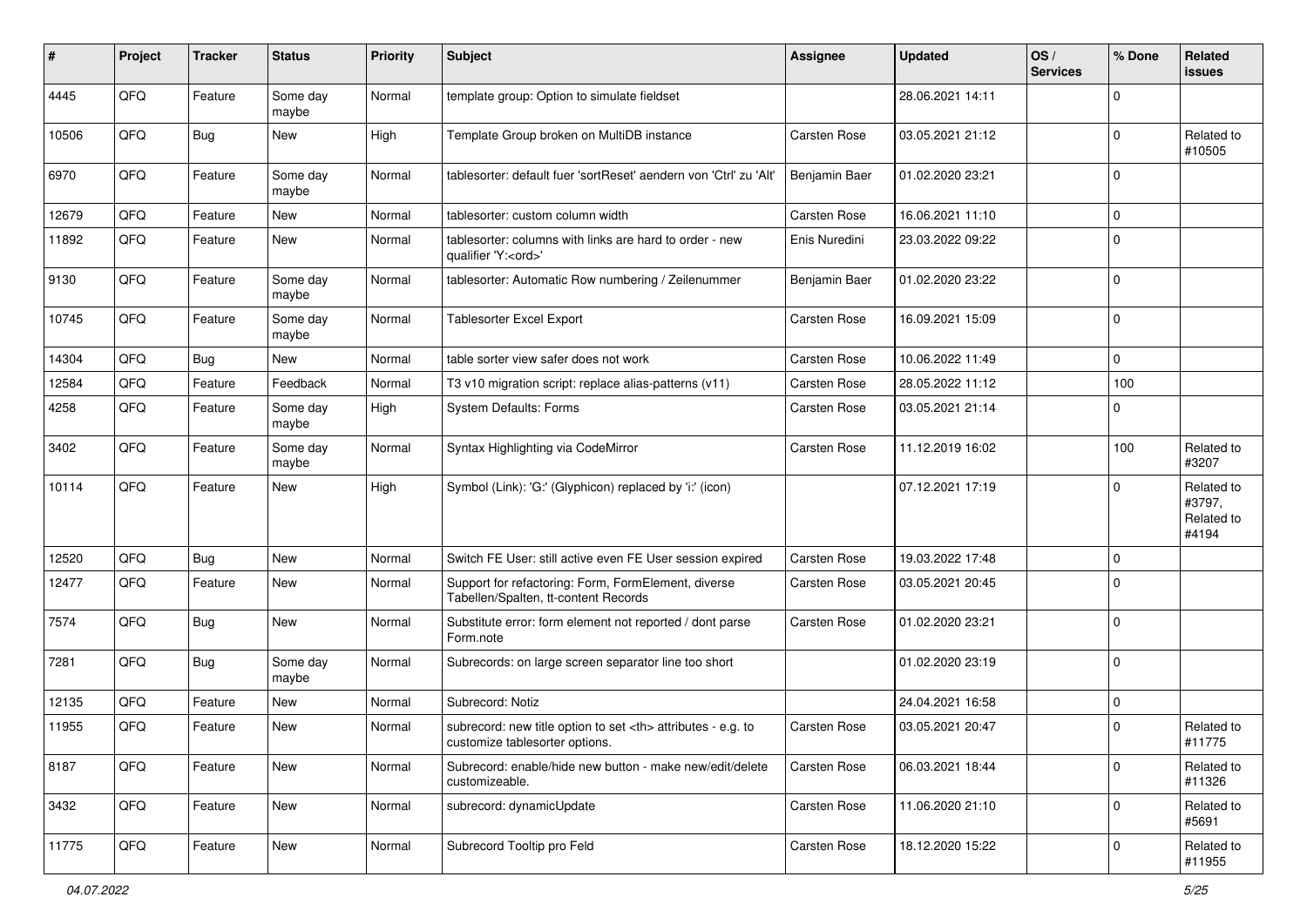| #     | Project | <b>Tracker</b> | <b>Status</b>     | <b>Priority</b> | <b>Subject</b>                                                                                       | <b>Assignee</b>                                        | <b>Updated</b>   | OS/<br><b>Services</b> | % Done       | Related<br><b>issues</b>                    |                      |
|-------|---------|----------------|-------------------|-----------------|------------------------------------------------------------------------------------------------------|--------------------------------------------------------|------------------|------------------------|--------------|---------------------------------------------|----------------------|
| 4445  | QFQ     | Feature        | Some day<br>maybe | Normal          | template group: Option to simulate fieldset                                                          |                                                        | 28.06.2021 14:11 |                        | $\Omega$     |                                             |                      |
| 10506 | QFQ     | <b>Bug</b>     | New               | High            | Template Group broken on MultiDB instance                                                            | <b>Carsten Rose</b>                                    | 03.05.2021 21:12 |                        | $\mathbf 0$  | Related to<br>#10505                        |                      |
| 6970  | QFQ     | Feature        | Some day<br>maybe | Normal          | tablesorter: default fuer 'sortReset' aendern von 'Ctrl' zu 'Alt'                                    | Benjamin Baer                                          | 01.02.2020 23:21 |                        | $\Omega$     |                                             |                      |
| 12679 | QFQ     | Feature        | <b>New</b>        | Normal          | tablesorter: custom column width                                                                     | Carsten Rose                                           | 16.06.2021 11:10 |                        | $\mathbf 0$  |                                             |                      |
| 11892 | QFQ     | Feature        | New               | Normal          | tablesorter: columns with links are hard to order - new<br>qualifier 'Y: <ord>'</ord>                | Enis Nuredini                                          | 23.03.2022 09:22 |                        | $\Omega$     |                                             |                      |
| 9130  | QFQ     | Feature        | Some day<br>maybe | Normal          | tablesorter: Automatic Row numbering / Zeilenummer                                                   | Benjamin Baer                                          | 01.02.2020 23:22 |                        | I٥           |                                             |                      |
| 10745 | QFQ     | Feature        | Some day<br>maybe | Normal          | <b>Tablesorter Excel Export</b>                                                                      | <b>Carsten Rose</b>                                    | 16.09.2021 15:09 |                        | l 0          |                                             |                      |
| 14304 | QFQ     | Bug            | <b>New</b>        | Normal          | table sorter view safer does not work                                                                | Carsten Rose                                           | 10.06.2022 11:49 |                        | $\mathbf 0$  |                                             |                      |
| 12584 | QFQ     | Feature        | Feedback          | Normal          | T3 v10 migration script: replace alias-patterns (v11)                                                | <b>Carsten Rose</b>                                    | 28.05.2022 11:12 |                        | 100          |                                             |                      |
| 4258  | QFQ     | Feature        | Some day<br>maybe | High            | <b>System Defaults: Forms</b>                                                                        | Carsten Rose                                           | 03.05.2021 21:14 |                        | $\Omega$     |                                             |                      |
| 3402  | QFQ     | Feature        | Some day<br>maybe | Normal          | Syntax Highlighting via CodeMirror                                                                   | Carsten Rose                                           | 11.12.2019 16:02 |                        | 100          | Related to<br>#3207                         |                      |
| 10114 | QFQ     | Feature        | New               | High            | Symbol (Link): 'G:' (Glyphicon) replaced by 'i:' (icon)                                              |                                                        | 07.12.2021 17:19 |                        | $\Omega$     | Related to<br>#3797,<br>Related to<br>#4194 |                      |
| 12520 | QFQ     | Bug            | <b>New</b>        | Normal          | Switch FE User: still active even FE User session expired                                            | <b>Carsten Rose</b>                                    | 19.03.2022 17:48 |                        | $\mathbf{0}$ |                                             |                      |
| 12477 | QFQ     | Feature        | New               | Normal          | Support for refactoring: Form, FormElement, diverse<br>Tabellen/Spalten, tt-content Records          | Carsten Rose                                           | 03.05.2021 20:45 |                        | l 0          |                                             |                      |
| 7574  | QFQ     | Bug            | <b>New</b>        | Normal          | Substitute error: form element not reported / dont parse<br>Form.note                                | Carsten Rose                                           | 01.02.2020 23:21 |                        | $\Omega$     |                                             |                      |
| 7281  | QFQ     | Bug            | Some day<br>maybe | Normal          | Subrecords: on large screen separator line too short                                                 |                                                        | 01.02.2020 23:19 |                        | $\Omega$     |                                             |                      |
| 12135 | QFQ     | Feature        | <b>New</b>        | Normal          | Subrecord: Notiz                                                                                     |                                                        | 24.04.2021 16:58 |                        | l o          |                                             |                      |
| 11955 | QFQ     | Feature        | New               | Normal          | subrecord: new title option to set <th> attributes - e.g. to<br/>customize tablesorter options.</th> | attributes - e.g. to<br>customize tablesorter options. | Carsten Rose     | 03.05.2021 20:47       |              | $\Omega$                                    | Related to<br>#11775 |
| 8187  | QFQ     | Feature        | New               | Normal          | Subrecord: enable/hide new button - make new/edit/delete<br>customizeable.                           | Carsten Rose                                           | 06.03.2021 18:44 |                        | l 0          | Related to<br>#11326                        |                      |
| 3432  | QFQ     | Feature        | New               | Normal          | subrecord: dynamicUpdate                                                                             | Carsten Rose                                           | 11.06.2020 21:10 |                        | $\mathbf 0$  | Related to<br>#5691                         |                      |
| 11775 | QFQ     | Feature        | New               | Normal          | Subrecord Tooltip pro Feld                                                                           | Carsten Rose                                           | 18.12.2020 15:22 |                        | $\mathbf 0$  | Related to<br>#11955                        |                      |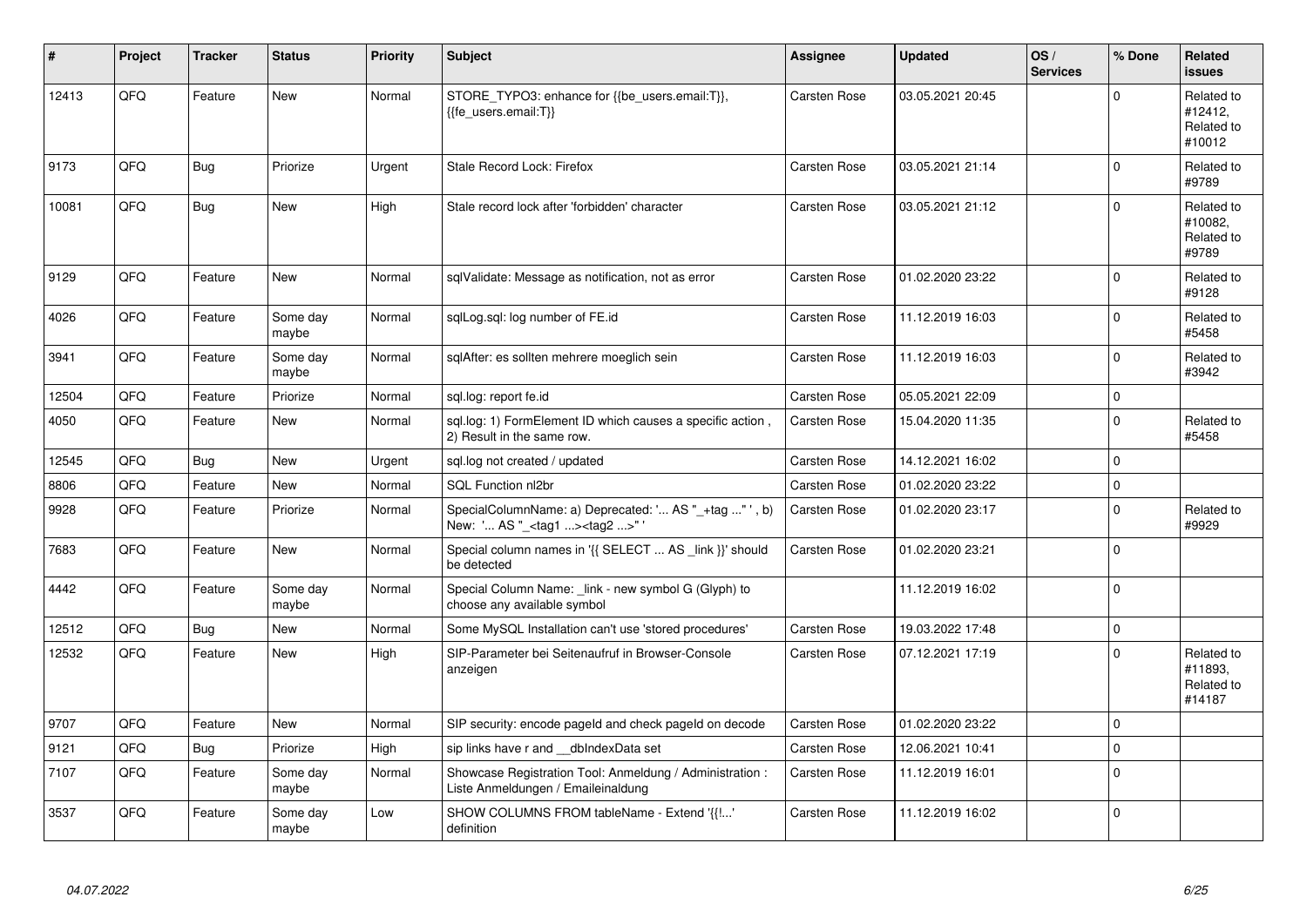| ∦     | Project | <b>Tracker</b> | <b>Status</b>     | <b>Priority</b> | <b>Subject</b>                                                                                     | <b>Assignee</b>     | <b>Updated</b>   | OS/<br><b>Services</b> | % Done      | Related<br><b>issues</b>                      |
|-------|---------|----------------|-------------------|-----------------|----------------------------------------------------------------------------------------------------|---------------------|------------------|------------------------|-------------|-----------------------------------------------|
| 12413 | QFQ     | Feature        | <b>New</b>        | Normal          | STORE_TYPO3: enhance for {{be_users.email:T}},<br>{{fe users.email:T}}                             | Carsten Rose        | 03.05.2021 20:45 |                        | $\Omega$    | Related to<br>#12412,<br>Related to<br>#10012 |
| 9173  | QFQ     | <b>Bug</b>     | Priorize          | Urgent          | Stale Record Lock: Firefox                                                                         | <b>Carsten Rose</b> | 03.05.2021 21:14 |                        | $\Omega$    | Related to<br>#9789                           |
| 10081 | QFQ     | <b>Bug</b>     | <b>New</b>        | High            | Stale record lock after 'forbidden' character                                                      | <b>Carsten Rose</b> | 03.05.2021 21:12 |                        | $\Omega$    | Related to<br>#10082,<br>Related to<br>#9789  |
| 9129  | QFQ     | Feature        | New               | Normal          | sqlValidate: Message as notification, not as error                                                 | Carsten Rose        | 01.02.2020 23:22 |                        | $\Omega$    | Related to<br>#9128                           |
| 4026  | QFQ     | Feature        | Some day<br>maybe | Normal          | sqlLog.sql: log number of FE.id                                                                    | Carsten Rose        | 11.12.2019 16:03 |                        | $\Omega$    | Related to<br>#5458                           |
| 3941  | QFQ     | Feature        | Some day<br>maybe | Normal          | sqlAfter: es sollten mehrere moeglich sein                                                         | Carsten Rose        | 11.12.2019 16:03 |                        | $\Omega$    | Related to<br>#3942                           |
| 12504 | QFQ     | Feature        | Priorize          | Normal          | sql.log: report fe.id                                                                              | <b>Carsten Rose</b> | 05.05.2021 22:09 |                        | $\Omega$    |                                               |
| 4050  | QFQ     | Feature        | New               | Normal          | sql.log: 1) FormElement ID which causes a specific action,<br>2) Result in the same row.           | Carsten Rose        | 15.04.2020 11:35 |                        | $\Omega$    | Related to<br>#5458                           |
| 12545 | QFQ     | <b>Bug</b>     | <b>New</b>        | Urgent          | sql.log not created / updated                                                                      | Carsten Rose        | 14.12.2021 16:02 |                        | $\Omega$    |                                               |
| 8806  | QFQ     | Feature        | New               | Normal          | SQL Function nl2br                                                                                 | <b>Carsten Rose</b> | 01.02.2020 23:22 |                        | $\Omega$    |                                               |
| 9928  | QFQ     | Feature        | Priorize          | Normal          | SpecialColumnName: a) Deprecated: ' AS "_+tag " ', b)<br>New: ' AS "_ <tag1><tag2>"'</tag2></tag1> | <b>Carsten Rose</b> | 01.02.2020 23:17 |                        | $\Omega$    | Related to<br>#9929                           |
| 7683  | QFQ     | Feature        | New               | Normal          | Special column names in '{{ SELECT  AS link }}' should<br>be detected                              | Carsten Rose        | 01.02.2020 23:21 |                        | $\Omega$    |                                               |
| 4442  | QFQ     | Feature        | Some day<br>maybe | Normal          | Special Column Name: _link - new symbol G (Glyph) to<br>choose any available symbol                |                     | 11.12.2019 16:02 |                        | $\Omega$    |                                               |
| 12512 | QFQ     | <b>Bug</b>     | New               | Normal          | Some MySQL Installation can't use 'stored procedures'                                              | <b>Carsten Rose</b> | 19.03.2022 17:48 |                        | $\Omega$    |                                               |
| 12532 | QFQ     | Feature        | New               | High            | SIP-Parameter bei Seitenaufruf in Browser-Console<br>anzeigen                                      | Carsten Rose        | 07.12.2021 17:19 |                        | $\Omega$    | Related to<br>#11893,<br>Related to<br>#14187 |
| 9707  | QFQ     | Feature        | <b>New</b>        | Normal          | SIP security: encode pageld and check pageld on decode                                             | <b>Carsten Rose</b> | 01.02.2020 23:22 |                        | $\mathbf 0$ |                                               |
| 9121  | QFQ     | <b>Bug</b>     | Priorize          | High            | sip links have r and __dbIndexData set                                                             | Carsten Rose        | 12.06.2021 10:41 |                        | $\Omega$    |                                               |
| 7107  | QFQ     | Feature        | Some day<br>maybe | Normal          | Showcase Registration Tool: Anmeldung / Administration :<br>Liste Anmeldungen / Emaileinaldung     | Carsten Rose        | 11.12.2019 16:01 |                        | $\Omega$    |                                               |
| 3537  | QFQ     | Feature        | Some day<br>maybe | Low             | SHOW COLUMNS FROM tableName - Extend '{{!'<br>definition                                           | Carsten Rose        | 11.12.2019 16:02 |                        | $\Omega$    |                                               |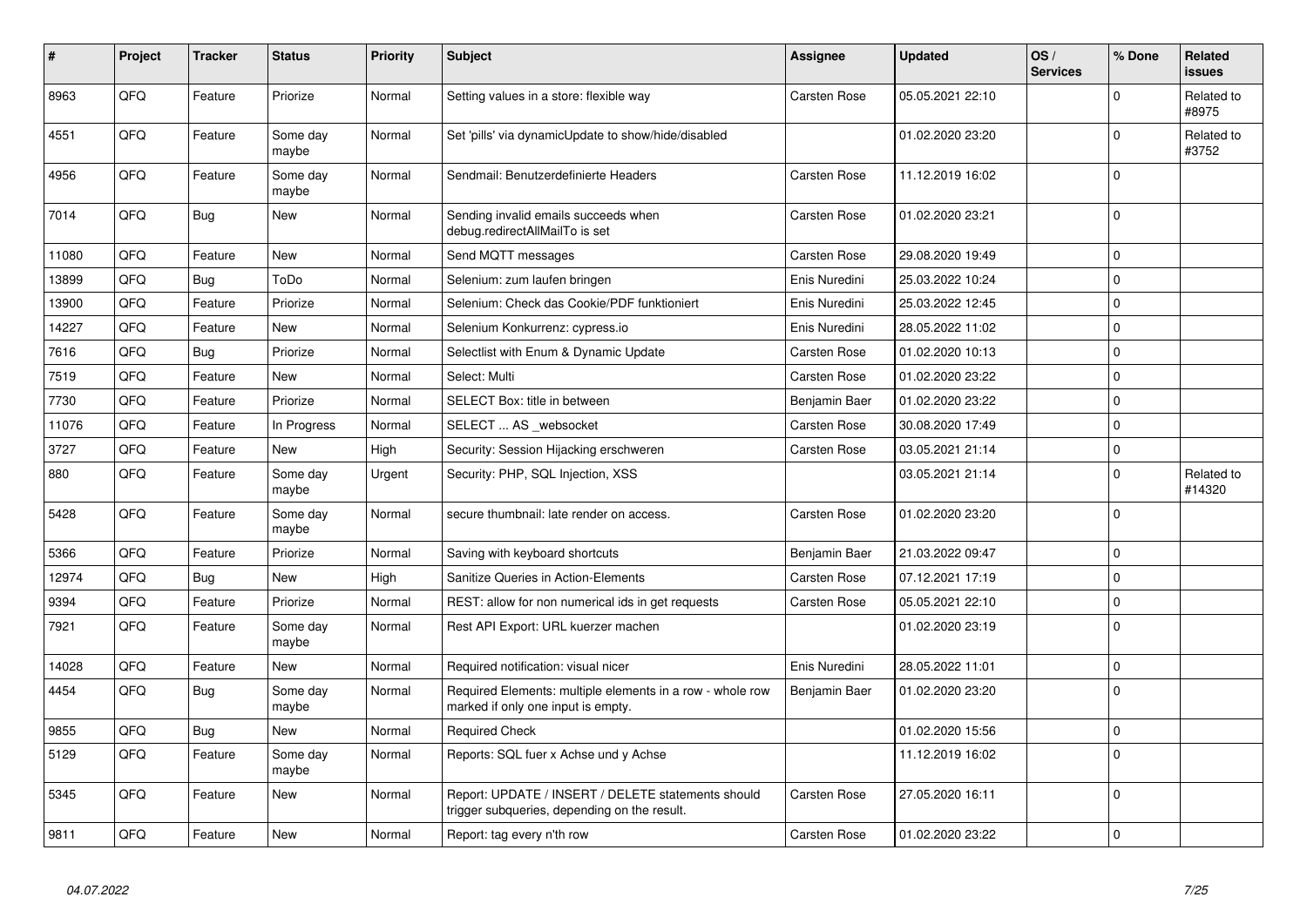| #     | Project | <b>Tracker</b> | <b>Status</b>     | <b>Priority</b> | <b>Subject</b>                                                                                     | Assignee      | <b>Updated</b>   | OS/<br><b>Services</b> | % Done      | Related<br><b>issues</b> |
|-------|---------|----------------|-------------------|-----------------|----------------------------------------------------------------------------------------------------|---------------|------------------|------------------------|-------------|--------------------------|
| 8963  | QFQ     | Feature        | Priorize          | Normal          | Setting values in a store: flexible way                                                            | Carsten Rose  | 05.05.2021 22:10 |                        | $\Omega$    | Related to<br>#8975      |
| 4551  | QFQ     | Feature        | Some day<br>maybe | Normal          | Set 'pills' via dynamicUpdate to show/hide/disabled                                                |               | 01.02.2020 23:20 |                        | $\Omega$    | Related to<br>#3752      |
| 4956  | QFQ     | Feature        | Some day<br>maybe | Normal          | Sendmail: Benutzerdefinierte Headers                                                               | Carsten Rose  | 11.12.2019 16:02 |                        | $\Omega$    |                          |
| 7014  | QFQ     | Bug            | New               | Normal          | Sending invalid emails succeeds when<br>debug.redirectAllMailTo is set                             | Carsten Rose  | 01.02.2020 23:21 |                        | $\Omega$    |                          |
| 11080 | QFQ     | Feature        | <b>New</b>        | Normal          | Send MQTT messages                                                                                 | Carsten Rose  | 29.08.2020 19:49 |                        | 0           |                          |
| 13899 | QFQ     | Bug            | ToDo              | Normal          | Selenium: zum laufen bringen                                                                       | Enis Nuredini | 25.03.2022 10:24 |                        | $\Omega$    |                          |
| 13900 | QFQ     | Feature        | Priorize          | Normal          | Selenium: Check das Cookie/PDF funktioniert                                                        | Enis Nuredini | 25.03.2022 12:45 |                        | 0           |                          |
| 14227 | QFQ     | Feature        | <b>New</b>        | Normal          | Selenium Konkurrenz: cypress.io                                                                    | Enis Nuredini | 28.05.2022 11:02 |                        | $\Omega$    |                          |
| 7616  | QFQ     | <b>Bug</b>     | Priorize          | Normal          | Selectlist with Enum & Dynamic Update                                                              | Carsten Rose  | 01.02.2020 10:13 |                        | $\Omega$    |                          |
| 7519  | QFQ     | Feature        | New               | Normal          | Select: Multi                                                                                      | Carsten Rose  | 01.02.2020 23:22 |                        | 0           |                          |
| 7730  | QFQ     | Feature        | Priorize          | Normal          | SELECT Box: title in between                                                                       | Benjamin Baer | 01.02.2020 23:22 |                        | $\Omega$    |                          |
| 11076 | QFQ     | Feature        | In Progress       | Normal          | SELECT  AS websocket                                                                               | Carsten Rose  | 30.08.2020 17:49 |                        | $\mathbf 0$ |                          |
| 3727  | QFQ     | Feature        | <b>New</b>        | High            | Security: Session Hijacking erschweren                                                             | Carsten Rose  | 03.05.2021 21:14 |                        | $\mathbf 0$ |                          |
| 880   | QFQ     | Feature        | Some day<br>maybe | Urgent          | Security: PHP, SQL Injection, XSS                                                                  |               | 03.05.2021 21:14 |                        | $\Omega$    | Related to<br>#14320     |
| 5428  | QFQ     | Feature        | Some day<br>maybe | Normal          | secure thumbnail: late render on access.                                                           | Carsten Rose  | 01.02.2020 23:20 |                        | $\Omega$    |                          |
| 5366  | QFQ     | Feature        | Priorize          | Normal          | Saving with keyboard shortcuts                                                                     | Benjamin Baer | 21.03.2022 09:47 |                        | 0           |                          |
| 12974 | QFQ     | Bug            | New               | High            | Sanitize Queries in Action-Elements                                                                | Carsten Rose  | 07.12.2021 17:19 |                        | $\Omega$    |                          |
| 9394  | QFQ     | Feature        | Priorize          | Normal          | REST: allow for non numerical ids in get requests                                                  | Carsten Rose  | 05.05.2021 22:10 |                        | 0           |                          |
| 7921  | QFQ     | Feature        | Some day<br>maybe | Normal          | Rest API Export: URL kuerzer machen                                                                |               | 01.02.2020 23:19 |                        | $\Omega$    |                          |
| 14028 | QFQ     | Feature        | New               | Normal          | Required notification: visual nicer                                                                | Enis Nuredini | 28.05.2022 11:01 |                        | $\Omega$    |                          |
| 4454  | QFQ     | Bug            | Some day<br>maybe | Normal          | Required Elements: multiple elements in a row - whole row<br>marked if only one input is empty.    | Benjamin Baer | 01.02.2020 23:20 |                        | $\Omega$    |                          |
| 9855  | QFQ     | Bug            | <b>New</b>        | Normal          | <b>Required Check</b>                                                                              |               | 01.02.2020 15:56 |                        | $\Omega$    |                          |
| 5129  | QFQ     | Feature        | Some day<br>maybe | Normal          | Reports: SQL fuer x Achse und y Achse                                                              |               | 11.12.2019 16:02 |                        | $\Omega$    |                          |
| 5345  | QFQ     | Feature        | <b>New</b>        | Normal          | Report: UPDATE / INSERT / DELETE statements should<br>trigger subqueries, depending on the result. | Carsten Rose  | 27.05.2020 16:11 |                        | $\Omega$    |                          |
| 9811  | QFQ     | Feature        | <b>New</b>        | Normal          | Report: tag every n'th row                                                                         | Carsten Rose  | 01.02.2020 23:22 |                        | $\Omega$    |                          |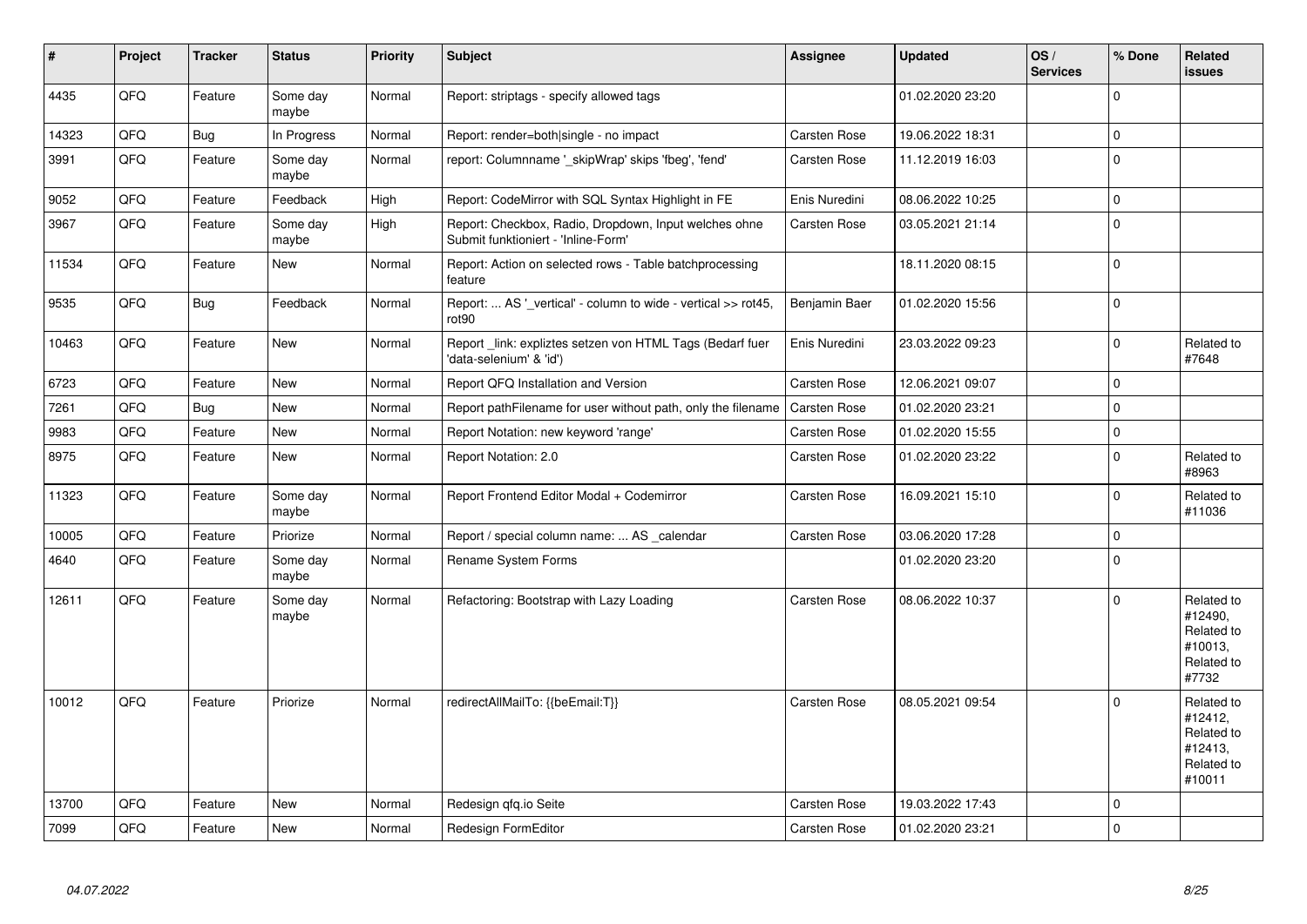| $\vert$ # | Project | <b>Tracker</b> | <b>Status</b>     | <b>Priority</b> | <b>Subject</b>                                                                               | Assignee            | <b>Updated</b>   | OS/<br><b>Services</b> | % Done              | Related<br><b>issues</b>                                               |
|-----------|---------|----------------|-------------------|-----------------|----------------------------------------------------------------------------------------------|---------------------|------------------|------------------------|---------------------|------------------------------------------------------------------------|
| 4435      | QFQ     | Feature        | Some day<br>maybe | Normal          | Report: striptags - specify allowed tags                                                     |                     | 01.02.2020 23:20 |                        | $\Omega$            |                                                                        |
| 14323     | QFQ     | <b>Bug</b>     | In Progress       | Normal          | Report: render=both single - no impact                                                       | Carsten Rose        | 19.06.2022 18:31 |                        | $\mathbf 0$         |                                                                        |
| 3991      | QFQ     | Feature        | Some day<br>maybe | Normal          | report: Columnname '_skipWrap' skips 'fbeg', 'fend'                                          | Carsten Rose        | 11.12.2019 16:03 |                        | $\mathbf 0$         |                                                                        |
| 9052      | QFQ     | Feature        | Feedback          | High            | Report: CodeMirror with SQL Syntax Highlight in FE                                           | Enis Nuredini       | 08.06.2022 10:25 |                        | $\mathbf 0$         |                                                                        |
| 3967      | QFQ     | Feature        | Some day<br>maybe | High            | Report: Checkbox, Radio, Dropdown, Input welches ohne<br>Submit funktioniert - 'Inline-Form' | Carsten Rose        | 03.05.2021 21:14 |                        | $\mathbf 0$         |                                                                        |
| 11534     | QFQ     | Feature        | <b>New</b>        | Normal          | Report: Action on selected rows - Table batchprocessing<br>feature                           |                     | 18.11.2020 08:15 |                        | $\mathbf 0$         |                                                                        |
| 9535      | QFQ     | Bug            | Feedback          | Normal          | Report:  AS ' vertical' - column to wide - vertical >> rot45,<br>rot <sub>90</sub>           | Benjamin Baer       | 01.02.2020 15:56 |                        | $\mathsf 0$         |                                                                        |
| 10463     | QFQ     | Feature        | <b>New</b>        | Normal          | Report_link: expliztes setzen von HTML Tags (Bedarf fuer<br>'data-selenium' & 'id')          | Enis Nuredini       | 23.03.2022 09:23 |                        | $\Omega$            | Related to<br>#7648                                                    |
| 6723      | QFQ     | Feature        | <b>New</b>        | Normal          | Report QFQ Installation and Version                                                          | <b>Carsten Rose</b> | 12.06.2021 09:07 |                        | $\mathbf 0$         |                                                                        |
| 7261      | QFQ     | <b>Bug</b>     | New               | Normal          | Report pathFilename for user without path, only the filename                                 | Carsten Rose        | 01.02.2020 23:21 |                        | $\pmb{0}$           |                                                                        |
| 9983      | QFQ     | Feature        | <b>New</b>        | Normal          | Report Notation: new keyword 'range'                                                         | Carsten Rose        | 01.02.2020 15:55 |                        | $\mathsf{O}\xspace$ |                                                                        |
| 8975      | QFQ     | Feature        | <b>New</b>        | Normal          | Report Notation: 2.0                                                                         | Carsten Rose        | 01.02.2020 23:22 |                        | $\mathbf 0$         | Related to<br>#8963                                                    |
| 11323     | QFQ     | Feature        | Some day<br>maybe | Normal          | Report Frontend Editor Modal + Codemirror                                                    | Carsten Rose        | 16.09.2021 15:10 |                        | $\mathbf 0$         | Related to<br>#11036                                                   |
| 10005     | QFQ     | Feature        | Priorize          | Normal          | Report / special column name:  AS _calendar                                                  | Carsten Rose        | 03.06.2020 17:28 |                        | $\mathbf 0$         |                                                                        |
| 4640      | QFQ     | Feature        | Some day<br>maybe | Normal          | Rename System Forms                                                                          |                     | 01.02.2020 23:20 |                        | $\mathbf 0$         |                                                                        |
| 12611     | QFQ     | Feature        | Some day<br>maybe | Normal          | Refactoring: Bootstrap with Lazy Loading                                                     | Carsten Rose        | 08.06.2022 10:37 |                        | $\mathbf 0$         | Related to<br>#12490,<br>Related to<br>#10013,<br>Related to<br>#7732  |
| 10012     | QFQ     | Feature        | Priorize          | Normal          | redirectAllMailTo: {{beEmail:T}}                                                             | <b>Carsten Rose</b> | 08.05.2021 09:54 |                        | $\mathbf 0$         | Related to<br>#12412,<br>Related to<br>#12413,<br>Related to<br>#10011 |
| 13700     | QFQ     | Feature        | <b>New</b>        | Normal          | Redesign qfq.io Seite                                                                        | Carsten Rose        | 19.03.2022 17:43 |                        | $\mathbf 0$         |                                                                        |
| 7099      | QFQ     | Feature        | New               | Normal          | Redesign FormEditor                                                                          | <b>Carsten Rose</b> | 01.02.2020 23:21 |                        | $\mathbf 0$         |                                                                        |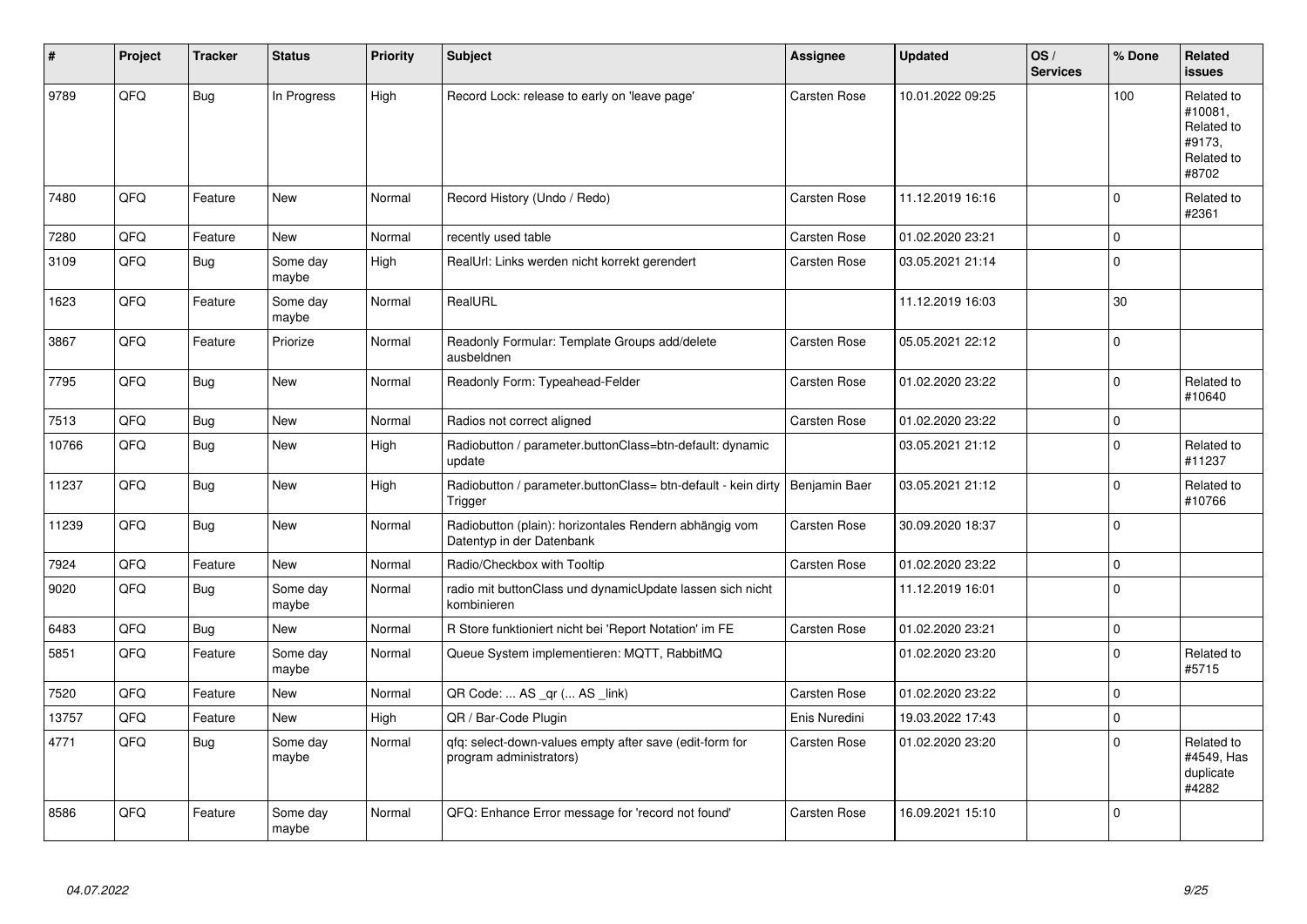| #     | Project | <b>Tracker</b> | <b>Status</b>     | <b>Priority</b> | <b>Subject</b>                                                                      | Assignee      | <b>Updated</b>   | OS/<br><b>Services</b> | % Done      | Related<br><b>issues</b>                                             |
|-------|---------|----------------|-------------------|-----------------|-------------------------------------------------------------------------------------|---------------|------------------|------------------------|-------------|----------------------------------------------------------------------|
| 9789  | QFQ     | <b>Bug</b>     | In Progress       | High            | Record Lock: release to early on 'leave page'                                       | Carsten Rose  | 10.01.2022 09:25 |                        | 100         | Related to<br>#10081,<br>Related to<br>#9173,<br>Related to<br>#8702 |
| 7480  | QFQ     | Feature        | New               | Normal          | Record History (Undo / Redo)                                                        | Carsten Rose  | 11.12.2019 16:16 |                        | $\mathbf 0$ | Related to<br>#2361                                                  |
| 7280  | QFQ     | Feature        | New               | Normal          | recently used table                                                                 | Carsten Rose  | 01.02.2020 23:21 |                        | $\mathbf 0$ |                                                                      |
| 3109  | QFQ     | <b>Bug</b>     | Some day<br>maybe | High            | RealUrl: Links werden nicht korrekt gerendert                                       | Carsten Rose  | 03.05.2021 21:14 |                        | $\mathbf 0$ |                                                                      |
| 1623  | QFQ     | Feature        | Some day<br>maybe | Normal          | RealURL                                                                             |               | 11.12.2019 16:03 |                        | 30          |                                                                      |
| 3867  | QFQ     | Feature        | Priorize          | Normal          | Readonly Formular: Template Groups add/delete<br>ausbeldnen                         | Carsten Rose  | 05.05.2021 22:12 |                        | $\mathbf 0$ |                                                                      |
| 7795  | QFQ     | Bug            | New               | Normal          | Readonly Form: Typeahead-Felder                                                     | Carsten Rose  | 01.02.2020 23:22 |                        | $\mathbf 0$ | Related to<br>#10640                                                 |
| 7513  | QFQ     | Bug            | <b>New</b>        | Normal          | Radios not correct aligned                                                          | Carsten Rose  | 01.02.2020 23:22 |                        | $\mathbf 0$ |                                                                      |
| 10766 | QFQ     | Bug            | New               | High            | Radiobutton / parameter.buttonClass=btn-default: dynamic<br>update                  |               | 03.05.2021 21:12 |                        | $\mathbf 0$ | Related to<br>#11237                                                 |
| 11237 | QFQ     | <b>Bug</b>     | New               | High            | Radiobutton / parameter.buttonClass= btn-default - kein dirty<br>Trigger            | Benjamin Baer | 03.05.2021 21:12 |                        | $\mathbf 0$ | Related to<br>#10766                                                 |
| 11239 | QFQ     | Bug            | <b>New</b>        | Normal          | Radiobutton (plain): horizontales Rendern abhängig vom<br>Datentyp in der Datenbank | Carsten Rose  | 30.09.2020 18:37 |                        | $\Omega$    |                                                                      |
| 7924  | QFQ     | Feature        | <b>New</b>        | Normal          | Radio/Checkbox with Tooltip                                                         | Carsten Rose  | 01.02.2020 23:22 |                        | $\mathbf 0$ |                                                                      |
| 9020  | QFQ     | <b>Bug</b>     | Some day<br>maybe | Normal          | radio mit buttonClass und dynamicUpdate lassen sich nicht<br>kombinieren            |               | 11.12.2019 16:01 |                        | $\Omega$    |                                                                      |
| 6483  | QFQ     | Bug            | New               | Normal          | R Store funktioniert nicht bei 'Report Notation' im FE                              | Carsten Rose  | 01.02.2020 23:21 |                        | $\mathbf 0$ |                                                                      |
| 5851  | QFQ     | Feature        | Some day<br>maybe | Normal          | Queue System implementieren: MQTT, RabbitMQ                                         |               | 01.02.2020 23:20 |                        | $\Omega$    | Related to<br>#5715                                                  |
| 7520  | QFQ     | Feature        | New               | Normal          | QR Code:  AS _qr ( AS _link)                                                        | Carsten Rose  | 01.02.2020 23:22 |                        | $\mathbf 0$ |                                                                      |
| 13757 | QFQ     | Feature        | New               | High            | QR / Bar-Code Plugin                                                                | Enis Nuredini | 19.03.2022 17:43 |                        | $\mathbf 0$ |                                                                      |
| 4771  | QFQ     | <b>Bug</b>     | Some day<br>maybe | Normal          | qfq: select-down-values empty after save (edit-form for<br>program administrators)  | Carsten Rose  | 01.02.2020 23:20 |                        | $\mathbf 0$ | Related to<br>#4549, Has<br>duplicate<br>#4282                       |
| 8586  | QFQ     | Feature        | Some day<br>maybe | Normal          | QFQ: Enhance Error message for 'record not found'                                   | Carsten Rose  | 16.09.2021 15:10 |                        | $\Omega$    |                                                                      |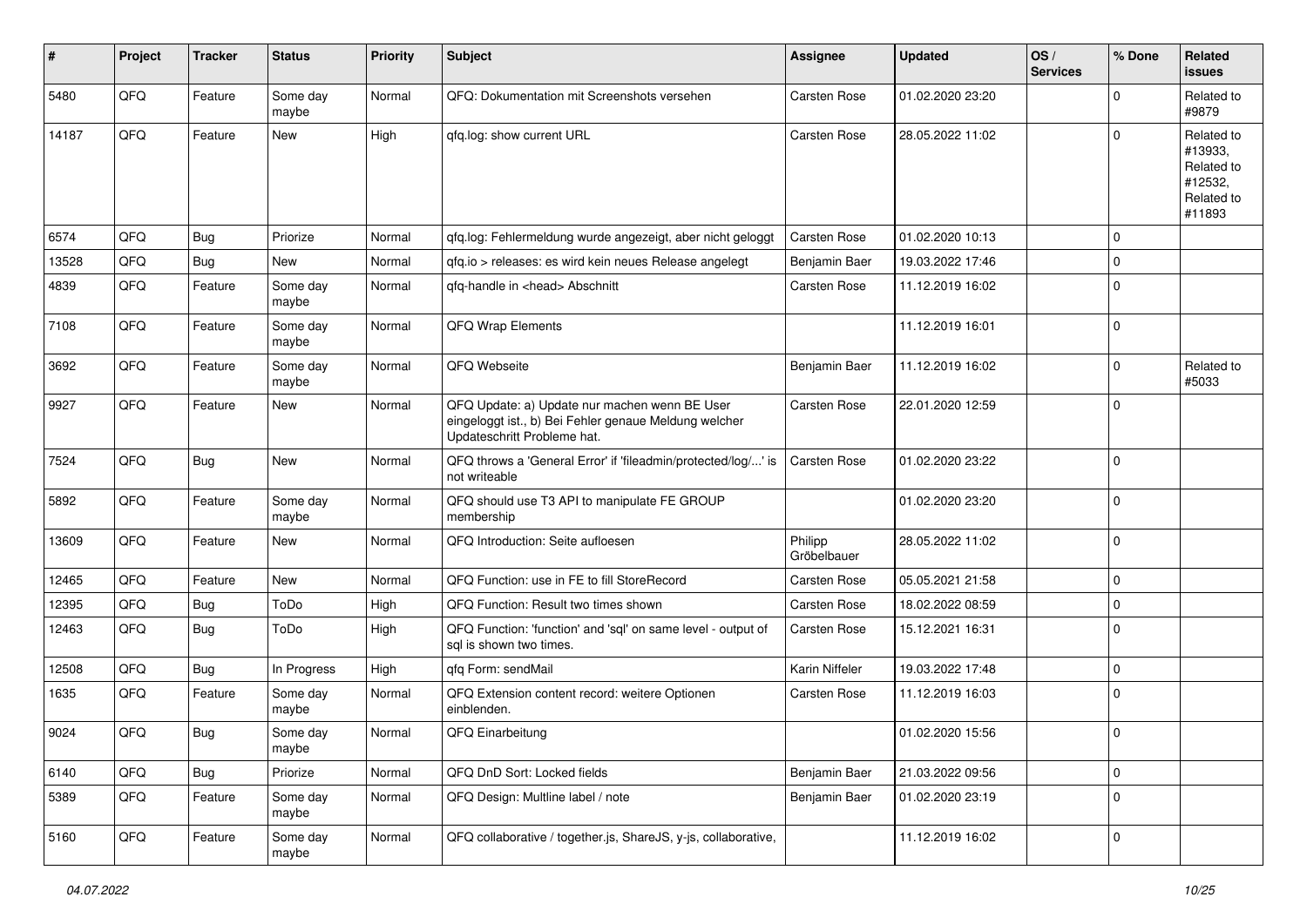| #     | Project | <b>Tracker</b> | <b>Status</b>     | <b>Priority</b> | <b>Subject</b>                                                                                                                        | <b>Assignee</b>        | <b>Updated</b>   | OS/<br><b>Services</b> | % Done              | Related<br><b>issues</b>                                               |
|-------|---------|----------------|-------------------|-----------------|---------------------------------------------------------------------------------------------------------------------------------------|------------------------|------------------|------------------------|---------------------|------------------------------------------------------------------------|
| 5480  | QFQ     | Feature        | Some day<br>maybe | Normal          | QFQ: Dokumentation mit Screenshots versehen                                                                                           | Carsten Rose           | 01.02.2020 23:20 |                        | $\mathbf 0$         | Related to<br>#9879                                                    |
| 14187 | QFQ     | Feature        | New               | High            | qfq.log: show current URL                                                                                                             | Carsten Rose           | 28.05.2022 11:02 |                        | $\mathbf 0$         | Related to<br>#13933,<br>Related to<br>#12532,<br>Related to<br>#11893 |
| 6574  | QFQ     | Bug            | Priorize          | Normal          | qfq.log: Fehlermeldung wurde angezeigt, aber nicht geloggt                                                                            | <b>Carsten Rose</b>    | 01.02.2020 10:13 |                        | $\mathbf 0$         |                                                                        |
| 13528 | QFQ     | Bug            | New               | Normal          | gfg.io > releases: es wird kein neues Release angelegt                                                                                | Benjamin Baer          | 19.03.2022 17:46 |                        | $\mathbf 0$         |                                                                        |
| 4839  | QFQ     | Feature        | Some day<br>maybe | Normal          | qfq-handle in <head> Abschnitt</head>                                                                                                 | Carsten Rose           | 11.12.2019 16:02 |                        | $\mathbf 0$         |                                                                        |
| 7108  | QFQ     | Feature        | Some day<br>maybe | Normal          | QFQ Wrap Elements                                                                                                                     |                        | 11.12.2019 16:01 |                        | $\mathbf 0$         |                                                                        |
| 3692  | QFQ     | Feature        | Some day<br>maybe | Normal          | QFQ Webseite                                                                                                                          | Benjamin Baer          | 11.12.2019 16:02 |                        | $\mathbf 0$         | Related to<br>#5033                                                    |
| 9927  | QFQ     | Feature        | <b>New</b>        | Normal          | QFQ Update: a) Update nur machen wenn BE User<br>eingeloggt ist., b) Bei Fehler genaue Meldung welcher<br>Updateschritt Probleme hat. | Carsten Rose           | 22.01.2020 12:59 |                        | $\mathbf 0$         |                                                                        |
| 7524  | QFQ     | Bug            | <b>New</b>        | Normal          | QFQ throws a 'General Error' if 'fileadmin/protected/log/' is<br>not writeable                                                        | Carsten Rose           | 01.02.2020 23:22 |                        | $\mathbf 0$         |                                                                        |
| 5892  | QFQ     | Feature        | Some day<br>maybe | Normal          | QFQ should use T3 API to manipulate FE GROUP<br>membership                                                                            |                        | 01.02.2020 23:20 |                        | $\mathbf 0$         |                                                                        |
| 13609 | QFQ     | Feature        | New               | Normal          | QFQ Introduction: Seite aufloesen                                                                                                     | Philipp<br>Gröbelbauer | 28.05.2022 11:02 |                        | $\mathbf 0$         |                                                                        |
| 12465 | QFQ     | Feature        | <b>New</b>        | Normal          | QFQ Function: use in FE to fill StoreRecord                                                                                           | <b>Carsten Rose</b>    | 05.05.2021 21:58 |                        | $\mathbf 0$         |                                                                        |
| 12395 | QFQ     | <b>Bug</b>     | ToDo              | High            | QFQ Function: Result two times shown                                                                                                  | Carsten Rose           | 18.02.2022 08:59 |                        | $\mathbf 0$         |                                                                        |
| 12463 | QFQ     | Bug            | ToDo              | High            | QFQ Function: 'function' and 'sql' on same level - output of<br>sql is shown two times.                                               | Carsten Rose           | 15.12.2021 16:31 |                        | $\mathbf 0$         |                                                                        |
| 12508 | QFQ     | Bug            | In Progress       | High            | qfq Form: sendMail                                                                                                                    | Karin Niffeler         | 19.03.2022 17:48 |                        | $\mathbf 0$         |                                                                        |
| 1635  | QFQ     | Feature        | Some day<br>maybe | Normal          | QFQ Extension content record: weitere Optionen<br>einblenden.                                                                         | Carsten Rose           | 11.12.2019 16:03 |                        | $\mathbf 0$         |                                                                        |
| 9024  | QFQ     | Bug            | Some day<br>maybe | Normal          | QFQ Einarbeitung                                                                                                                      |                        | 01.02.2020 15:56 |                        | $\mathbf 0$         |                                                                        |
| 6140  | QFQ     | <b>Bug</b>     | Priorize          | Normal          | QFQ DnD Sort: Locked fields                                                                                                           | Benjamin Baer          | 21.03.2022 09:56 |                        | $\mathsf{O}\xspace$ |                                                                        |
| 5389  | QFQ     | Feature        | Some day<br>maybe | Normal          | QFQ Design: Multline label / note                                                                                                     | Benjamin Baer          | 01.02.2020 23:19 |                        | $\mathbf 0$         |                                                                        |
| 5160  | QFQ     | Feature        | Some day<br>maybe | Normal          | QFQ collaborative / together.js, ShareJS, y-js, collaborative,                                                                        |                        | 11.12.2019 16:02 |                        | 0                   |                                                                        |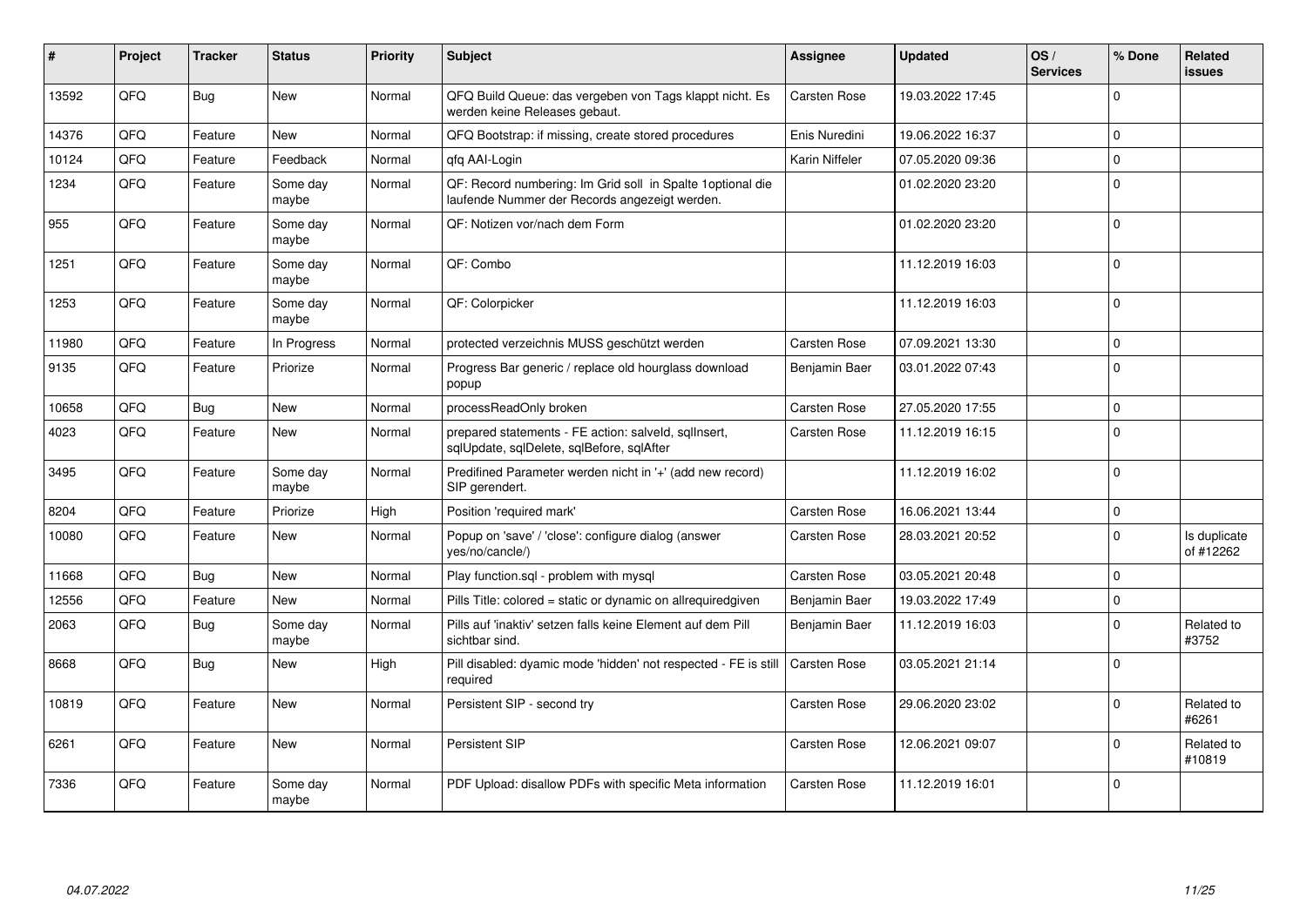| ∦     | Project | <b>Tracker</b> | <b>Status</b>     | <b>Priority</b> | <b>Subject</b>                                                                                               | Assignee       | <b>Updated</b>   | OS/<br><b>Services</b> | % Done       | Related<br><b>issues</b>  |
|-------|---------|----------------|-------------------|-----------------|--------------------------------------------------------------------------------------------------------------|----------------|------------------|------------------------|--------------|---------------------------|
| 13592 | QFQ     | <b>Bug</b>     | <b>New</b>        | Normal          | QFQ Build Queue: das vergeben von Tags klappt nicht. Es<br>werden keine Releases gebaut.                     | Carsten Rose   | 19.03.2022 17:45 |                        | $\Omega$     |                           |
| 14376 | QFQ     | Feature        | <b>New</b>        | Normal          | QFQ Bootstrap: if missing, create stored procedures                                                          | Enis Nuredini  | 19.06.2022 16:37 |                        | $\Omega$     |                           |
| 10124 | QFQ     | Feature        | Feedback          | Normal          | gfg AAI-Login                                                                                                | Karin Niffeler | 07.05.2020 09:36 |                        | $\Omega$     |                           |
| 1234  | QFQ     | Feature        | Some day<br>maybe | Normal          | QF: Record numbering: Im Grid soll in Spalte 1 optional die<br>laufende Nummer der Records angezeigt werden. |                | 01.02.2020 23:20 |                        | $\Omega$     |                           |
| 955   | QFQ     | Feature        | Some day<br>maybe | Normal          | QF: Notizen vor/nach dem Form                                                                                |                | 01.02.2020 23:20 |                        | $\Omega$     |                           |
| 1251  | QFQ     | Feature        | Some day<br>maybe | Normal          | QF: Combo                                                                                                    |                | 11.12.2019 16:03 |                        | $\Omega$     |                           |
| 1253  | QFQ     | Feature        | Some day<br>maybe | Normal          | QF: Colorpicker                                                                                              |                | 11.12.2019 16:03 |                        | $\Omega$     |                           |
| 11980 | QFQ     | Feature        | In Progress       | Normal          | protected verzeichnis MUSS geschützt werden                                                                  | Carsten Rose   | 07.09.2021 13:30 |                        | $\Omega$     |                           |
| 9135  | QFQ     | Feature        | Priorize          | Normal          | Progress Bar generic / replace old hourglass download<br>popup                                               | Benjamin Baer  | 03.01.2022 07:43 |                        | $\mathbf{0}$ |                           |
| 10658 | QFQ     | <b>Bug</b>     | <b>New</b>        | Normal          | processReadOnly broken                                                                                       | Carsten Rose   | 27.05.2020 17:55 |                        | $\Omega$     |                           |
| 4023  | QFQ     | Feature        | <b>New</b>        | Normal          | prepared statements - FE action: salveld, sqllnsert,<br>sqlUpdate, sqlDelete, sqlBefore, sqlAfter            | Carsten Rose   | 11.12.2019 16:15 |                        | $\mathbf 0$  |                           |
| 3495  | QFQ     | Feature        | Some day<br>maybe | Normal          | Predifined Parameter werden nicht in '+' (add new record)<br>SIP gerendert.                                  |                | 11.12.2019 16:02 |                        | $\Omega$     |                           |
| 8204  | QFQ     | Feature        | Priorize          | High            | Position 'required mark'                                                                                     | Carsten Rose   | 16.06.2021 13:44 |                        | $\mathbf 0$  |                           |
| 10080 | QFQ     | Feature        | <b>New</b>        | Normal          | Popup on 'save' / 'close': configure dialog (answer<br>yes/no/cancle/)                                       | Carsten Rose   | 28.03.2021 20:52 |                        | $\Omega$     | Is duplicate<br>of #12262 |
| 11668 | QFQ     | Bug            | <b>New</b>        | Normal          | Play function.sql - problem with mysql                                                                       | Carsten Rose   | 03.05.2021 20:48 |                        | $\Omega$     |                           |
| 12556 | QFQ     | Feature        | <b>New</b>        | Normal          | Pills Title: colored = static or dynamic on allrequiredgiven                                                 | Benjamin Baer  | 19.03.2022 17:49 |                        | $\Omega$     |                           |
| 2063  | QFQ     | Bug            | Some day<br>maybe | Normal          | Pills auf 'inaktiv' setzen falls keine Element auf dem Pill<br>sichtbar sind.                                | Benjamin Baer  | 11.12.2019 16:03 |                        | $\Omega$     | Related to<br>#3752       |
| 8668  | QFQ     | <b>Bug</b>     | New               | High            | Pill disabled: dyamic mode 'hidden' not respected - FE is still<br>required                                  | Carsten Rose   | 03.05.2021 21:14 |                        | $\Omega$     |                           |
| 10819 | QFQ     | Feature        | <b>New</b>        | Normal          | Persistent SIP - second try                                                                                  | Carsten Rose   | 29.06.2020 23:02 |                        | $\Omega$     | Related to<br>#6261       |
| 6261  | QFQ     | Feature        | <b>New</b>        | Normal          | <b>Persistent SIP</b>                                                                                        | Carsten Rose   | 12.06.2021 09:07 |                        | $\Omega$     | Related to<br>#10819      |
| 7336  | QFQ     | Feature        | Some day<br>maybe | Normal          | PDF Upload: disallow PDFs with specific Meta information                                                     | Carsten Rose   | 11.12.2019 16:01 |                        | $\Omega$     |                           |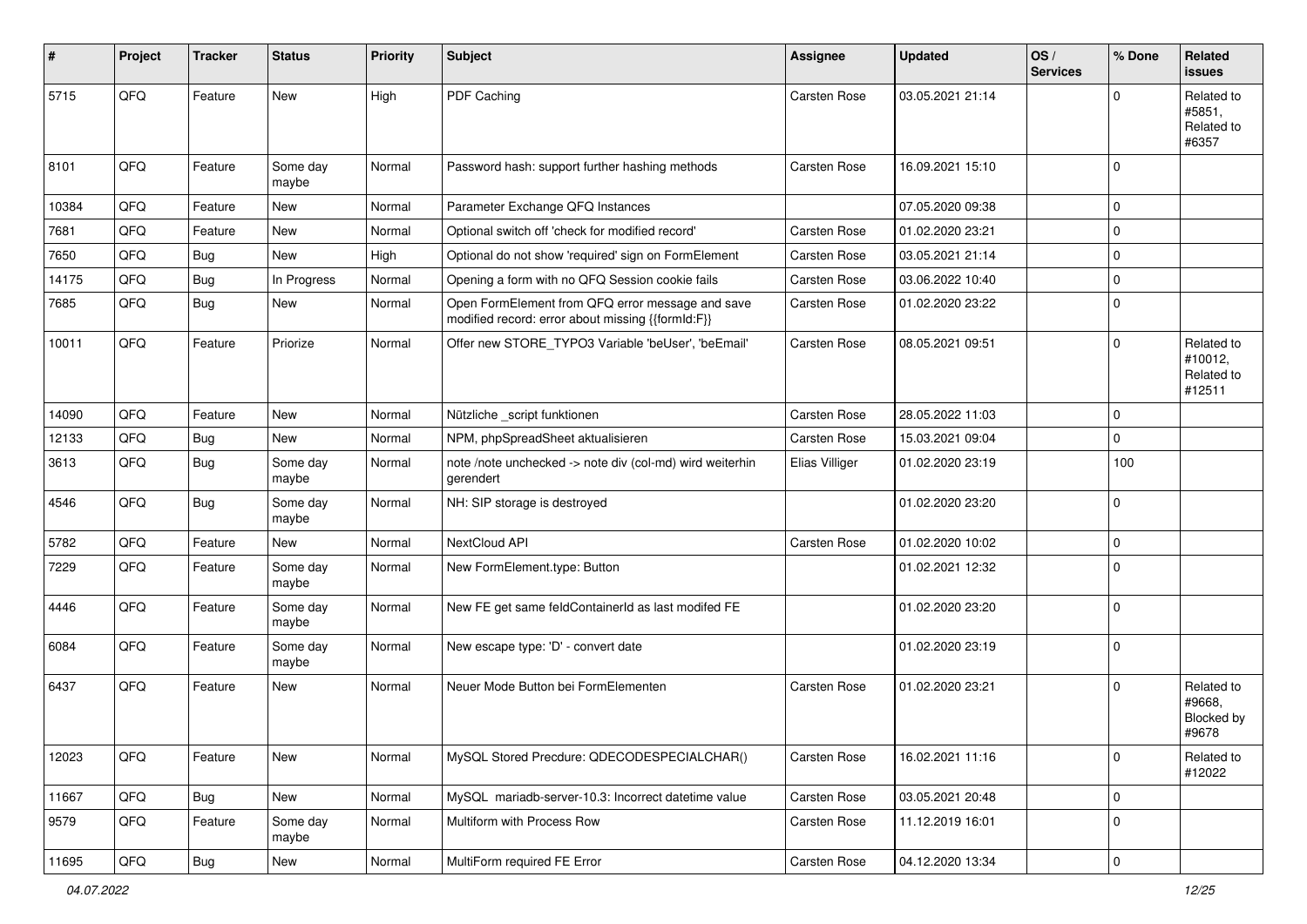| #     | Project | <b>Tracker</b> | <b>Status</b>     | <b>Priority</b> | <b>Subject</b>                                                                                        | <b>Assignee</b> | <b>Updated</b>   | OS/<br><b>Services</b> | % Done      | Related<br><b>issues</b>                      |
|-------|---------|----------------|-------------------|-----------------|-------------------------------------------------------------------------------------------------------|-----------------|------------------|------------------------|-------------|-----------------------------------------------|
| 5715  | QFQ     | Feature        | New               | High            | PDF Caching                                                                                           | Carsten Rose    | 03.05.2021 21:14 |                        | $\Omega$    | Related to<br>#5851,<br>Related to<br>#6357   |
| 8101  | QFQ     | Feature        | Some day<br>maybe | Normal          | Password hash: support further hashing methods                                                        | Carsten Rose    | 16.09.2021 15:10 |                        | $\mathbf 0$ |                                               |
| 10384 | QFQ     | Feature        | New               | Normal          | Parameter Exchange QFQ Instances                                                                      |                 | 07.05.2020 09:38 |                        | $\mathbf 0$ |                                               |
| 7681  | QFQ     | Feature        | New               | Normal          | Optional switch off 'check for modified record'                                                       | Carsten Rose    | 01.02.2020 23:21 |                        | $\mathbf 0$ |                                               |
| 7650  | QFQ     | Bug            | New               | High            | Optional do not show 'required' sign on FormElement                                                   | Carsten Rose    | 03.05.2021 21:14 |                        | $\mathbf 0$ |                                               |
| 14175 | QFQ     | Bug            | In Progress       | Normal          | Opening a form with no QFQ Session cookie fails                                                       | Carsten Rose    | 03.06.2022 10:40 |                        | $\mathbf 0$ |                                               |
| 7685  | QFQ     | Bug            | New               | Normal          | Open FormElement from QFQ error message and save<br>modified record: error about missing {{formId:F}} | Carsten Rose    | 01.02.2020 23:22 |                        | $\mathbf 0$ |                                               |
| 10011 | QFQ     | Feature        | Priorize          | Normal          | Offer new STORE_TYPO3 Variable 'beUser', 'beEmail'                                                    | Carsten Rose    | 08.05.2021 09:51 |                        | $\mathbf 0$ | Related to<br>#10012,<br>Related to<br>#12511 |
| 14090 | QFQ     | Feature        | New               | Normal          | Nützliche _script funktionen                                                                          | Carsten Rose    | 28.05.2022 11:03 |                        | $\mathbf 0$ |                                               |
| 12133 | QFQ     | Bug            | New               | Normal          | NPM, phpSpreadSheet aktualisieren                                                                     | Carsten Rose    | 15.03.2021 09:04 |                        | $\mathbf 0$ |                                               |
| 3613  | QFQ     | Bug            | Some day<br>maybe | Normal          | note /note unchecked -> note div (col-md) wird weiterhin<br>gerendert                                 | Elias Villiger  | 01.02.2020 23:19 |                        | 100         |                                               |
| 4546  | QFQ     | <b>Bug</b>     | Some day<br>maybe | Normal          | NH: SIP storage is destroyed                                                                          |                 | 01.02.2020 23:20 |                        | $\mathbf 0$ |                                               |
| 5782  | QFQ     | Feature        | <b>New</b>        | Normal          | NextCloud API                                                                                         | Carsten Rose    | 01.02.2020 10:02 |                        | $\mathbf 0$ |                                               |
| 7229  | QFQ     | Feature        | Some day<br>maybe | Normal          | New FormElement.type: Button                                                                          |                 | 01.02.2021 12:32 |                        | $\mathbf 0$ |                                               |
| 4446  | QFQ     | Feature        | Some day<br>maybe | Normal          | New FE get same feldContainerId as last modifed FE                                                    |                 | 01.02.2020 23:20 |                        | $\mathbf 0$ |                                               |
| 6084  | QFQ     | Feature        | Some day<br>maybe | Normal          | New escape type: 'D' - convert date                                                                   |                 | 01.02.2020 23:19 |                        | $\mathbf 0$ |                                               |
| 6437  | QFQ     | Feature        | <b>New</b>        | Normal          | Neuer Mode Button bei FormElementen                                                                   | Carsten Rose    | 01.02.2020 23:21 |                        | $\mathbf 0$ | Related to<br>#9668,<br>Blocked by<br>#9678   |
| 12023 | QFQ     | Feature        | <b>New</b>        | Normal          | MySQL Stored Precdure: QDECODESPECIALCHAR()                                                           | Carsten Rose    | 16.02.2021 11:16 |                        | $\mathbf 0$ | Related to<br>#12022                          |
| 11667 | QFO     | <b>Bug</b>     | New               | Normal          | MySQL mariadb-server-10.3: Incorrect datetime value                                                   | Carsten Rose    | 03.05.2021 20:48 |                        | $\mathbf 0$ |                                               |
| 9579  | QFQ     | Feature        | Some day<br>maybe | Normal          | Multiform with Process Row                                                                            | Carsten Rose    | 11.12.2019 16:01 |                        | $\mathbf 0$ |                                               |
| 11695 | QFG     | <b>Bug</b>     | New               | Normal          | MultiForm required FE Error                                                                           | Carsten Rose    | 04.12.2020 13:34 |                        | 0           |                                               |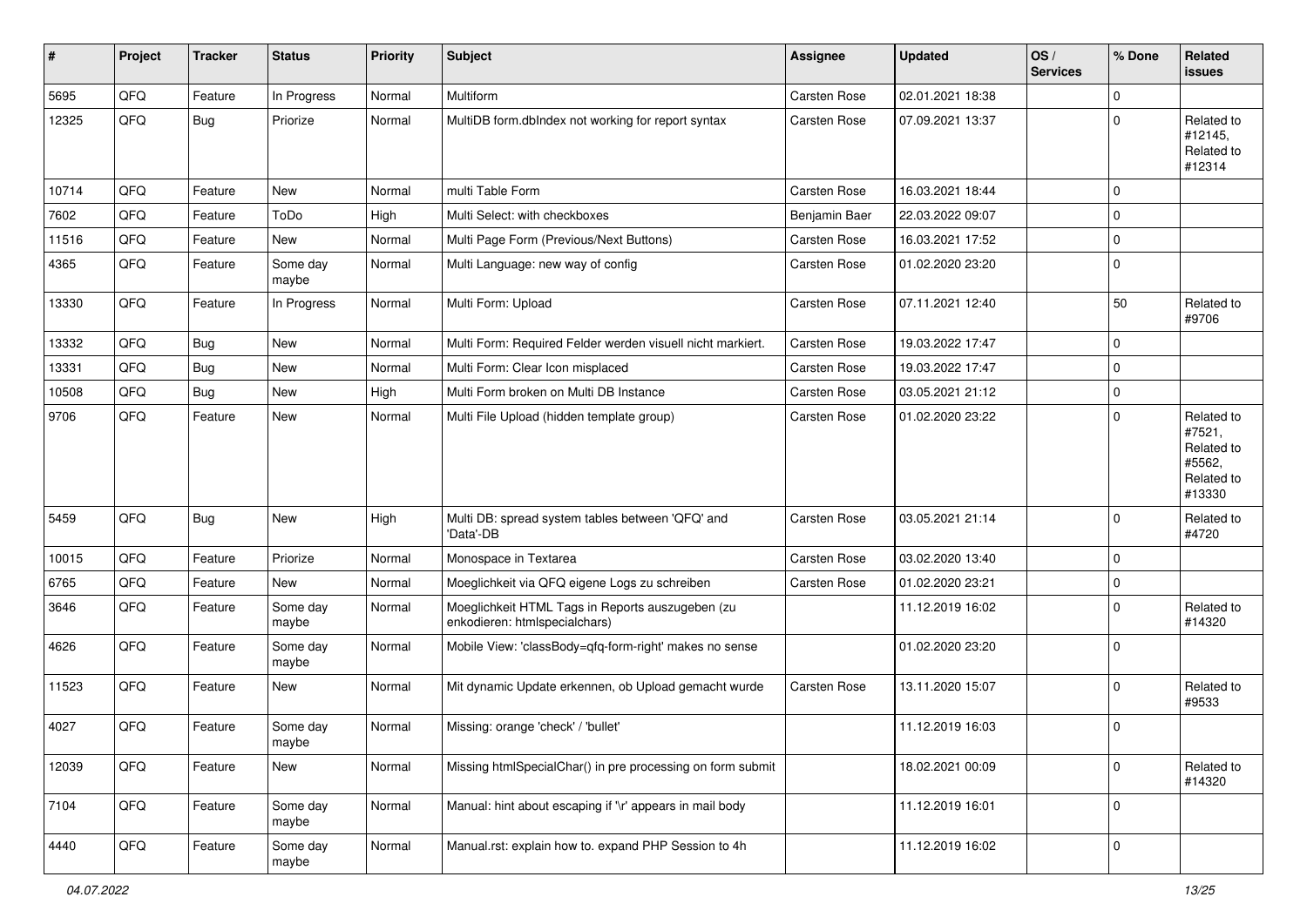| #     | Project | <b>Tracker</b> | <b>Status</b>     | <b>Priority</b> | Subject                                                                           | <b>Assignee</b> | <b>Updated</b>   | OS/<br><b>Services</b> | % Done      | Related<br><b>issues</b>                                             |
|-------|---------|----------------|-------------------|-----------------|-----------------------------------------------------------------------------------|-----------------|------------------|------------------------|-------------|----------------------------------------------------------------------|
| 5695  | QFQ     | Feature        | In Progress       | Normal          | Multiform                                                                         | Carsten Rose    | 02.01.2021 18:38 |                        | $\mathbf 0$ |                                                                      |
| 12325 | QFQ     | Bug            | Priorize          | Normal          | MultiDB form.dblndex not working for report syntax                                | Carsten Rose    | 07.09.2021 13:37 |                        | $\mathbf 0$ | Related to<br>#12145,<br>Related to<br>#12314                        |
| 10714 | QFQ     | Feature        | <b>New</b>        | Normal          | multi Table Form                                                                  | Carsten Rose    | 16.03.2021 18:44 |                        | $\mathbf 0$ |                                                                      |
| 7602  | QFQ     | Feature        | ToDo              | High            | Multi Select: with checkboxes                                                     | Benjamin Baer   | 22.03.2022 09:07 |                        | $\mathbf 0$ |                                                                      |
| 11516 | QFQ     | Feature        | New               | Normal          | Multi Page Form (Previous/Next Buttons)                                           | Carsten Rose    | 16.03.2021 17:52 |                        | $\mathbf 0$ |                                                                      |
| 4365  | QFQ     | Feature        | Some day<br>maybe | Normal          | Multi Language: new way of config                                                 | Carsten Rose    | 01.02.2020 23:20 |                        | $\mathbf 0$ |                                                                      |
| 13330 | QFQ     | Feature        | In Progress       | Normal          | Multi Form: Upload                                                                | Carsten Rose    | 07.11.2021 12:40 |                        | 50          | Related to<br>#9706                                                  |
| 13332 | QFQ     | <b>Bug</b>     | <b>New</b>        | Normal          | Multi Form: Required Felder werden visuell nicht markiert.                        | Carsten Rose    | 19.03.2022 17:47 |                        | $\mathbf 0$ |                                                                      |
| 13331 | QFQ     | Bug            | <b>New</b>        | Normal          | Multi Form: Clear Icon misplaced                                                  | Carsten Rose    | 19.03.2022 17:47 |                        | $\mathbf 0$ |                                                                      |
| 10508 | QFQ     | <b>Bug</b>     | <b>New</b>        | High            | Multi Form broken on Multi DB Instance                                            | Carsten Rose    | 03.05.2021 21:12 |                        | $\mathbf 0$ |                                                                      |
| 9706  | QFQ     | Feature        | New               | Normal          | Multi File Upload (hidden template group)                                         | Carsten Rose    | 01.02.2020 23:22 |                        | $\Omega$    | Related to<br>#7521,<br>Related to<br>#5562,<br>Related to<br>#13330 |
| 5459  | QFQ     | <b>Bug</b>     | <b>New</b>        | High            | Multi DB: spread system tables between 'QFQ' and<br>'Data'-DB                     | Carsten Rose    | 03.05.2021 21:14 |                        | $\Omega$    | Related to<br>#4720                                                  |
| 10015 | QFQ     | Feature        | Priorize          | Normal          | Monospace in Textarea                                                             | Carsten Rose    | 03.02.2020 13:40 |                        | $\mathbf 0$ |                                                                      |
| 6765  | QFQ     | Feature        | New               | Normal          | Moeglichkeit via QFQ eigene Logs zu schreiben                                     | Carsten Rose    | 01.02.2020 23:21 |                        | 0           |                                                                      |
| 3646  | QFQ     | Feature        | Some day<br>maybe | Normal          | Moeglichkeit HTML Tags in Reports auszugeben (zu<br>enkodieren: htmlspecialchars) |                 | 11.12.2019 16:02 |                        | $\Omega$    | Related to<br>#14320                                                 |
| 4626  | QFQ     | Feature        | Some day<br>maybe | Normal          | Mobile View: 'classBody=qfq-form-right' makes no sense                            |                 | 01.02.2020 23:20 |                        | $\mathbf 0$ |                                                                      |
| 11523 | QFQ     | Feature        | New               | Normal          | Mit dynamic Update erkennen, ob Upload gemacht wurde                              | Carsten Rose    | 13.11.2020 15:07 |                        | $\Omega$    | Related to<br>#9533                                                  |
| 4027  | QFQ     | Feature        | Some day<br>maybe | Normal          | Missing: orange 'check' / 'bullet'                                                |                 | 11.12.2019 16:03 |                        | 0           |                                                                      |
| 12039 | QFQ     | Feature        | New               | Normal          | Missing htmlSpecialChar() in pre processing on form submit                        |                 | 18.02.2021 00:09 |                        | $\mathbf 0$ | Related to<br>#14320                                                 |
| 7104  | QFO     | Feature        | Some day<br>maybe | Normal          | Manual: hint about escaping if '\r' appears in mail body                          |                 | 11.12.2019 16:01 |                        | $\mathbf 0$ |                                                                      |
| 4440  | QFO     | Feature        | Some day<br>maybe | Normal          | Manual.rst: explain how to. expand PHP Session to 4h                              |                 | 11.12.2019 16:02 |                        | 0           |                                                                      |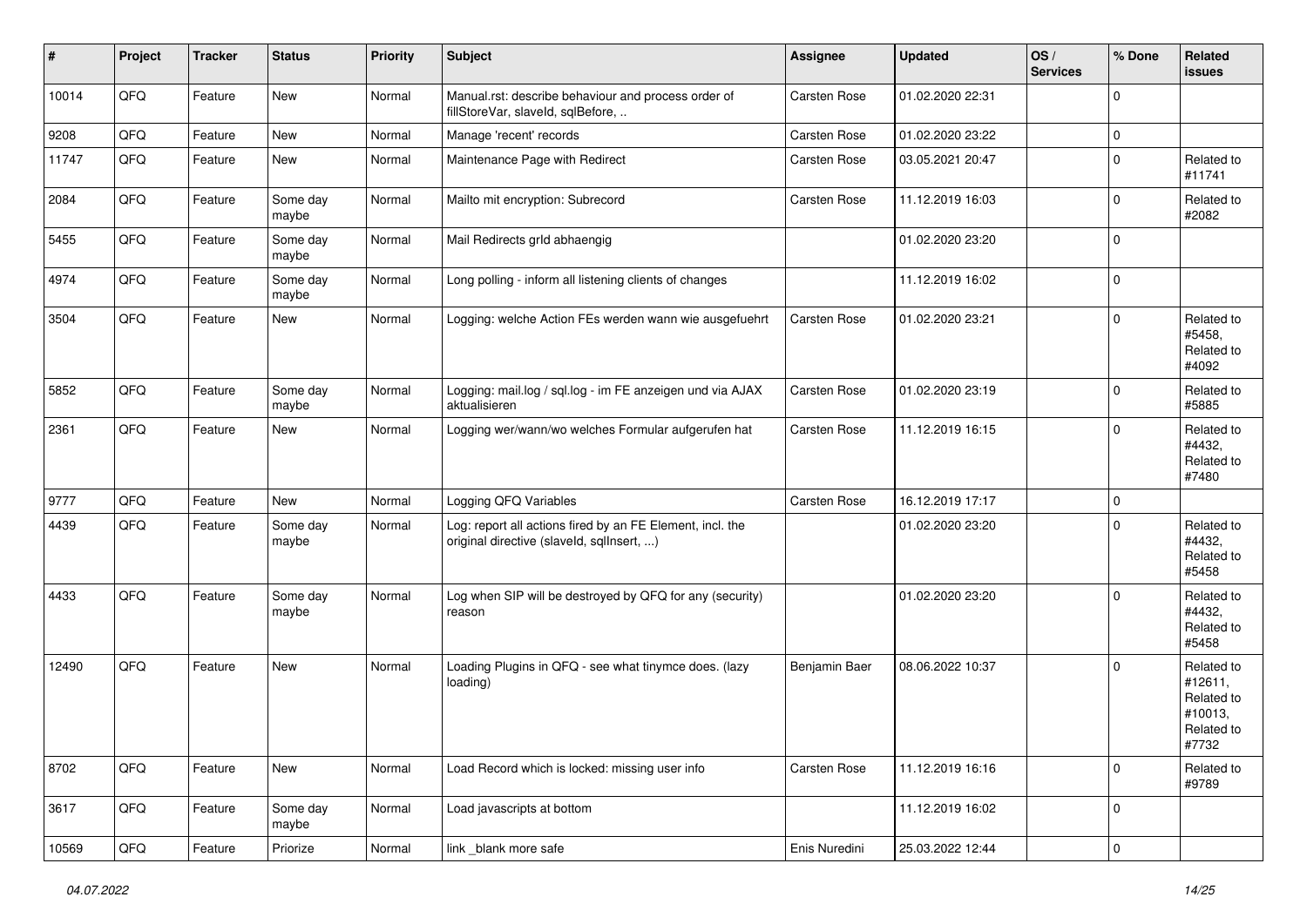| #     | Project        | <b>Tracker</b> | <b>Status</b>     | <b>Priority</b> | <b>Subject</b>                                                                                         | Assignee            | <b>Updated</b>   | OS/<br><b>Services</b> | % Done      | Related<br>issues                                                     |
|-------|----------------|----------------|-------------------|-----------------|--------------------------------------------------------------------------------------------------------|---------------------|------------------|------------------------|-------------|-----------------------------------------------------------------------|
| 10014 | QFQ            | Feature        | New               | Normal          | Manual.rst: describe behaviour and process order of<br>fillStoreVar, slaveId, sqlBefore,               | Carsten Rose        | 01.02.2020 22:31 |                        | $\mathbf 0$ |                                                                       |
| 9208  | QFQ            | Feature        | <b>New</b>        | Normal          | Manage 'recent' records                                                                                | Carsten Rose        | 01.02.2020 23:22 |                        | $\mathbf 0$ |                                                                       |
| 11747 | QFQ            | Feature        | <b>New</b>        | Normal          | Maintenance Page with Redirect                                                                         | <b>Carsten Rose</b> | 03.05.2021 20:47 |                        | $\Omega$    | Related to<br>#11741                                                  |
| 2084  | QFQ            | Feature        | Some day<br>maybe | Normal          | Mailto mit encryption: Subrecord                                                                       | Carsten Rose        | 11.12.2019 16:03 |                        | $\Omega$    | Related to<br>#2082                                                   |
| 5455  | QFQ            | Feature        | Some day<br>maybe | Normal          | Mail Redirects grld abhaengig                                                                          |                     | 01.02.2020 23:20 |                        | $\mathbf 0$ |                                                                       |
| 4974  | QFQ            | Feature        | Some day<br>maybe | Normal          | Long polling - inform all listening clients of changes                                                 |                     | 11.12.2019 16:02 |                        | $\mathbf 0$ |                                                                       |
| 3504  | QFQ            | Feature        | <b>New</b>        | Normal          | Logging: welche Action FEs werden wann wie ausgefuehrt                                                 | <b>Carsten Rose</b> | 01.02.2020 23:21 |                        | $\Omega$    | Related to<br>#5458,<br>Related to<br>#4092                           |
| 5852  | QFQ            | Feature        | Some day<br>maybe | Normal          | Logging: mail.log / sql.log - im FE anzeigen und via AJAX<br>aktualisieren                             | <b>Carsten Rose</b> | 01.02.2020 23:19 |                        | $\Omega$    | Related to<br>#5885                                                   |
| 2361  | QFQ            | Feature        | <b>New</b>        | Normal          | Logging wer/wann/wo welches Formular aufgerufen hat                                                    | Carsten Rose        | 11.12.2019 16:15 |                        | $\Omega$    | Related to<br>#4432,<br>Related to<br>#7480                           |
| 9777  | QFQ            | Feature        | New               | Normal          | Logging QFQ Variables                                                                                  | <b>Carsten Rose</b> | 16.12.2019 17:17 |                        | $\mathbf 0$ |                                                                       |
| 4439  | QFQ            | Feature        | Some day<br>maybe | Normal          | Log: report all actions fired by an FE Element, incl. the<br>original directive (slaveld, sqllnsert, ) |                     | 01.02.2020 23:20 |                        | $\Omega$    | Related to<br>#4432,<br>Related to<br>#5458                           |
| 4433  | QFQ            | Feature        | Some day<br>maybe | Normal          | Log when SIP will be destroyed by QFQ for any (security)<br>reason                                     |                     | 01.02.2020 23:20 |                        | $\Omega$    | Related to<br>#4432,<br>Related to<br>#5458                           |
| 12490 | QFQ            | Feature        | <b>New</b>        | Normal          | Loading Plugins in QFQ - see what tinymce does. (lazy<br>loading)                                      | Benjamin Baer       | 08.06.2022 10:37 |                        | $\Omega$    | Related to<br>#12611,<br>Related to<br>#10013,<br>Related to<br>#7732 |
| 8702  | QFQ            | Feature        | New               | Normal          | Load Record which is locked: missing user info                                                         | Carsten Rose        | 11.12.2019 16:16 |                        | $\mathbf 0$ | Related to<br>#9789                                                   |
| 3617  | QFQ            | Feature        | Some day<br>maybe | Normal          | Load javascripts at bottom                                                                             |                     | 11.12.2019 16:02 |                        | $\mathbf 0$ |                                                                       |
| 10569 | $\mathsf{QFQ}$ | Feature        | Priorize          | Normal          | link _blank more safe                                                                                  | Enis Nuredini       | 25.03.2022 12:44 |                        | $\pmb{0}$   |                                                                       |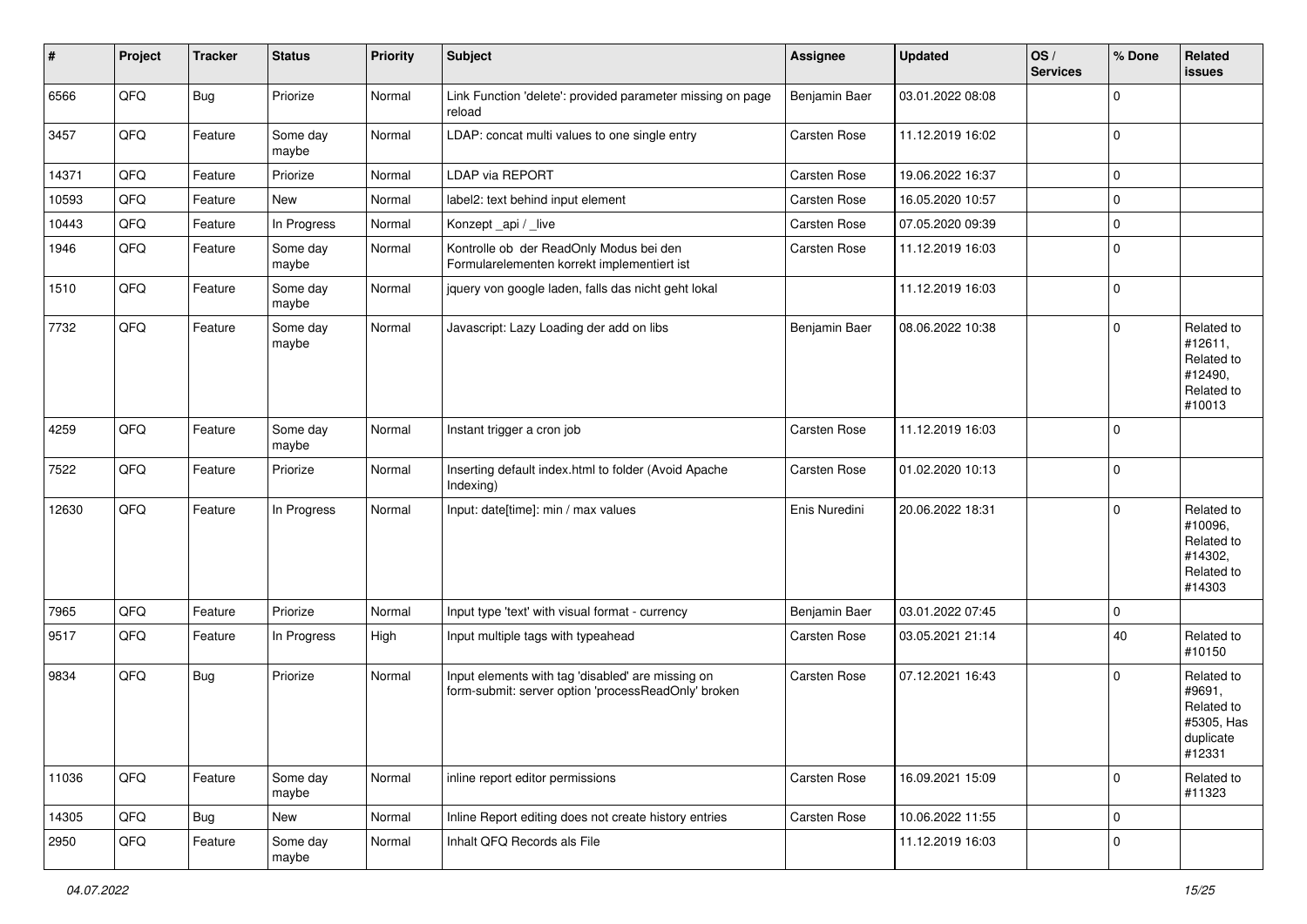| #     | Project | <b>Tracker</b> | <b>Status</b>     | <b>Priority</b> | <b>Subject</b>                                                                                           | <b>Assignee</b> | <b>Updated</b>   | OS/<br><b>Services</b> | % Done      | Related<br><b>issues</b>                                                |
|-------|---------|----------------|-------------------|-----------------|----------------------------------------------------------------------------------------------------------|-----------------|------------------|------------------------|-------------|-------------------------------------------------------------------------|
| 6566  | QFQ     | Bug            | Priorize          | Normal          | Link Function 'delete': provided parameter missing on page<br>reload                                     | Benjamin Baer   | 03.01.2022 08:08 |                        | $\Omega$    |                                                                         |
| 3457  | QFQ     | Feature        | Some day<br>maybe | Normal          | LDAP: concat multi values to one single entry                                                            | Carsten Rose    | 11.12.2019 16:02 |                        | $\mathbf 0$ |                                                                         |
| 14371 | QFQ     | Feature        | Priorize          | Normal          | <b>LDAP via REPORT</b>                                                                                   | Carsten Rose    | 19.06.2022 16:37 |                        | 0           |                                                                         |
| 10593 | QFQ     | Feature        | New               | Normal          | label2: text behind input element                                                                        | Carsten Rose    | 16.05.2020 10:57 |                        | $\mathbf 0$ |                                                                         |
| 10443 | QFQ     | Feature        | In Progress       | Normal          | Konzept_api / _live                                                                                      | Carsten Rose    | 07.05.2020 09:39 |                        | $\mathbf 0$ |                                                                         |
| 1946  | QFQ     | Feature        | Some day<br>maybe | Normal          | Kontrolle ob der ReadOnly Modus bei den<br>Formularelementen korrekt implementiert ist                   | Carsten Rose    | 11.12.2019 16:03 |                        | $\mathbf 0$ |                                                                         |
| 1510  | QFQ     | Feature        | Some day<br>maybe | Normal          | jquery von google laden, falls das nicht geht lokal                                                      |                 | 11.12.2019 16:03 |                        | 0           |                                                                         |
| 7732  | QFQ     | Feature        | Some day<br>maybe | Normal          | Javascript: Lazy Loading der add on libs                                                                 | Benjamin Baer   | 08.06.2022 10:38 |                        | $\mathbf 0$ | Related to<br>#12611,<br>Related to<br>#12490,<br>Related to<br>#10013  |
| 4259  | QFQ     | Feature        | Some day<br>maybe | Normal          | Instant trigger a cron job                                                                               | Carsten Rose    | 11.12.2019 16:03 |                        | 0           |                                                                         |
| 7522  | QFQ     | Feature        | Priorize          | Normal          | Inserting default index.html to folder (Avoid Apache<br>Indexing)                                        | Carsten Rose    | 01.02.2020 10:13 |                        | 0           |                                                                         |
| 12630 | QFQ     | Feature        | In Progress       | Normal          | Input: date[time]: min / max values                                                                      | Enis Nuredini   | 20.06.2022 18:31 |                        | $\Omega$    | Related to<br>#10096,<br>Related to<br>#14302,<br>Related to<br>#14303  |
| 7965  | QFQ     | Feature        | Priorize          | Normal          | Input type 'text' with visual format - currency                                                          | Benjamin Baer   | 03.01.2022 07:45 |                        | $\mathbf 0$ |                                                                         |
| 9517  | QFQ     | Feature        | In Progress       | High            | Input multiple tags with typeahead                                                                       | Carsten Rose    | 03.05.2021 21:14 |                        | 40          | Related to<br>#10150                                                    |
| 9834  | QFQ     | Bug            | Priorize          | Normal          | Input elements with tag 'disabled' are missing on<br>form-submit: server option 'processReadOnly' broken | Carsten Rose    | 07.12.2021 16:43 |                        | $\mathbf 0$ | Related to<br>#9691,<br>Related to<br>#5305, Has<br>duplicate<br>#12331 |
| 11036 | QFQ     | Feature        | Some day<br>maybe | Normal          | inline report editor permissions                                                                         | Carsten Rose    | 16.09.2021 15:09 |                        | $\mathbf 0$ | Related to<br>#11323                                                    |
| 14305 | QFQ     | <b>Bug</b>     | New               | Normal          | Inline Report editing does not create history entries                                                    | Carsten Rose    | 10.06.2022 11:55 |                        | $\mathbf 0$ |                                                                         |
| 2950  | QFQ     | Feature        | Some day<br>maybe | Normal          | Inhalt QFQ Records als File                                                                              |                 | 11.12.2019 16:03 |                        | 0           |                                                                         |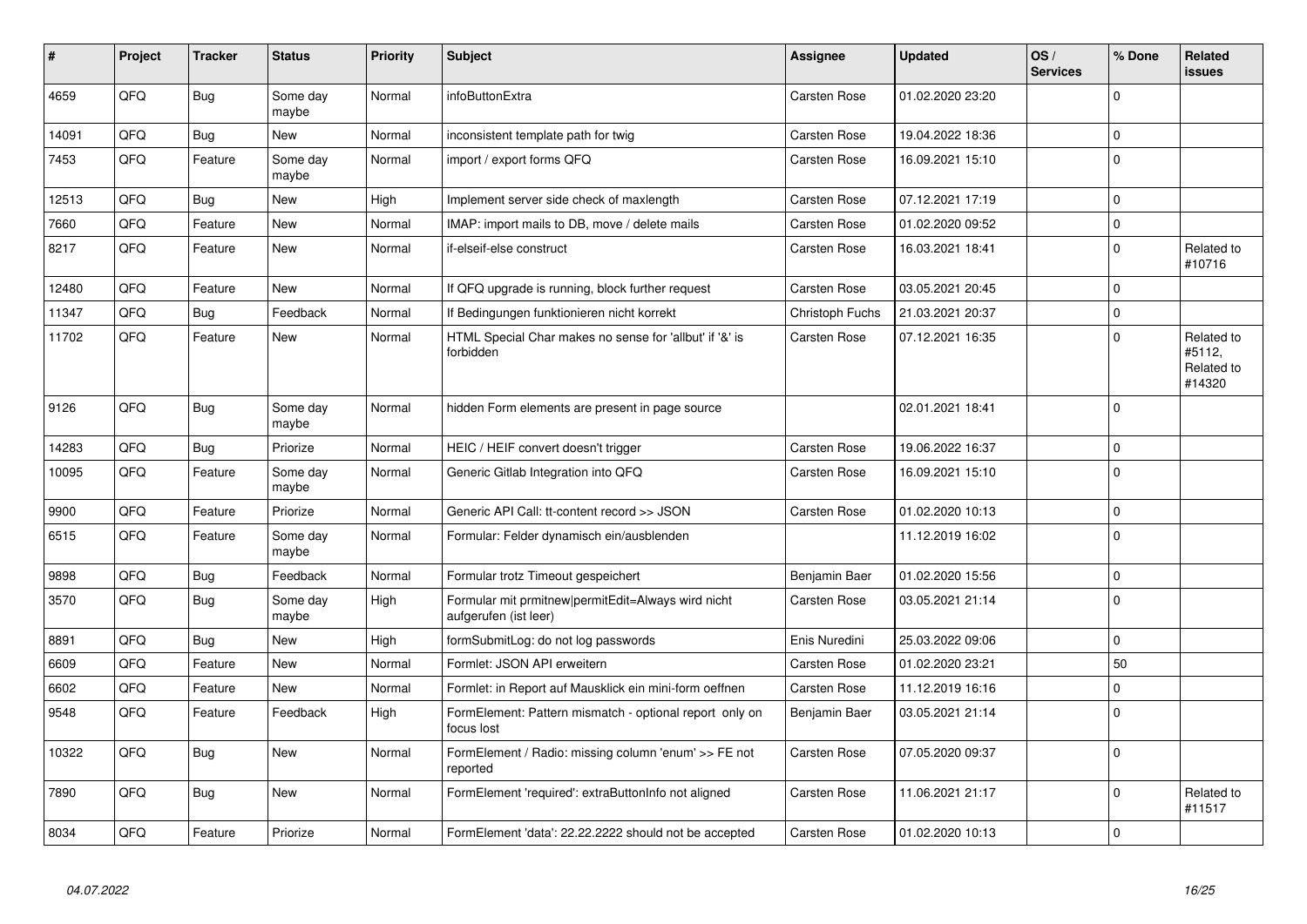| #     | Project | <b>Tracker</b> | <b>Status</b>     | <b>Priority</b> | <b>Subject</b>                                                              | Assignee            | <b>Updated</b>   | OS/<br><b>Services</b> | % Done      | Related<br><b>issues</b>                     |
|-------|---------|----------------|-------------------|-----------------|-----------------------------------------------------------------------------|---------------------|------------------|------------------------|-------------|----------------------------------------------|
| 4659  | QFQ     | <b>Bug</b>     | Some day<br>maybe | Normal          | infoButtonExtra                                                             | Carsten Rose        | 01.02.2020 23:20 |                        | $\Omega$    |                                              |
| 14091 | QFQ     | <b>Bug</b>     | <b>New</b>        | Normal          | inconsistent template path for twig                                         | Carsten Rose        | 19.04.2022 18:36 |                        | $\mathsf 0$ |                                              |
| 7453  | QFQ     | Feature        | Some day<br>maybe | Normal          | import / export forms QFQ                                                   | Carsten Rose        | 16.09.2021 15:10 |                        | $\Omega$    |                                              |
| 12513 | QFQ     | <b>Bug</b>     | New               | High            | Implement server side check of maxlength                                    | Carsten Rose        | 07.12.2021 17:19 |                        | $\Omega$    |                                              |
| 7660  | QFQ     | Feature        | <b>New</b>        | Normal          | IMAP: import mails to DB, move / delete mails                               | Carsten Rose        | 01.02.2020 09:52 |                        | $\mathsf 0$ |                                              |
| 8217  | QFQ     | Feature        | <b>New</b>        | Normal          | if-elseif-else construct                                                    | Carsten Rose        | 16.03.2021 18:41 |                        | $\mathbf 0$ | Related to<br>#10716                         |
| 12480 | QFQ     | Feature        | <b>New</b>        | Normal          | If QFQ upgrade is running, block further request                            | Carsten Rose        | 03.05.2021 20:45 |                        | $\mathbf 0$ |                                              |
| 11347 | QFQ     | <b>Bug</b>     | Feedback          | Normal          | If Bedingungen funktionieren nicht korrekt                                  | Christoph Fuchs     | 21.03.2021 20:37 |                        | $\mathbf 0$ |                                              |
| 11702 | QFQ     | Feature        | <b>New</b>        | Normal          | HTML Special Char makes no sense for 'allbut' if '&' is<br>forbidden        | Carsten Rose        | 07.12.2021 16:35 |                        | $\mathbf 0$ | Related to<br>#5112,<br>Related to<br>#14320 |
| 9126  | QFQ     | Bug            | Some day<br>maybe | Normal          | hidden Form elements are present in page source                             |                     | 02.01.2021 18:41 |                        | $\mathbf 0$ |                                              |
| 14283 | QFQ     | Bug            | Priorize          | Normal          | HEIC / HEIF convert doesn't trigger                                         | <b>Carsten Rose</b> | 19.06.2022 16:37 |                        | $\mathbf 0$ |                                              |
| 10095 | QFQ     | Feature        | Some day<br>maybe | Normal          | Generic Gitlab Integration into QFQ                                         | Carsten Rose        | 16.09.2021 15:10 |                        | $\mathbf 0$ |                                              |
| 9900  | QFQ     | Feature        | Priorize          | Normal          | Generic API Call: tt-content record >> JSON                                 | Carsten Rose        | 01.02.2020 10:13 |                        | $\pmb{0}$   |                                              |
| 6515  | QFQ     | Feature        | Some day<br>maybe | Normal          | Formular: Felder dynamisch ein/ausblenden                                   |                     | 11.12.2019 16:02 |                        | $\mathbf 0$ |                                              |
| 9898  | QFQ     | Bug            | Feedback          | Normal          | Formular trotz Timeout gespeichert                                          | Benjamin Baer       | 01.02.2020 15:56 |                        | $\mathbf 0$ |                                              |
| 3570  | QFQ     | Bug            | Some day<br>maybe | High            | Formular mit prmitnew permitEdit=Always wird nicht<br>aufgerufen (ist leer) | Carsten Rose        | 03.05.2021 21:14 |                        | $\pmb{0}$   |                                              |
| 8891  | QFQ     | Bug            | <b>New</b>        | High            | formSubmitLog: do not log passwords                                         | Enis Nuredini       | 25.03.2022 09:06 |                        | $\mathbf 0$ |                                              |
| 6609  | QFQ     | Feature        | <b>New</b>        | Normal          | Formlet: JSON API erweitern                                                 | Carsten Rose        | 01.02.2020 23:21 |                        | 50          |                                              |
| 6602  | QFQ     | Feature        | New               | Normal          | Formlet: in Report auf Mausklick ein mini-form oeffnen                      | Carsten Rose        | 11.12.2019 16:16 |                        | $\mathbf 0$ |                                              |
| 9548  | QFQ     | Feature        | Feedback          | High            | FormElement: Pattern mismatch - optional report only on<br>focus lost       | Benjamin Baer       | 03.05.2021 21:14 |                        | $\mathbf 0$ |                                              |
| 10322 | QFQ     | <b>Bug</b>     | <b>New</b>        | Normal          | FormElement / Radio: missing column 'enum' >> FE not<br>reported            | Carsten Rose        | 07.05.2020 09:37 |                        | $\Omega$    |                                              |
| 7890  | QFQ     | <b>Bug</b>     | <b>New</b>        | Normal          | FormElement 'required': extraButtonInfo not aligned                         | Carsten Rose        | 11.06.2021 21:17 |                        | $\mathbf 0$ | Related to<br>#11517                         |
| 8034  | QFQ     | Feature        | Priorize          | Normal          | FormElement 'data': 22.22.2222 should not be accepted                       | <b>Carsten Rose</b> | 01.02.2020 10:13 |                        | $\Omega$    |                                              |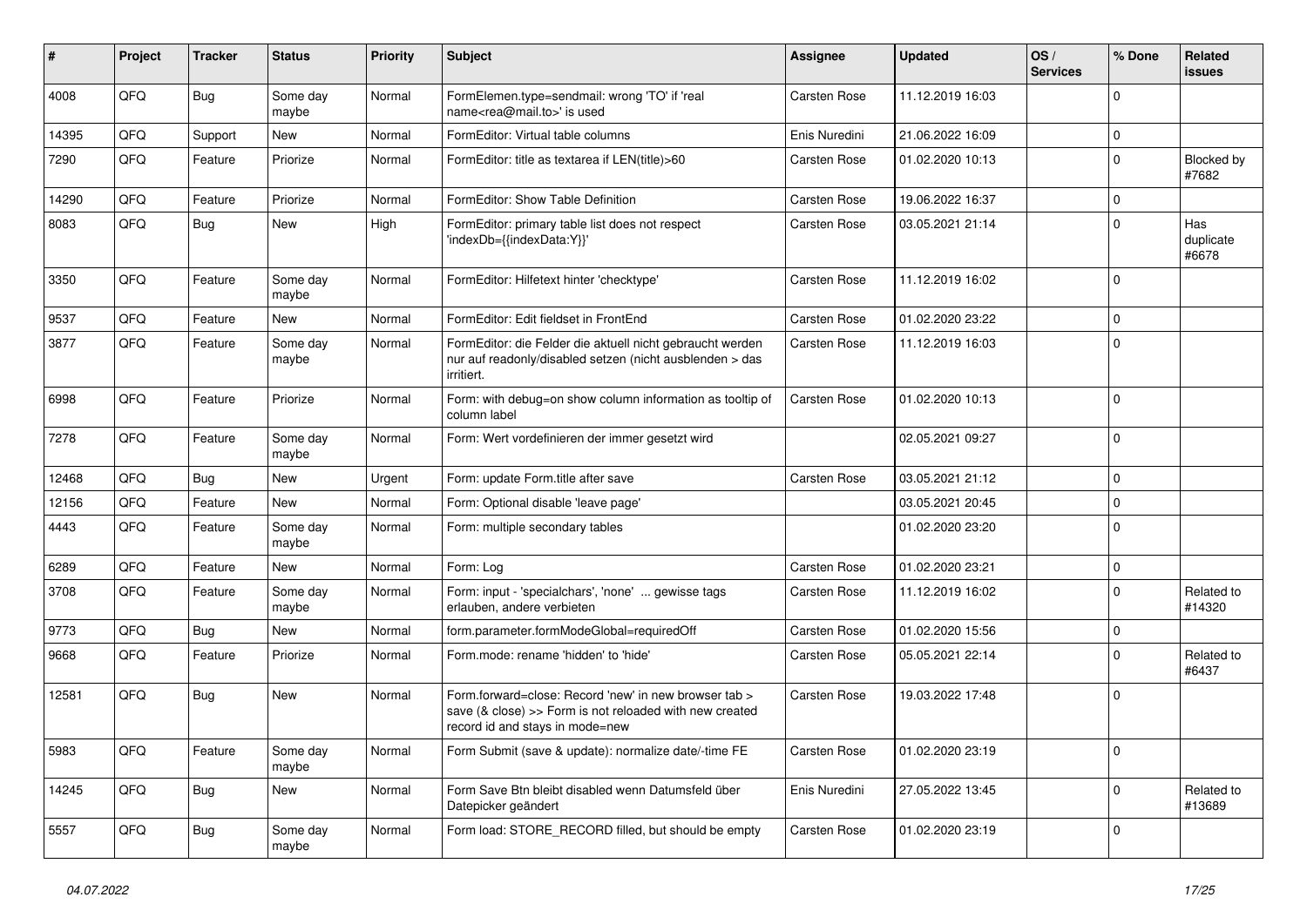| #     | Project | <b>Tracker</b> | <b>Status</b>     | <b>Priority</b> | <b>Subject</b>                                                                                                                                      | <b>Assignee</b>     | <b>Updated</b>   | OS/<br><b>Services</b> | % Done         | Related<br><b>issues</b>   |
|-------|---------|----------------|-------------------|-----------------|-----------------------------------------------------------------------------------------------------------------------------------------------------|---------------------|------------------|------------------------|----------------|----------------------------|
| 4008  | QFQ     | <b>Bug</b>     | Some day<br>maybe | Normal          | FormElemen.type=sendmail: wrong 'TO' if 'real<br>name <rea@mail.to>' is used</rea@mail.to>                                                          | <b>Carsten Rose</b> | 11.12.2019 16:03 |                        | $\Omega$       |                            |
| 14395 | QFQ     | Support        | <b>New</b>        | Normal          | FormEditor: Virtual table columns                                                                                                                   | Enis Nuredini       | 21.06.2022 16:09 |                        | $\mathbf 0$    |                            |
| 7290  | QFQ     | Feature        | Priorize          | Normal          | FormEditor: title as textarea if LEN(title)>60                                                                                                      | Carsten Rose        | 01.02.2020 10:13 |                        | $\mathbf 0$    | <b>Blocked by</b><br>#7682 |
| 14290 | QFQ     | Feature        | Priorize          | Normal          | FormEditor: Show Table Definition                                                                                                                   | Carsten Rose        | 19.06.2022 16:37 |                        | $\Omega$       |                            |
| 8083  | QFQ     | <b>Bug</b>     | New               | High            | FormEditor: primary table list does not respect<br>'indexDb={{indexData:Y}}'                                                                        | Carsten Rose        | 03.05.2021 21:14 |                        | $\Omega$       | Has<br>duplicate<br>#6678  |
| 3350  | QFQ     | Feature        | Some day<br>maybe | Normal          | FormEditor: Hilfetext hinter 'checktype'                                                                                                            | Carsten Rose        | 11.12.2019 16:02 |                        | $\Omega$       |                            |
| 9537  | QFQ     | Feature        | <b>New</b>        | Normal          | FormEditor: Edit fieldset in FrontEnd                                                                                                               | Carsten Rose        | 01.02.2020 23:22 |                        | $\mathbf 0$    |                            |
| 3877  | QFQ     | Feature        | Some day<br>maybe | Normal          | FormEditor: die Felder die aktuell nicht gebraucht werden<br>nur auf readonly/disabled setzen (nicht ausblenden > das<br>irritiert.                 | <b>Carsten Rose</b> | 11.12.2019 16:03 |                        | $\overline{0}$ |                            |
| 6998  | QFQ     | Feature        | Priorize          | Normal          | Form: with debug=on show column information as tooltip of<br>column label                                                                           | Carsten Rose        | 01.02.2020 10:13 |                        | $\Omega$       |                            |
| 7278  | QFQ     | Feature        | Some day<br>maybe | Normal          | Form: Wert vordefinieren der immer gesetzt wird                                                                                                     |                     | 02.05.2021 09:27 |                        | $\Omega$       |                            |
| 12468 | QFQ     | Bug            | <b>New</b>        | Urgent          | Form: update Form.title after save                                                                                                                  | Carsten Rose        | 03.05.2021 21:12 |                        | $\Omega$       |                            |
| 12156 | QFQ     | Feature        | <b>New</b>        | Normal          | Form: Optional disable 'leave page'                                                                                                                 |                     | 03.05.2021 20:45 |                        | $\mathbf 0$    |                            |
| 4443  | QFQ     | Feature        | Some day<br>maybe | Normal          | Form: multiple secondary tables                                                                                                                     |                     | 01.02.2020 23:20 |                        | $\Omega$       |                            |
| 6289  | QFQ     | Feature        | New               | Normal          | Form: Log                                                                                                                                           | Carsten Rose        | 01.02.2020 23:21 |                        | $\mathbf 0$    |                            |
| 3708  | QFQ     | Feature        | Some day<br>maybe | Normal          | Form: input - 'specialchars', 'none'  gewisse tags<br>erlauben, andere verbieten                                                                    | Carsten Rose        | 11.12.2019 16:02 |                        | $\mathbf 0$    | Related to<br>#14320       |
| 9773  | QFQ     | <b>Bug</b>     | <b>New</b>        | Normal          | form.parameter.formModeGlobal=requiredOff                                                                                                           | Carsten Rose        | 01.02.2020 15:56 |                        | $\mathbf 0$    |                            |
| 9668  | QFQ     | Feature        | Priorize          | Normal          | Form.mode: rename 'hidden' to 'hide'                                                                                                                | Carsten Rose        | 05.05.2021 22:14 |                        | $\Omega$       | Related to<br>#6437        |
| 12581 | QFQ     | <b>Bug</b>     | <b>New</b>        | Normal          | Form.forward=close: Record 'new' in new browser tab ><br>save (& close) >> Form is not reloaded with new created<br>record id and stays in mode=new | Carsten Rose        | 19.03.2022 17:48 |                        | $\Omega$       |                            |
| 5983  | QFQ     | Feature        | Some day<br>maybe | Normal          | Form Submit (save & update): normalize date/-time FE                                                                                                | Carsten Rose        | 01.02.2020 23:19 |                        | $\Omega$       |                            |
| 14245 | QFQ     | Bug            | New               | Normal          | Form Save Btn bleibt disabled wenn Datumsfeld über<br>Datepicker geändert                                                                           | Enis Nuredini       | 27.05.2022 13:45 |                        | $\mathbf 0$    | Related to<br>#13689       |
| 5557  | QFQ     | <b>Bug</b>     | Some day<br>maybe | Normal          | Form load: STORE RECORD filled, but should be empty                                                                                                 | Carsten Rose        | 01.02.2020 23:19 |                        | $\Omega$       |                            |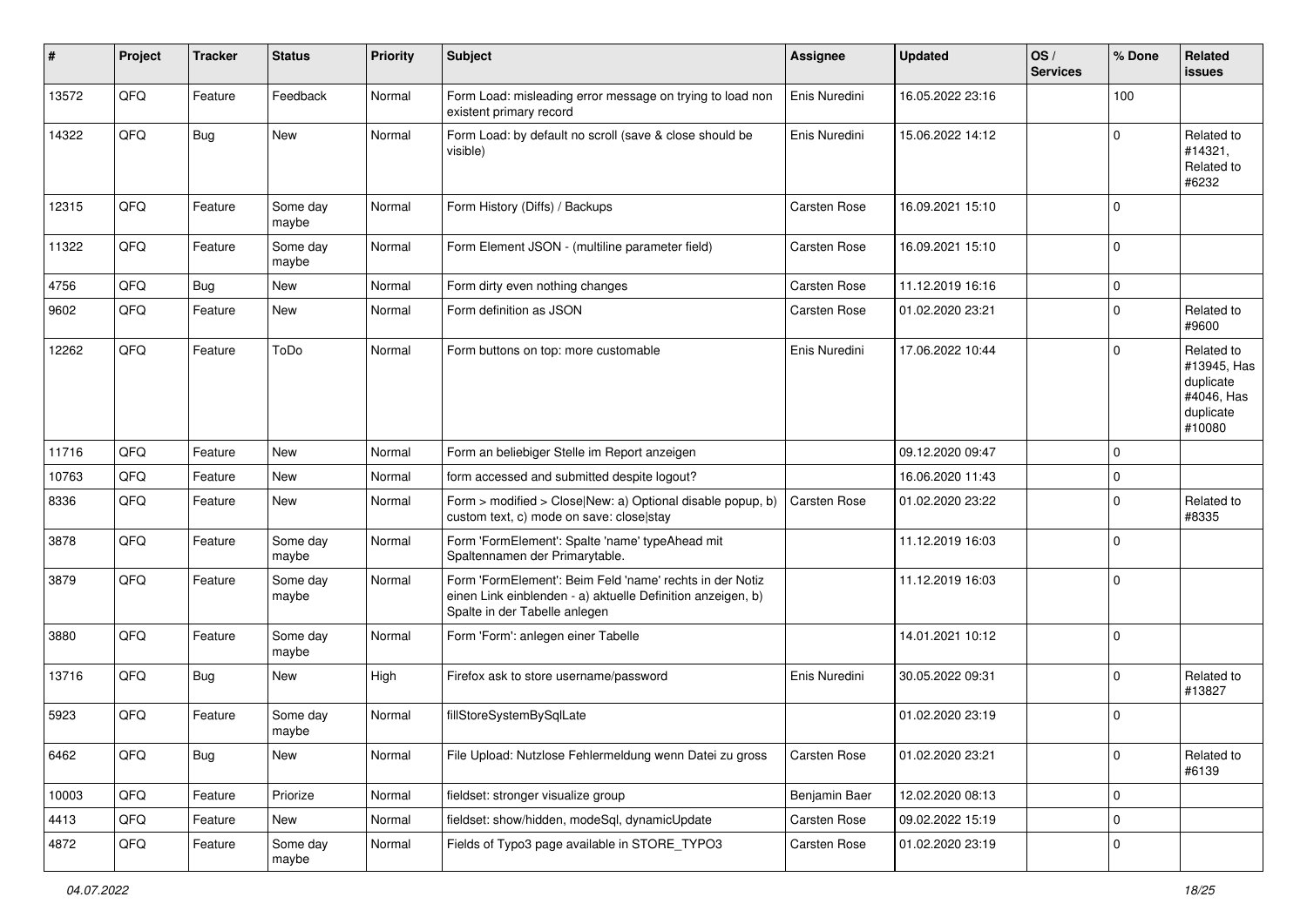| $\vert$ # | Project | <b>Tracker</b> | <b>Status</b>     | <b>Priority</b> | <b>Subject</b>                                                                                                                                           | <b>Assignee</b>     | <b>Updated</b>   | OS/<br><b>Services</b> | % Done      | Related<br><b>issues</b>                                                    |
|-----------|---------|----------------|-------------------|-----------------|----------------------------------------------------------------------------------------------------------------------------------------------------------|---------------------|------------------|------------------------|-------------|-----------------------------------------------------------------------------|
| 13572     | QFQ     | Feature        | Feedback          | Normal          | Form Load: misleading error message on trying to load non<br>existent primary record                                                                     | Enis Nuredini       | 16.05.2022 23:16 |                        | 100         |                                                                             |
| 14322     | QFQ     | Bug            | <b>New</b>        | Normal          | Form Load: by default no scroll (save & close should be<br>visible)                                                                                      | Enis Nuredini       | 15.06.2022 14:12 |                        | $\mathbf 0$ | Related to<br>#14321,<br>Related to<br>#6232                                |
| 12315     | QFQ     | Feature        | Some day<br>maybe | Normal          | Form History (Diffs) / Backups                                                                                                                           | Carsten Rose        | 16.09.2021 15:10 |                        | $\mathbf 0$ |                                                                             |
| 11322     | QFQ     | Feature        | Some day<br>maybe | Normal          | Form Element JSON - (multiline parameter field)                                                                                                          | Carsten Rose        | 16.09.2021 15:10 |                        | $\mathbf 0$ |                                                                             |
| 4756      | QFQ     | <b>Bug</b>     | New               | Normal          | Form dirty even nothing changes                                                                                                                          | Carsten Rose        | 11.12.2019 16:16 |                        | $\mathbf 0$ |                                                                             |
| 9602      | QFQ     | Feature        | <b>New</b>        | Normal          | Form definition as JSON                                                                                                                                  | Carsten Rose        | 01.02.2020 23:21 |                        | $\mathbf 0$ | Related to<br>#9600                                                         |
| 12262     | QFQ     | Feature        | ToDo              | Normal          | Form buttons on top: more customable                                                                                                                     | Enis Nuredini       | 17.06.2022 10:44 |                        | $\mathbf 0$ | Related to<br>#13945, Has<br>duplicate<br>#4046, Has<br>duplicate<br>#10080 |
| 11716     | QFQ     | Feature        | <b>New</b>        | Normal          | Form an beliebiger Stelle im Report anzeigen                                                                                                             |                     | 09.12.2020 09:47 |                        | $\mathbf 0$ |                                                                             |
| 10763     | QFQ     | Feature        | New               | Normal          | form accessed and submitted despite logout?                                                                                                              |                     | 16.06.2020 11:43 |                        | 0           |                                                                             |
| 8336      | QFQ     | Feature        | New               | Normal          | Form > modified > Close New: a) Optional disable popup, b)<br>custom text, c) mode on save: close stay                                                   | <b>Carsten Rose</b> | 01.02.2020 23:22 |                        | $\mathbf 0$ | Related to<br>#8335                                                         |
| 3878      | QFQ     | Feature        | Some day<br>maybe | Normal          | Form 'FormElement': Spalte 'name' typeAhead mit<br>Spaltennamen der Primarytable.                                                                        |                     | 11.12.2019 16:03 |                        | $\mathbf 0$ |                                                                             |
| 3879      | QFQ     | Feature        | Some day<br>maybe | Normal          | Form 'FormElement': Beim Feld 'name' rechts in der Notiz<br>einen Link einblenden - a) aktuelle Definition anzeigen, b)<br>Spalte in der Tabelle anlegen |                     | 11.12.2019 16:03 |                        | $\mathbf 0$ |                                                                             |
| 3880      | QFQ     | Feature        | Some day<br>maybe | Normal          | Form 'Form': anlegen einer Tabelle                                                                                                                       |                     | 14.01.2021 10:12 |                        | $\mathbf 0$ |                                                                             |
| 13716     | QFQ     | Bug            | New               | High            | Firefox ask to store username/password                                                                                                                   | Enis Nuredini       | 30.05.2022 09:31 |                        | $\mathbf 0$ | Related to<br>#13827                                                        |
| 5923      | QFQ     | Feature        | Some day<br>maybe | Normal          | fillStoreSystemBySqlLate                                                                                                                                 |                     | 01.02.2020 23:19 |                        | $\mathbf 0$ |                                                                             |
| 6462      | QFG     | <b>Bug</b>     | New               | Normal          | File Upload: Nutzlose Fehlermeldung wenn Datei zu gross                                                                                                  | Carsten Rose        | 01.02.2020 23:21 |                        | $\mathbf 0$ | Related to<br>#6139                                                         |
| 10003     | QFO     | Feature        | Priorize          | Normal          | fieldset: stronger visualize group                                                                                                                       | Benjamin Baer       | 12.02.2020 08:13 |                        | $\mathbf 0$ |                                                                             |
| 4413      | QFQ     | Feature        | New               | Normal          | fieldset: show/hidden, modeSql, dynamicUpdate                                                                                                            | Carsten Rose        | 09.02.2022 15:19 |                        | $\mathbf 0$ |                                                                             |
| 4872      | QFG     | Feature        | Some day<br>maybe | Normal          | Fields of Typo3 page available in STORE_TYPO3                                                                                                            | Carsten Rose        | 01.02.2020 23:19 |                        | $\mathbf 0$ |                                                                             |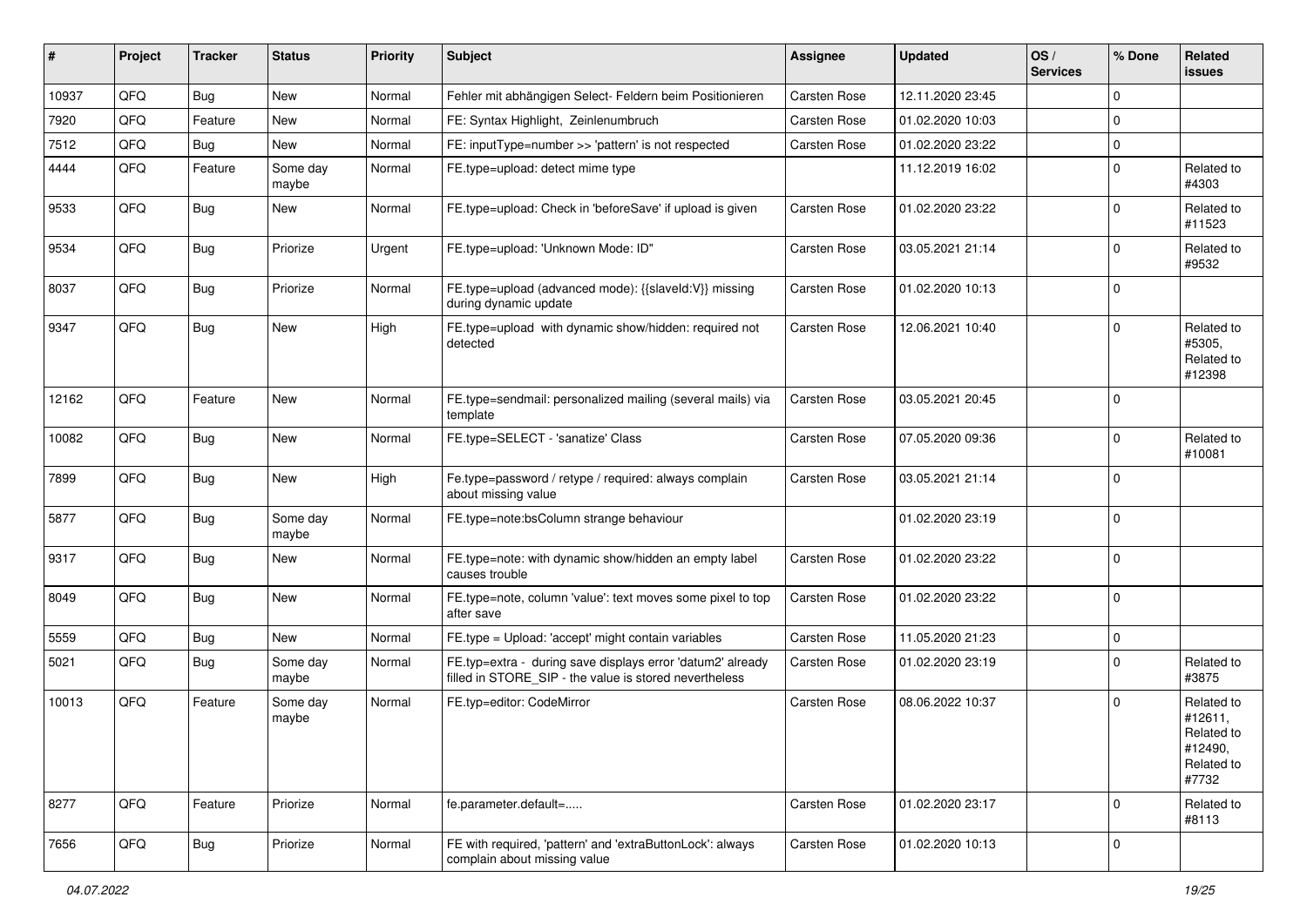| #     | Project | <b>Tracker</b> | <b>Status</b>     | <b>Priority</b> | Subject                                                                                                              | <b>Assignee</b> | <b>Updated</b>   | OS/<br><b>Services</b> | % Done      | Related<br><b>issues</b>                                              |
|-------|---------|----------------|-------------------|-----------------|----------------------------------------------------------------------------------------------------------------------|-----------------|------------------|------------------------|-------------|-----------------------------------------------------------------------|
| 10937 | QFQ     | Bug            | <b>New</b>        | Normal          | Fehler mit abhängigen Select- Feldern beim Positionieren                                                             | Carsten Rose    | 12.11.2020 23:45 |                        | $\mathbf 0$ |                                                                       |
| 7920  | QFQ     | Feature        | <b>New</b>        | Normal          | FE: Syntax Highlight, Zeinlenumbruch                                                                                 | Carsten Rose    | 01.02.2020 10:03 |                        | $\mathbf 0$ |                                                                       |
| 7512  | QFQ     | <b>Bug</b>     | New               | Normal          | FE: inputType=number >> 'pattern' is not respected                                                                   | Carsten Rose    | 01.02.2020 23:22 |                        | $\mathbf 0$ |                                                                       |
| 4444  | QFQ     | Feature        | Some day<br>maybe | Normal          | FE.type=upload: detect mime type                                                                                     |                 | 11.12.2019 16:02 |                        | $\Omega$    | Related to<br>#4303                                                   |
| 9533  | QFQ     | Bug            | <b>New</b>        | Normal          | FE.type=upload: Check in 'beforeSave' if upload is given                                                             | Carsten Rose    | 01.02.2020 23:22 |                        | $\Omega$    | Related to<br>#11523                                                  |
| 9534  | QFQ     | Bug            | Priorize          | Urgent          | FE.type=upload: 'Unknown Mode: ID"                                                                                   | Carsten Rose    | 03.05.2021 21:14 |                        | $\Omega$    | Related to<br>#9532                                                   |
| 8037  | QFQ     | Bug            | Priorize          | Normal          | FE.type=upload (advanced mode): {{slaveld:V}} missing<br>during dynamic update                                       | Carsten Rose    | 01.02.2020 10:13 |                        | $\mathbf 0$ |                                                                       |
| 9347  | QFQ     | <b>Bug</b>     | New               | High            | FE.type=upload with dynamic show/hidden: required not<br>detected                                                    | Carsten Rose    | 12.06.2021 10:40 |                        | $\mathbf 0$ | Related to<br>#5305,<br>Related to<br>#12398                          |
| 12162 | QFQ     | Feature        | <b>New</b>        | Normal          | FE.type=sendmail: personalized mailing (several mails) via<br>template                                               | Carsten Rose    | 03.05.2021 20:45 |                        | $\mathbf 0$ |                                                                       |
| 10082 | QFQ     | Bug            | New               | Normal          | FE.type=SELECT - 'sanatize' Class                                                                                    | Carsten Rose    | 07.05.2020 09:36 |                        | $\Omega$    | Related to<br>#10081                                                  |
| 7899  | QFQ     | Bug            | <b>New</b>        | High            | Fe.type=password / retype / required: always complain<br>about missing value                                         | Carsten Rose    | 03.05.2021 21:14 |                        | $\Omega$    |                                                                       |
| 5877  | QFQ     | Bug            | Some day<br>maybe | Normal          | FE.type=note:bsColumn strange behaviour                                                                              |                 | 01.02.2020 23:19 |                        | $\Omega$    |                                                                       |
| 9317  | QFQ     | Bug            | New               | Normal          | FE.type=note: with dynamic show/hidden an empty label<br>causes trouble                                              | Carsten Rose    | 01.02.2020 23:22 |                        | $\mathbf 0$ |                                                                       |
| 8049  | QFQ     | Bug            | <b>New</b>        | Normal          | FE.type=note, column 'value': text moves some pixel to top<br>after save                                             | Carsten Rose    | 01.02.2020 23:22 |                        | 0           |                                                                       |
| 5559  | QFQ     | Bug            | New               | Normal          | FE.type = Upload: 'accept' might contain variables                                                                   | Carsten Rose    | 11.05.2020 21:23 |                        | $\mathbf 0$ |                                                                       |
| 5021  | QFQ     | Bug            | Some day<br>maybe | Normal          | FE.typ=extra - during save displays error 'datum2' already<br>filled in STORE_SIP - the value is stored nevertheless | Carsten Rose    | 01.02.2020 23:19 |                        | $\Omega$    | Related to<br>#3875                                                   |
| 10013 | QFQ     | Feature        | Some day<br>maybe | Normal          | FE.typ=editor: CodeMirror                                                                                            | Carsten Rose    | 08.06.2022 10:37 |                        | $\Omega$    | Related to<br>#12611,<br>Related to<br>#12490,<br>Related to<br>#7732 |
| 8277  | QFQ     | Feature        | Priorize          | Normal          | fe.parameter.default=                                                                                                | Carsten Rose    | 01.02.2020 23:17 |                        | $\mathbf 0$ | Related to<br>#8113                                                   |
| 7656  | QFQ     | <b>Bug</b>     | Priorize          | Normal          | FE with required, 'pattern' and 'extraButtonLock': always<br>complain about missing value                            | Carsten Rose    | 01.02.2020 10:13 |                        | $\Omega$    |                                                                       |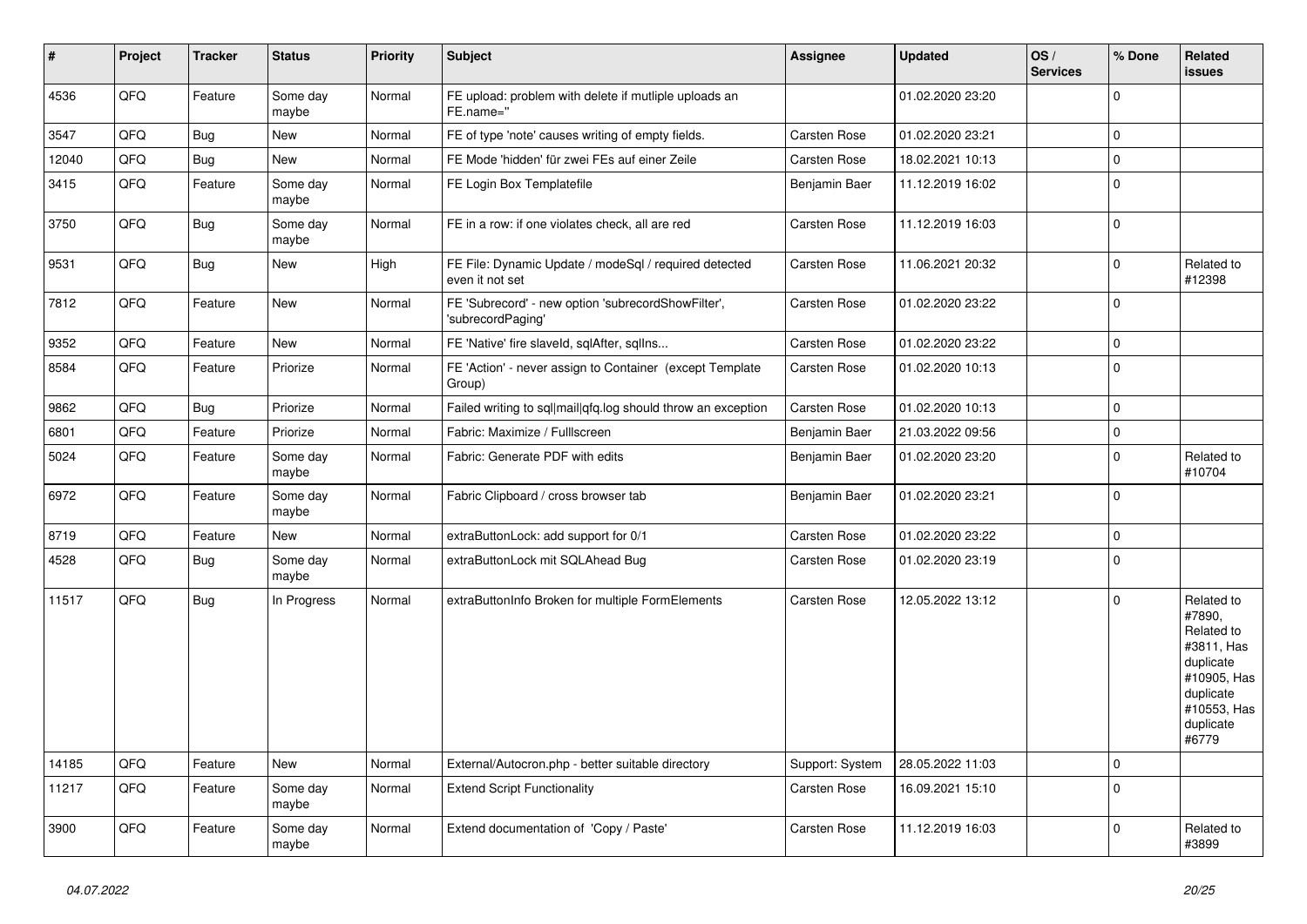| $\vert$ # | Project | <b>Tracker</b> | <b>Status</b>     | <b>Priority</b> | <b>Subject</b>                                                           | <b>Assignee</b> | <b>Updated</b>   | OS/<br><b>Services</b> | % Done      | Related<br><b>issues</b>                                                                                                       |
|-----------|---------|----------------|-------------------|-----------------|--------------------------------------------------------------------------|-----------------|------------------|------------------------|-------------|--------------------------------------------------------------------------------------------------------------------------------|
| 4536      | QFQ     | Feature        | Some day<br>maybe | Normal          | FE upload: problem with delete if mutliple uploads an<br>FE.name="       |                 | 01.02.2020 23:20 |                        | $\Omega$    |                                                                                                                                |
| 3547      | QFQ     | <b>Bug</b>     | <b>New</b>        | Normal          | FE of type 'note' causes writing of empty fields.                        | Carsten Rose    | 01.02.2020 23:21 |                        | $\Omega$    |                                                                                                                                |
| 12040     | QFQ     | <b>Bug</b>     | <b>New</b>        | Normal          | FE Mode 'hidden' für zwei FEs auf einer Zeile                            | Carsten Rose    | 18.02.2021 10:13 |                        | $\Omega$    |                                                                                                                                |
| 3415      | QFQ     | Feature        | Some day<br>maybe | Normal          | FE Login Box Templatefile                                                | Benjamin Baer   | 11.12.2019 16:02 |                        | $\Omega$    |                                                                                                                                |
| 3750      | QFQ     | Bug            | Some day<br>maybe | Normal          | FE in a row: if one violates check, all are red                          | Carsten Rose    | 11.12.2019 16:03 |                        | $\mathbf 0$ |                                                                                                                                |
| 9531      | QFQ     | <b>Bug</b>     | <b>New</b>        | High            | FE File: Dynamic Update / modeSql / required detected<br>even it not set | Carsten Rose    | 11.06.2021 20:32 |                        | $\mathbf 0$ | Related to<br>#12398                                                                                                           |
| 7812      | QFQ     | Feature        | <b>New</b>        | Normal          | FE 'Subrecord' - new option 'subrecordShowFilter',<br>'subrecordPaging'  | Carsten Rose    | 01.02.2020 23:22 |                        | $\Omega$    |                                                                                                                                |
| 9352      | QFQ     | Feature        | <b>New</b>        | Normal          | FE 'Native' fire slaveld, sqlAfter, sqlIns                               | Carsten Rose    | 01.02.2020 23:22 |                        | $\Omega$    |                                                                                                                                |
| 8584      | QFQ     | Feature        | Priorize          | Normal          | FE 'Action' - never assign to Container (except Template<br>Group)       | Carsten Rose    | 01.02.2020 10:13 |                        | $\Omega$    |                                                                                                                                |
| 9862      | QFQ     | <b>Bug</b>     | Priorize          | Normal          | Failed writing to sql mail qfq.log should throw an exception             | Carsten Rose    | 01.02.2020 10:13 |                        | $\mathbf 0$ |                                                                                                                                |
| 6801      | QFQ     | Feature        | Priorize          | Normal          | Fabric: Maximize / FullIscreen                                           | Benjamin Baer   | 21.03.2022 09:56 |                        | $\mathbf 0$ |                                                                                                                                |
| 5024      | QFQ     | Feature        | Some day<br>maybe | Normal          | Fabric: Generate PDF with edits                                          | Benjamin Baer   | 01.02.2020 23:20 |                        | $\Omega$    | Related to<br>#10704                                                                                                           |
| 6972      | QFQ     | Feature        | Some day<br>maybe | Normal          | Fabric Clipboard / cross browser tab                                     | Benjamin Baer   | 01.02.2020 23:21 |                        | $\Omega$    |                                                                                                                                |
| 8719      | QFQ     | Feature        | New               | Normal          | extraButtonLock: add support for 0/1                                     | Carsten Rose    | 01.02.2020 23:22 |                        | $\Omega$    |                                                                                                                                |
| 4528      | QFQ     | <b>Bug</b>     | Some day<br>maybe | Normal          | extraButtonLock mit SQLAhead Bug                                         | Carsten Rose    | 01.02.2020 23:19 |                        | $\Omega$    |                                                                                                                                |
| 11517     | QFQ     | Bug            | In Progress       | Normal          | extraButtonInfo Broken for multiple FormElements                         | Carsten Rose    | 12.05.2022 13:12 |                        | $\Omega$    | Related to<br>#7890,<br>Related to<br>#3811, Has<br>duplicate<br>#10905, Has<br>duplicate<br>#10553, Has<br>duplicate<br>#6779 |
| 14185     | QFQ     | Feature        | <b>New</b>        | Normal          | External/Autocron.php - better suitable directory                        | Support: System | 28.05.2022 11:03 |                        | $\Omega$    |                                                                                                                                |
| 11217     | QFQ     | Feature        | Some day<br>maybe | Normal          | <b>Extend Script Functionality</b>                                       | Carsten Rose    | 16.09.2021 15:10 |                        | $\Omega$    |                                                                                                                                |
| 3900      | QFQ     | Feature        | Some day<br>maybe | Normal          | Extend documentation of 'Copy / Paste'                                   | Carsten Rose    | 11.12.2019 16:03 |                        | $\Omega$    | Related to<br>#3899                                                                                                            |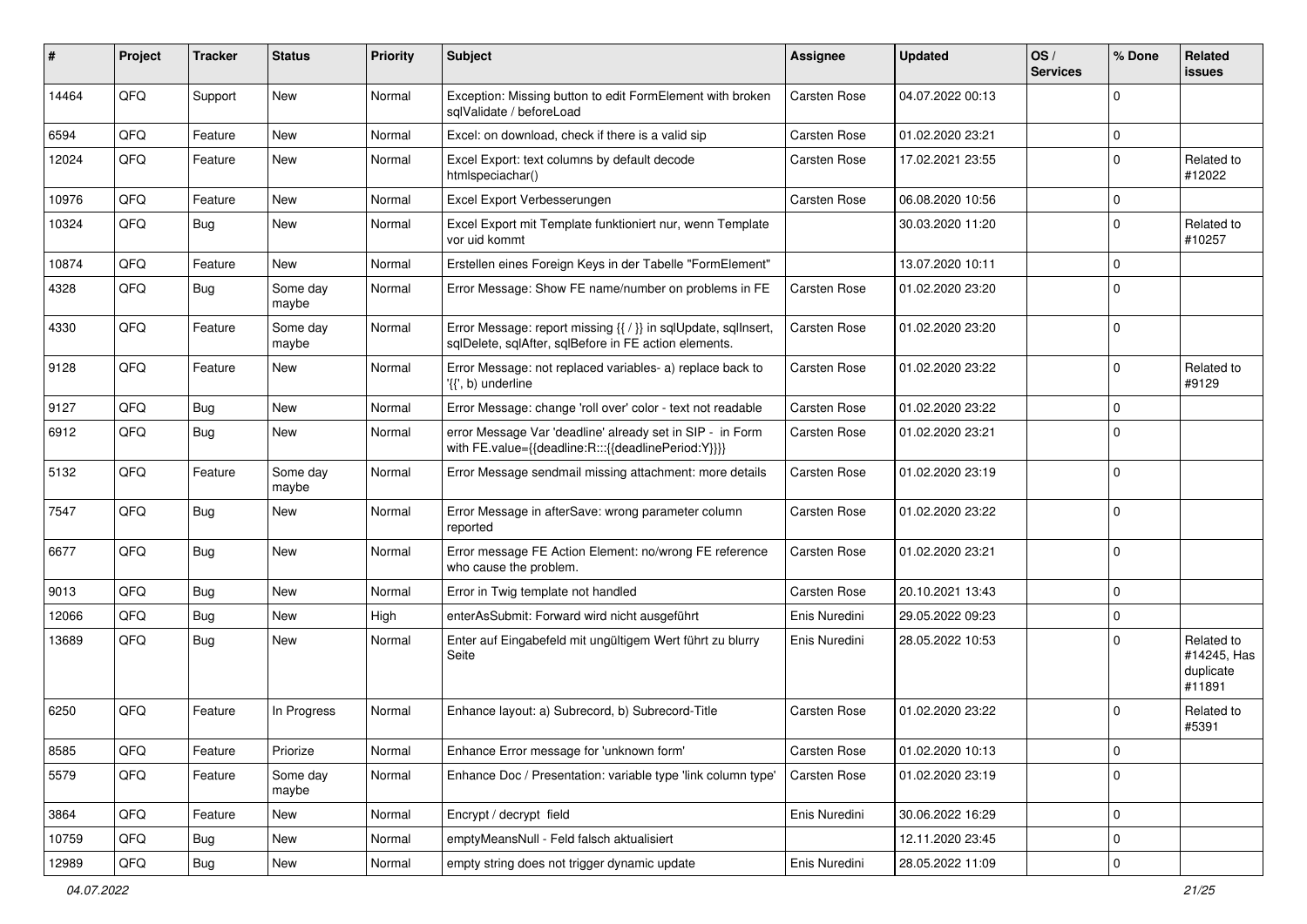| ∦     | Project | <b>Tracker</b> | <b>Status</b>     | <b>Priority</b> | <b>Subject</b>                                                                                                          | <b>Assignee</b> | <b>Updated</b>   | OS/<br><b>Services</b> | % Done      | Related<br><b>issues</b>                         |
|-------|---------|----------------|-------------------|-----------------|-------------------------------------------------------------------------------------------------------------------------|-----------------|------------------|------------------------|-------------|--------------------------------------------------|
| 14464 | QFQ     | Support        | <b>New</b>        | Normal          | Exception: Missing button to edit FormElement with broken<br>sqlValidate / beforeLoad                                   | Carsten Rose    | 04.07.2022 00:13 |                        | $\Omega$    |                                                  |
| 6594  | QFQ     | Feature        | New               | Normal          | Excel: on download, check if there is a valid sip                                                                       | Carsten Rose    | 01.02.2020 23:21 |                        | $\mathbf 0$ |                                                  |
| 12024 | QFQ     | Feature        | New               | Normal          | Excel Export: text columns by default decode<br>htmlspeciachar()                                                        | Carsten Rose    | 17.02.2021 23:55 |                        | $\Omega$    | Related to<br>#12022                             |
| 10976 | QFQ     | Feature        | <b>New</b>        | Normal          | Excel Export Verbesserungen                                                                                             | Carsten Rose    | 06.08.2020 10:56 |                        | $\mathbf 0$ |                                                  |
| 10324 | QFQ     | Bug            | New               | Normal          | Excel Export mit Template funktioniert nur, wenn Template<br>vor uid kommt                                              |                 | 30.03.2020 11:20 |                        | $\mathbf 0$ | Related to<br>#10257                             |
| 10874 | QFQ     | Feature        | <b>New</b>        | Normal          | Erstellen eines Foreign Keys in der Tabelle "FormElement"                                                               |                 | 13.07.2020 10:11 |                        | $\Omega$    |                                                  |
| 4328  | QFQ     | Bug            | Some day<br>maybe | Normal          | Error Message: Show FE name/number on problems in FE                                                                    | Carsten Rose    | 01.02.2020 23:20 |                        | $\Omega$    |                                                  |
| 4330  | QFQ     | Feature        | Some day<br>maybe | Normal          | Error Message: report missing {{ / }} in sqlUpdate, sqlInsert,<br>sqlDelete, sqlAfter, sqlBefore in FE action elements. | Carsten Rose    | 01.02.2020 23:20 |                        | $\mathbf 0$ |                                                  |
| 9128  | QFQ     | Feature        | New               | Normal          | Error Message: not replaced variables- a) replace back to<br>'{{', b) underline                                         | Carsten Rose    | 01.02.2020 23:22 |                        | $\mathbf 0$ | Related to<br>#9129                              |
| 9127  | QFQ     | <b>Bug</b>     | <b>New</b>        | Normal          | Error Message: change 'roll over' color - text not readable                                                             | Carsten Rose    | 01.02.2020 23:22 |                        | $\Omega$    |                                                  |
| 6912  | QFQ     | Bug            | <b>New</b>        | Normal          | error Message Var 'deadline' already set in SIP - in Form<br>with FE.value={{deadline:R:::{{deadlinePeriod:Y}}}}        | Carsten Rose    | 01.02.2020 23:21 |                        | $\Omega$    |                                                  |
| 5132  | QFQ     | Feature        | Some day<br>maybe | Normal          | Error Message sendmail missing attachment: more details                                                                 | Carsten Rose    | 01.02.2020 23:19 |                        | $\Omega$    |                                                  |
| 7547  | QFQ     | Bug            | <b>New</b>        | Normal          | Error Message in afterSave: wrong parameter column<br>reported                                                          | Carsten Rose    | 01.02.2020 23:22 |                        | $\mathbf 0$ |                                                  |
| 6677  | QFQ     | <b>Bug</b>     | New               | Normal          | Error message FE Action Element: no/wrong FE reference<br>who cause the problem.                                        | Carsten Rose    | 01.02.2020 23:21 |                        | $\mathbf 0$ |                                                  |
| 9013  | QFQ     | Bug            | <b>New</b>        | Normal          | Error in Twig template not handled                                                                                      | Carsten Rose    | 20.10.2021 13:43 |                        | $\mathbf 0$ |                                                  |
| 12066 | QFQ     | Bug            | New               | High            | enterAsSubmit: Forward wird nicht ausgeführt                                                                            | Enis Nuredini   | 29.05.2022 09:23 |                        | $\mathbf 0$ |                                                  |
| 13689 | QFQ     | Bug            | <b>New</b>        | Normal          | Enter auf Eingabefeld mit ungültigem Wert führt zu blurry<br>Seite                                                      | Enis Nuredini   | 28.05.2022 10:53 |                        | $\Omega$    | Related to<br>#14245, Has<br>duplicate<br>#11891 |
| 6250  | QFQ     | Feature        | In Progress       | Normal          | Enhance layout: a) Subrecord, b) Subrecord-Title                                                                        | Carsten Rose    | 01.02.2020 23:22 |                        | $\Omega$    | Related to<br>#5391                              |
| 8585  | QFO     | Feature        | Priorize          | Normal          | Enhance Error message for 'unknown form'                                                                                | Carsten Rose    | 01.02.2020 10:13 |                        | 0           |                                                  |
| 5579  | QFQ     | Feature        | Some day<br>maybe | Normal          | Enhance Doc / Presentation: variable type 'link column type'                                                            | Carsten Rose    | 01.02.2020 23:19 |                        | 0           |                                                  |
| 3864  | QFQ     | Feature        | New               | Normal          | Encrypt / decrypt field                                                                                                 | Enis Nuredini   | 30.06.2022 16:29 |                        | 0           |                                                  |
| 10759 | QFQ     | <b>Bug</b>     | New               | Normal          | emptyMeansNull - Feld falsch aktualisiert                                                                               |                 | 12.11.2020 23:45 |                        | 0           |                                                  |
| 12989 | QFG     | Bug            | New               | Normal          | empty string does not trigger dynamic update                                                                            | Enis Nuredini   | 28.05.2022 11:09 |                        | $\pmb{0}$   |                                                  |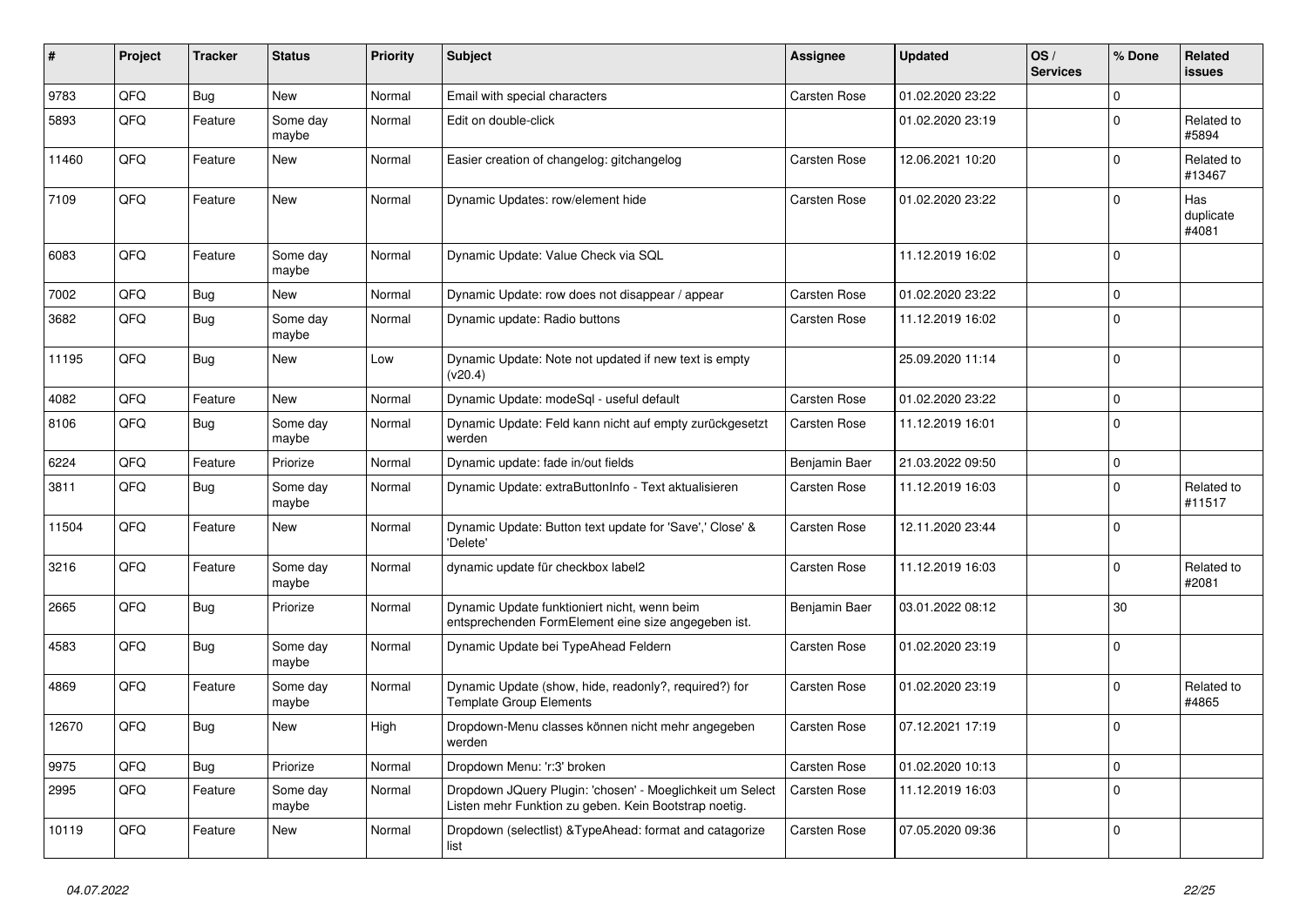| ∦     | Project | <b>Tracker</b> | <b>Status</b>     | <b>Priority</b> | <b>Subject</b>                                                                                                     | Assignee            | <b>Updated</b>   | OS/<br><b>Services</b> | % Done              | Related<br><b>issues</b>  |
|-------|---------|----------------|-------------------|-----------------|--------------------------------------------------------------------------------------------------------------------|---------------------|------------------|------------------------|---------------------|---------------------------|
| 9783  | QFQ     | <b>Bug</b>     | <b>New</b>        | Normal          | Email with special characters                                                                                      | <b>Carsten Rose</b> | 01.02.2020 23:22 |                        | $\mathbf 0$         |                           |
| 5893  | QFQ     | Feature        | Some day<br>maybe | Normal          | Edit on double-click                                                                                               |                     | 01.02.2020 23:19 |                        | $\mathbf 0$         | Related to<br>#5894       |
| 11460 | QFQ     | Feature        | New               | Normal          | Easier creation of changelog: gitchangelog                                                                         | <b>Carsten Rose</b> | 12.06.2021 10:20 |                        | $\mathbf 0$         | Related to<br>#13467      |
| 7109  | QFQ     | Feature        | <b>New</b>        | Normal          | Dynamic Updates: row/element hide                                                                                  | Carsten Rose        | 01.02.2020 23:22 |                        | $\mathbf 0$         | Has<br>duplicate<br>#4081 |
| 6083  | QFQ     | Feature        | Some day<br>maybe | Normal          | Dynamic Update: Value Check via SQL                                                                                |                     | 11.12.2019 16:02 |                        | $\mathbf 0$         |                           |
| 7002  | QFQ     | <b>Bug</b>     | <b>New</b>        | Normal          | Dynamic Update: row does not disappear / appear                                                                    | Carsten Rose        | 01.02.2020 23:22 |                        | $\mathbf 0$         |                           |
| 3682  | QFQ     | Bug            | Some day<br>maybe | Normal          | Dynamic update: Radio buttons                                                                                      | Carsten Rose        | 11.12.2019 16:02 |                        | $\mathbf 0$         |                           |
| 11195 | QFQ     | Bug            | <b>New</b>        | Low             | Dynamic Update: Note not updated if new text is empty<br>(v20.4)                                                   |                     | 25.09.2020 11:14 |                        | $\Omega$            |                           |
| 4082  | QFQ     | Feature        | <b>New</b>        | Normal          | Dynamic Update: modeSql - useful default                                                                           | <b>Carsten Rose</b> | 01.02.2020 23:22 |                        | $\mathbf 0$         |                           |
| 8106  | QFQ     | <b>Bug</b>     | Some day<br>maybe | Normal          | Dynamic Update: Feld kann nicht auf empty zurückgesetzt<br>werden                                                  | Carsten Rose        | 11.12.2019 16:01 |                        | $\Omega$            |                           |
| 6224  | QFQ     | Feature        | Priorize          | Normal          | Dynamic update: fade in/out fields                                                                                 | Benjamin Baer       | 21.03.2022 09:50 |                        | $\mathsf 0$         |                           |
| 3811  | QFQ     | Bug            | Some day<br>maybe | Normal          | Dynamic Update: extraButtonInfo - Text aktualisieren                                                               | Carsten Rose        | 11.12.2019 16:03 |                        | $\mathbf 0$         | Related to<br>#11517      |
| 11504 | QFQ     | Feature        | <b>New</b>        | Normal          | Dynamic Update: Button text update for 'Save',' Close' &<br>'Delete'                                               | Carsten Rose        | 12.11.2020 23:44 |                        | $\mathbf 0$         |                           |
| 3216  | QFQ     | Feature        | Some day<br>maybe | Normal          | dynamic update für checkbox label2                                                                                 | Carsten Rose        | 11.12.2019 16:03 |                        | $\mathbf 0$         | Related to<br>#2081       |
| 2665  | QFQ     | <b>Bug</b>     | Priorize          | Normal          | Dynamic Update funktioniert nicht, wenn beim<br>entsprechenden FormElement eine size angegeben ist.                | Benjamin Baer       | 03.01.2022 08:12 |                        | 30                  |                           |
| 4583  | QFQ     | <b>Bug</b>     | Some day<br>maybe | Normal          | Dynamic Update bei TypeAhead Feldern                                                                               | Carsten Rose        | 01.02.2020 23:19 |                        | $\mathbf 0$         |                           |
| 4869  | QFQ     | Feature        | Some day<br>maybe | Normal          | Dynamic Update (show, hide, readonly?, required?) for<br><b>Template Group Elements</b>                            | Carsten Rose        | 01.02.2020 23:19 |                        | $\Omega$            | Related to<br>#4865       |
| 12670 | QFQ     | Bug            | <b>New</b>        | High            | Dropdown-Menu classes können nicht mehr angegeben<br>werden                                                        | <b>Carsten Rose</b> | 07.12.2021 17:19 |                        | $\mathbf 0$         |                           |
| 9975  | QFQ     | <b>Bug</b>     | Priorize          | Normal          | Dropdown Menu: 'r:3' broken                                                                                        | Carsten Rose        | 01.02.2020 10:13 |                        | $\mathsf{O}\xspace$ |                           |
| 2995  | QFQ     | Feature        | Some day<br>maybe | Normal          | Dropdown JQuery Plugin: 'chosen' - Moeglichkeit um Select<br>Listen mehr Funktion zu geben. Kein Bootstrap noetig. | <b>Carsten Rose</b> | 11.12.2019 16:03 |                        | $\Omega$            |                           |
| 10119 | QFQ     | Feature        | <b>New</b>        | Normal          | Dropdown (selectlist) & Type Ahead: format and catagorize<br>list                                                  | <b>Carsten Rose</b> | 07.05.2020 09:36 |                        | $\Omega$            |                           |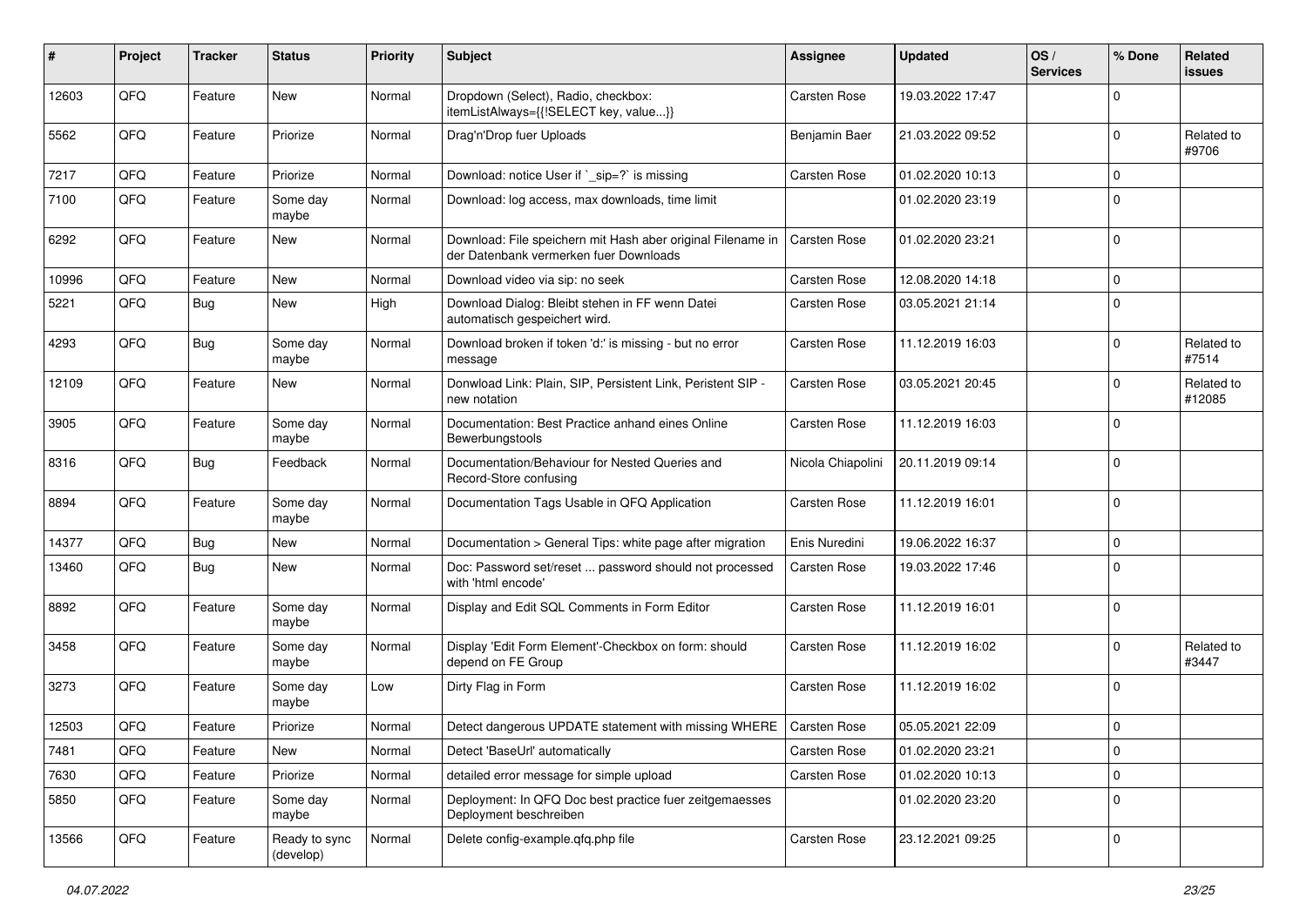| #     | Project | <b>Tracker</b> | <b>Status</b>              | <b>Priority</b> | <b>Subject</b>                                                                                        | <b>Assignee</b>     | <b>Updated</b>   | OS/<br><b>Services</b> | % Done      | Related<br><b>issues</b> |
|-------|---------|----------------|----------------------------|-----------------|-------------------------------------------------------------------------------------------------------|---------------------|------------------|------------------------|-------------|--------------------------|
| 12603 | QFQ     | Feature        | <b>New</b>                 | Normal          | Dropdown (Select), Radio, checkbox:<br>itemListAlways={{!SELECT key, value}}                          | <b>Carsten Rose</b> | 19.03.2022 17:47 |                        | $\Omega$    |                          |
| 5562  | QFQ     | Feature        | Priorize                   | Normal          | Drag'n'Drop fuer Uploads                                                                              | Benjamin Baer       | 21.03.2022 09:52 |                        | $\Omega$    | Related to<br>#9706      |
| 7217  | QFQ     | Feature        | Priorize                   | Normal          | Download: notice User if `_sip=?` is missing                                                          | Carsten Rose        | 01.02.2020 10:13 |                        | $\Omega$    |                          |
| 7100  | QFQ     | Feature        | Some day<br>maybe          | Normal          | Download: log access, max downloads, time limit                                                       |                     | 01.02.2020 23:19 |                        | $\Omega$    |                          |
| 6292  | QFQ     | Feature        | <b>New</b>                 | Normal          | Download: File speichern mit Hash aber original Filename in<br>der Datenbank vermerken fuer Downloads | Carsten Rose        | 01.02.2020 23:21 |                        | $\Omega$    |                          |
| 10996 | QFQ     | Feature        | <b>New</b>                 | Normal          | Download video via sip: no seek                                                                       | <b>Carsten Rose</b> | 12.08.2020 14:18 |                        | $\mathbf 0$ |                          |
| 5221  | QFQ     | <b>Bug</b>     | New                        | High            | Download Dialog: Bleibt stehen in FF wenn Datei<br>automatisch gespeichert wird.                      | Carsten Rose        | 03.05.2021 21:14 |                        | $\Omega$    |                          |
| 4293  | QFQ     | <b>Bug</b>     | Some day<br>maybe          | Normal          | Download broken if token 'd:' is missing - but no error<br>message                                    | Carsten Rose        | 11.12.2019 16:03 |                        | $\mathbf 0$ | Related to<br>#7514      |
| 12109 | QFQ     | Feature        | <b>New</b>                 | Normal          | Donwload Link: Plain, SIP, Persistent Link, Peristent SIP -<br>new notation                           | Carsten Rose        | 03.05.2021 20:45 |                        | $\Omega$    | Related to<br>#12085     |
| 3905  | QFQ     | Feature        | Some day<br>maybe          | Normal          | Documentation: Best Practice anhand eines Online<br>Bewerbungstools                                   | <b>Carsten Rose</b> | 11.12.2019 16:03 |                        | I٥          |                          |
| 8316  | QFQ     | <b>Bug</b>     | Feedback                   | Normal          | Documentation/Behaviour for Nested Queries and<br>Record-Store confusing                              | Nicola Chiapolini   | 20.11.2019 09:14 |                        | $\Omega$    |                          |
| 8894  | QFQ     | Feature        | Some day<br>maybe          | Normal          | Documentation Tags Usable in QFQ Application                                                          | Carsten Rose        | 11.12.2019 16:01 |                        | l 0         |                          |
| 14377 | QFQ     | Bug            | <b>New</b>                 | Normal          | Documentation > General Tips: white page after migration                                              | Enis Nuredini       | 19.06.2022 16:37 |                        | $\mathbf 0$ |                          |
| 13460 | QFQ     | Bug            | <b>New</b>                 | Normal          | Doc: Password set/reset  password should not processed<br>with 'html encode'                          | Carsten Rose        | 19.03.2022 17:46 |                        | $\Omega$    |                          |
| 8892  | QFQ     | Feature        | Some day<br>maybe          | Normal          | Display and Edit SQL Comments in Form Editor                                                          | Carsten Rose        | 11.12.2019 16:01 |                        | $\Omega$    |                          |
| 3458  | QFQ     | Feature        | Some day<br>maybe          | Normal          | Display 'Edit Form Element'-Checkbox on form: should<br>depend on FE Group                            | <b>Carsten Rose</b> | 11.12.2019 16:02 |                        | $\Omega$    | Related to<br>#3447      |
| 3273  | QFQ     | Feature        | Some day<br>maybe          | Low             | Dirty Flag in Form                                                                                    | Carsten Rose        | 11.12.2019 16:02 |                        | $\Omega$    |                          |
| 12503 | QFQ     | Feature        | Priorize                   | Normal          | Detect dangerous UPDATE statement with missing WHERE   Carsten Rose                                   |                     | 05.05.2021 22:09 |                        | $\mathbf 0$ |                          |
| 7481  | QFQ     | Feature        | New                        | Normal          | Detect 'BaseUrl' automatically                                                                        | Carsten Rose        | 01.02.2020 23:21 |                        | 0           |                          |
| 7630  | QFQ     | Feature        | Priorize                   | Normal          | detailed error message for simple upload                                                              | Carsten Rose        | 01.02.2020 10:13 |                        | $\mathbf 0$ |                          |
| 5850  | QFQ     | Feature        | Some day<br>maybe          | Normal          | Deployment: In QFQ Doc best practice fuer zeitgemaesses<br>Deployment beschreiben                     |                     | 01.02.2020 23:20 |                        | $\mathbf 0$ |                          |
| 13566 | QFQ     | Feature        | Ready to sync<br>(develop) | Normal          | Delete config-example.qfq.php file                                                                    | Carsten Rose        | 23.12.2021 09:25 |                        | 0           |                          |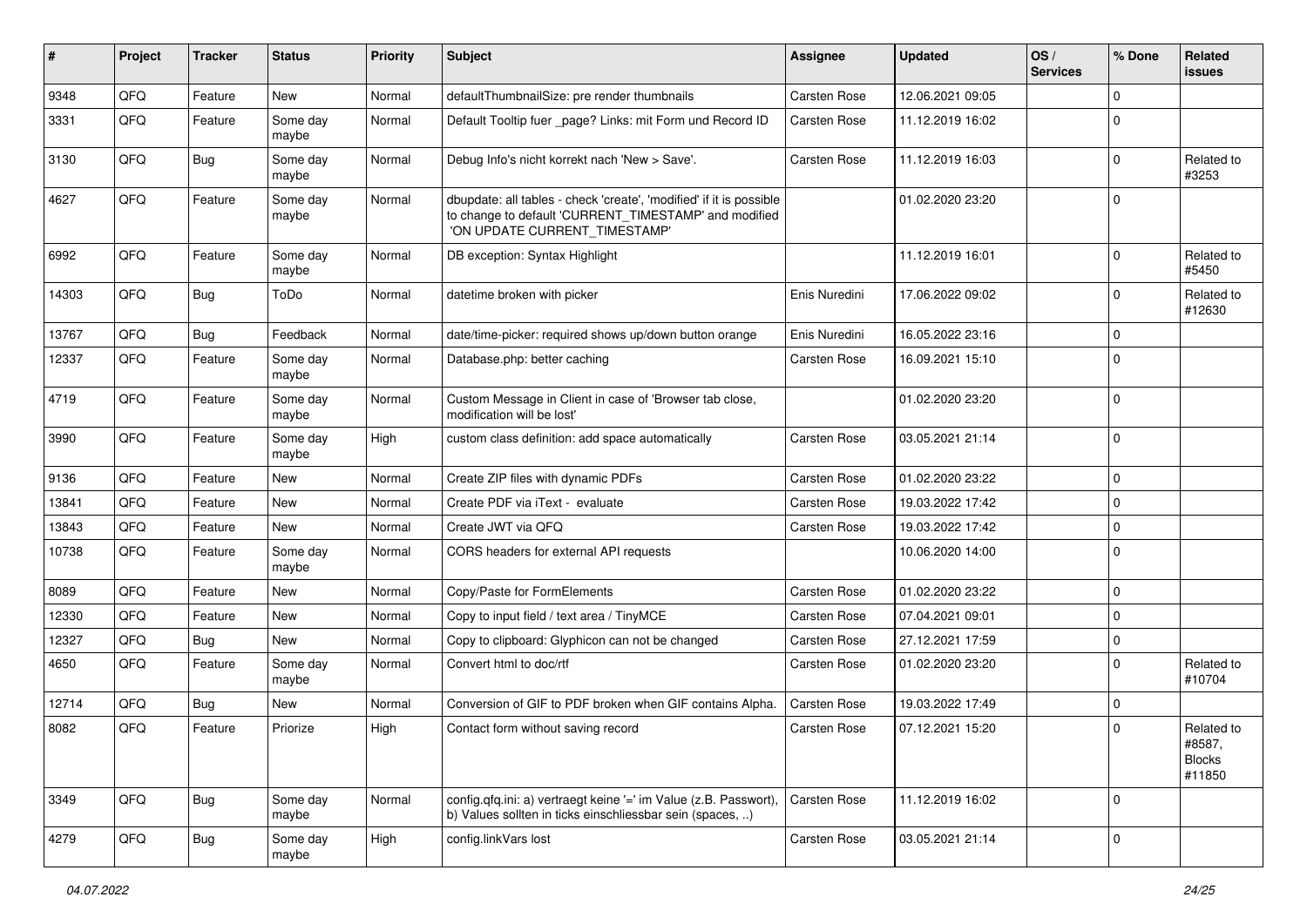| #     | Project | <b>Tracker</b> | <b>Status</b>     | <b>Priority</b> | Subject                                                                                                                                                       | Assignee            | <b>Updated</b>   | OS/<br><b>Services</b> | % Done      | Related<br><b>issues</b>                        |
|-------|---------|----------------|-------------------|-----------------|---------------------------------------------------------------------------------------------------------------------------------------------------------------|---------------------|------------------|------------------------|-------------|-------------------------------------------------|
| 9348  | QFQ     | Feature        | New               | Normal          | defaultThumbnailSize: pre render thumbnails                                                                                                                   | Carsten Rose        | 12.06.2021 09:05 |                        | $\mathbf 0$ |                                                 |
| 3331  | QFQ     | Feature        | Some day<br>maybe | Normal          | Default Tooltip fuer _page? Links: mit Form und Record ID                                                                                                     | Carsten Rose        | 11.12.2019 16:02 |                        | $\Omega$    |                                                 |
| 3130  | QFQ     | Bug            | Some day<br>maybe | Normal          | Debug Info's nicht korrekt nach 'New > Save'.                                                                                                                 | Carsten Rose        | 11.12.2019 16:03 |                        | $\Omega$    | Related to<br>#3253                             |
| 4627  | QFQ     | Feature        | Some day<br>maybe | Normal          | dbupdate: all tables - check 'create', 'modified' if it is possible<br>to change to default 'CURRENT_TIMESTAMP' and modified<br>'ON UPDATE CURRENT_TIMESTAMP' |                     | 01.02.2020 23:20 |                        | $\mathbf 0$ |                                                 |
| 6992  | QFQ     | Feature        | Some day<br>maybe | Normal          | DB exception: Syntax Highlight                                                                                                                                |                     | 11.12.2019 16:01 |                        | $\mathbf 0$ | Related to<br>#5450                             |
| 14303 | QFQ     | Bug            | ToDo              | Normal          | datetime broken with picker                                                                                                                                   | Enis Nuredini       | 17.06.2022 09:02 |                        | $\Omega$    | Related to<br>#12630                            |
| 13767 | QFQ     | Bug            | Feedback          | Normal          | date/time-picker: required shows up/down button orange                                                                                                        | Enis Nuredini       | 16.05.2022 23:16 |                        | $\mathbf 0$ |                                                 |
| 12337 | QFQ     | Feature        | Some day<br>maybe | Normal          | Database.php: better caching                                                                                                                                  | Carsten Rose        | 16.09.2021 15:10 |                        | $\Omega$    |                                                 |
| 4719  | QFQ     | Feature        | Some day<br>maybe | Normal          | Custom Message in Client in case of 'Browser tab close,<br>modification will be lost'                                                                         |                     | 01.02.2020 23:20 |                        | $\mathbf 0$ |                                                 |
| 3990  | QFQ     | Feature        | Some day<br>maybe | High            | custom class definition: add space automatically                                                                                                              | <b>Carsten Rose</b> | 03.05.2021 21:14 |                        | $\mathbf 0$ |                                                 |
| 9136  | QFQ     | Feature        | <b>New</b>        | Normal          | Create ZIP files with dynamic PDFs                                                                                                                            | <b>Carsten Rose</b> | 01.02.2020 23:22 |                        | $\mathbf 0$ |                                                 |
| 13841 | QFQ     | Feature        | New               | Normal          | Create PDF via iText - evaluate                                                                                                                               | <b>Carsten Rose</b> | 19.03.2022 17:42 |                        | 0           |                                                 |
| 13843 | QFQ     | Feature        | New               | Normal          | Create JWT via QFQ                                                                                                                                            | Carsten Rose        | 19.03.2022 17:42 |                        | $\Omega$    |                                                 |
| 10738 | QFQ     | Feature        | Some day<br>maybe | Normal          | CORS headers for external API requests                                                                                                                        |                     | 10.06.2020 14:00 |                        | $\Omega$    |                                                 |
| 8089  | QFQ     | Feature        | New               | Normal          | Copy/Paste for FormElements                                                                                                                                   | Carsten Rose        | 01.02.2020 23:22 |                        | $\mathbf 0$ |                                                 |
| 12330 | QFQ     | Feature        | New               | Normal          | Copy to input field / text area / TinyMCE                                                                                                                     | Carsten Rose        | 07.04.2021 09:01 |                        | $\mathbf 0$ |                                                 |
| 12327 | QFQ     | Bug            | New               | Normal          | Copy to clipboard: Glyphicon can not be changed                                                                                                               | Carsten Rose        | 27.12.2021 17:59 |                        | $\mathbf 0$ |                                                 |
| 4650  | QFQ     | Feature        | Some day<br>maybe | Normal          | Convert html to doc/rtf                                                                                                                                       | Carsten Rose        | 01.02.2020 23:20 |                        | $\Omega$    | Related to<br>#10704                            |
| 12714 | QFQ     | Bug            | New               | Normal          | Conversion of GIF to PDF broken when GIF contains Alpha.                                                                                                      | Carsten Rose        | 19.03.2022 17:49 |                        | $\Omega$    |                                                 |
| 8082  | QFQ     | Feature        | Priorize          | High            | Contact form without saving record                                                                                                                            | Carsten Rose        | 07.12.2021 15:20 |                        | $\Omega$    | Related to<br>#8587,<br><b>Blocks</b><br>#11850 |
| 3349  | QFQ     | <b>Bug</b>     | Some day<br>maybe | Normal          | config.qfq.ini: a) vertraegt keine '=' im Value (z.B. Passwort),<br>b) Values sollten in ticks einschliessbar sein (spaces, )                                 | Carsten Rose        | 11.12.2019 16:02 |                        | $\mathbf 0$ |                                                 |
| 4279  | QFQ     | Bug            | Some day<br>maybe | High            | config.linkVars lost                                                                                                                                          | Carsten Rose        | 03.05.2021 21:14 |                        | $\mathbf 0$ |                                                 |